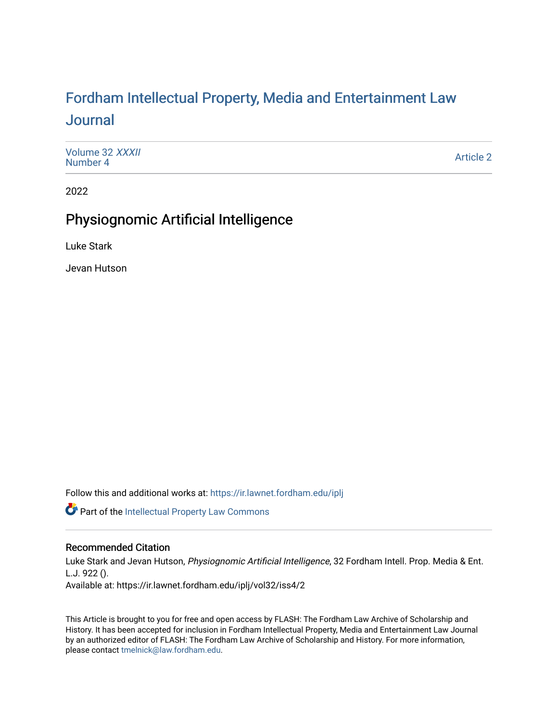# For[dham Intellectual Property, Media and Enter](https://ir.lawnet.fordham.edu/iplj)tainment Law [Journal](https://ir.lawnet.fordham.edu/iplj)

[Volume 32](https://ir.lawnet.fordham.edu/iplj/vol32) XXXII<br>Number 4 [Number 4](https://ir.lawnet.fordham.edu/iplj/vol32/iss4) [Article 2](https://ir.lawnet.fordham.edu/iplj/vol32/iss4/2) And The Contract of the Contract of the Article 2 Article 2 Article 2

2022

## Physiognomic Artificial Intelligence

Luke Stark

Jevan Hutson

Follow this and additional works at: [https://ir.lawnet.fordham.edu/iplj](https://ir.lawnet.fordham.edu/iplj?utm_source=ir.lawnet.fordham.edu%2Fiplj%2Fvol32%2Fiss4%2F2&utm_medium=PDF&utm_campaign=PDFCoverPages) 

Part of the [Intellectual Property Law Commons](https://network.bepress.com/hgg/discipline/896?utm_source=ir.lawnet.fordham.edu%2Fiplj%2Fvol32%2Fiss4%2F2&utm_medium=PDF&utm_campaign=PDFCoverPages) 

## Recommended Citation

Luke Stark and Jevan Hutson, Physiognomic Artificial Intelligence, 32 Fordham Intell. Prop. Media & Ent. L.J. 922 (). Available at: https://ir.lawnet.fordham.edu/iplj/vol32/iss4/2

This Article is brought to you for free and open access by FLASH: The Fordham Law Archive of Scholarship and History. It has been accepted for inclusion in Fordham Intellectual Property, Media and Entertainment Law Journal by an authorized editor of FLASH: The Fordham Law Archive of Scholarship and History. For more information, please contact [tmelnick@law.fordham.edu](mailto:tmelnick@law.fordham.edu).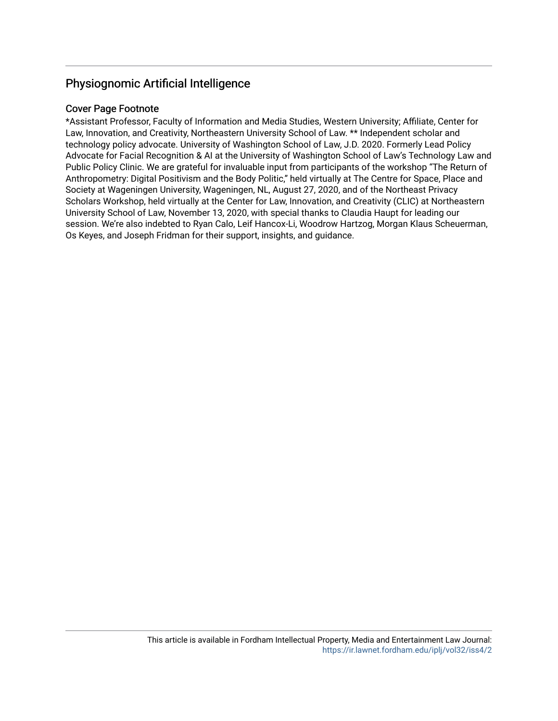## Physiognomic Artificial Intelligence

## Cover Page Footnote

\*Assistant Professor, Faculty of Information and Media Studies, Western University; Affiliate, Center for Law, Innovation, and Creativity, Northeastern University School of Law. \*\* Independent scholar and technology policy advocate. University of Washington School of Law, J.D. 2020. Formerly Lead Policy Advocate for Facial Recognition & AI at the University of Washington School of Law's Technology Law and Public Policy Clinic. We are grateful for invaluable input from participants of the workshop "The Return of Anthropometry: Digital Positivism and the Body Politic," held virtually at The Centre for Space, Place and Society at Wageningen University, Wageningen, NL, August 27, 2020, and of the Northeast Privacy Scholars Workshop, held virtually at the Center for Law, Innovation, and Creativity (CLIC) at Northeastern University School of Law, November 13, 2020, with special thanks to Claudia Haupt for leading our session. We're also indebted to Ryan Calo, Leif Hancox-Li, Woodrow Hartzog, Morgan Klaus Scheuerman, Os Keyes, and Joseph Fridman for their support, insights, and guidance.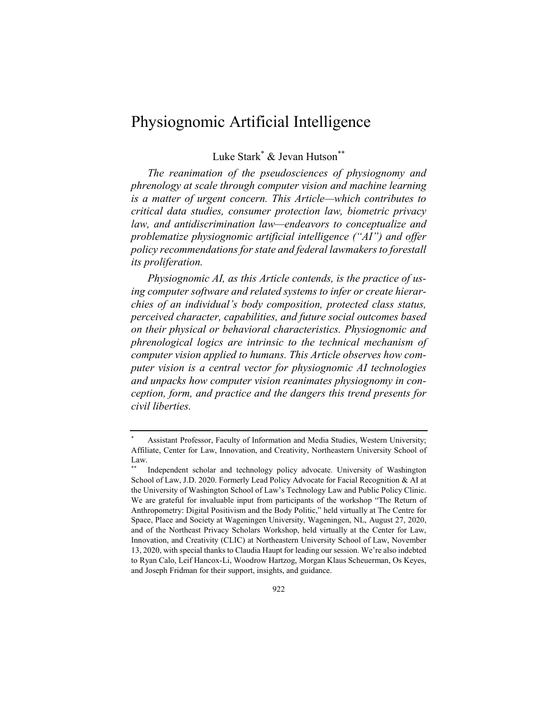## Physiognomic Artificial Intelligence

Luke Stark\* & Jevan Hutson\*\*

*The reanimation of the pseudosciences of physiognomy and phrenology at scale through computer vision and machine learning is a matter of urgent concern. This Article—which contributes to critical data studies, consumer protection law, biometric privacy law, and antidiscrimination law—endeavors to conceptualize and problematize physiognomic artificial intelligence ("AI") and offer policy recommendations for state and federal lawmakers to forestall its proliferation.*

*Physiognomic AI, as this Article contends, is the practice of using computer software and related systems to infer or create hierarchies of an individual's body composition, protected class status, perceived character, capabilities, and future social outcomes based on their physical or behavioral characteristics. Physiognomic and phrenological logics are intrinsic to the technical mechanism of computer vision applied to humans. This Article observes how computer vision is a central vector for physiognomic AI technologies and unpacks how computer vision reanimates physiognomy in conception, form, and practice and the dangers this trend presents for civil liberties.*

Assistant Professor, Faculty of Information and Media Studies, Western University; Affiliate, Center for Law, Innovation, and Creativity, Northeastern University School of Law.

Independent scholar and technology policy advocate. University of Washington School of Law, J.D. 2020. Formerly Lead Policy Advocate for Facial Recognition & AI at the University of Washington School of Law's Technology Law and Public Policy Clinic. We are grateful for invaluable input from participants of the workshop "The Return of Anthropometry: Digital Positivism and the Body Politic," held virtually at The Centre for Space, Place and Society at Wageningen University, Wageningen, NL, August 27, 2020, and of the Northeast Privacy Scholars Workshop, held virtually at the Center for Law, Innovation, and Creativity (CLIC) at Northeastern University School of Law, November 13, 2020, with special thanks to Claudia Haupt for leading our session. We're also indebted to Ryan Calo, Leif Hancox-Li, Woodrow Hartzog, Morgan Klaus Scheuerman, Os Keyes, and Joseph Fridman for their support, insights, and guidance.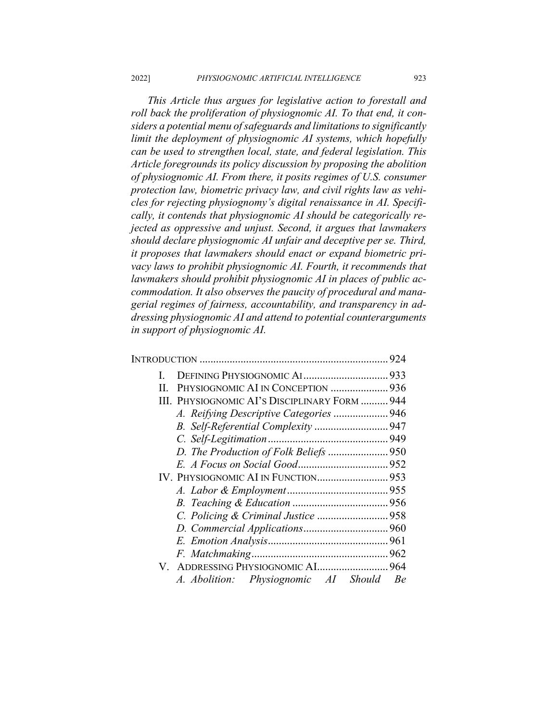*This Article thus argues for legislative action to forestall and roll back the proliferation of physiognomic AI. To that end, it considers a potential menu of safeguards and limitations to significantly limit the deployment of physiognomic AI systems, which hopefully can be used to strengthen local, state, and federal legislation. This Article foregrounds its policy discussion by proposing the abolition of physiognomic AI. From there, it posits regimes of U.S. consumer protection law, biometric privacy law, and civil rights law as vehicles for rejecting physiognomy's digital renaissance in AI. Specifically, it contends that physiognomic AI should be categorically rejected as oppressive and unjust. Second, it argues that lawmakers should declare physiognomic AI unfair and deceptive per se. Third, it proposes that lawmakers should enact or expand biometric privacy laws to prohibit physiognomic AI. Fourth, it recommends that lawmakers should prohibit physiognomic AI in places of public accommodation. It also observes the paucity of procedural and managerial regimes of fairness, accountability, and transparency in addressing physiognomic AI and attend to potential counterarguments in support of physiognomic AI.*

| L  |                                               |  |
|----|-----------------------------------------------|--|
| H. |                                               |  |
|    | III. PHYSIOGNOMIC AI's DISCIPLINARY FORM  944 |  |
|    |                                               |  |
|    |                                               |  |
|    |                                               |  |
|    |                                               |  |
|    |                                               |  |
|    |                                               |  |
|    |                                               |  |
|    |                                               |  |
|    |                                               |  |
|    |                                               |  |
|    |                                               |  |
|    |                                               |  |
|    |                                               |  |
|    | A. Abolition: Physiognomic AI Should Be       |  |
|    |                                               |  |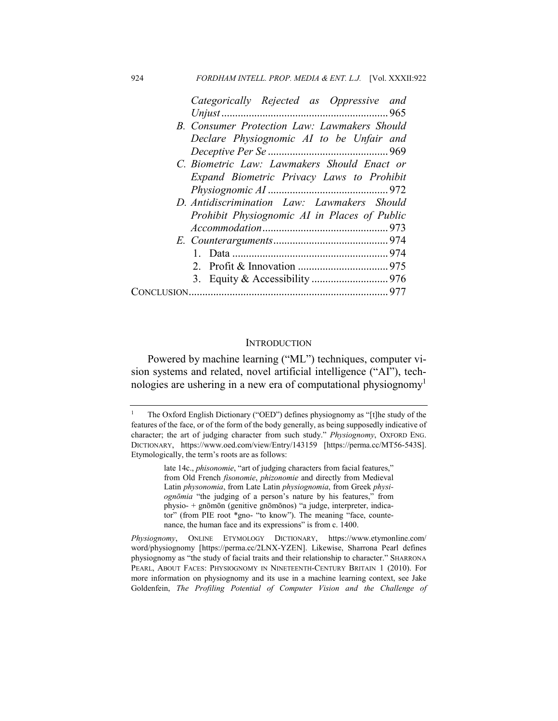| Categorically Rejected as Oppressive and     |
|----------------------------------------------|
|                                              |
| B. Consumer Protection Law: Lawmakers Should |
| Declare Physiognomic AI to be Unfair and     |
|                                              |
| C. Biometric Law: Lawmakers Should Enact or  |
| Expand Biometric Privacy Laws to Prohibit    |
|                                              |
| D. Antidiscrimination Law: Lawmakers Should  |
| Prohibit Physiognomic AI in Places of Public |
|                                              |
|                                              |
|                                              |
|                                              |
|                                              |
|                                              |

#### **INTRODUCTION**

Powered by machine learning ("ML") techniques, computer vision systems and related, novel artificial intelligence ("AI"), technologies are ushering in a new era of computational physiognomy<sup>1</sup>

late 14c., *phisonomie*, "art of judging characters from facial features," from Old French *fisonomie*, *phizonomie* and directly from Medieval Latin *physonomia*, from Late Latin *physiognomia*, from Greek *physiognōmia* "the judging of a person's nature by his features," from physio- + gnōmōn (genitive gnōmōnos) "a judge, interpreter, indicator" (from PIE root \*gno- "to know"). The meaning "face, countenance, the human face and its expressions" is from c. 1400.

<sup>&</sup>lt;sup>1</sup> The Oxford English Dictionary ("OED") defines physiognomy as "[t]he study of the features of the face, or of the form of the body generally, as being supposedly indicative of character; the art of judging character from such study." *Physiognomy*, OXFORD ENG. DICTIONARY, https://www.oed.com/view/Entry/143159 [https://perma.cc/MT56-543S]. Etymologically, the term's roots are as follows:

*Physiognomy*, ONLINE ETYMOLOGY DICTIONARY, https://www.etymonline.com/ word/physiognomy [https://perma.cc/2LNX-YZEN]. Likewise, Sharrona Pearl defines physiognomy as "the study of facial traits and their relationship to character." SHARRONA PEARL, ABOUT FACES: PHYSIOGNOMY IN NINETEENTH-CENTURY BRITAIN 1 (2010). For more information on physiognomy and its use in a machine learning context, see Jake Goldenfein, *The Profiling Potential of Computer Vision and the Challenge of*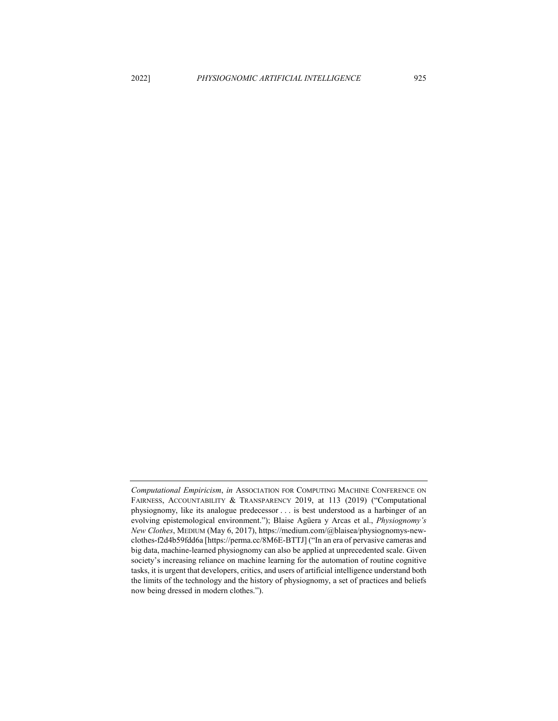*Computational Empiricism*, *in* ASSOCIATION FOR COMPUTING MACHINE CONFERENCE ON FAIRNESS, ACCOUNTABILITY & TRANSPARENCY 2019, at 113 (2019) ("Computational physiognomy, like its analogue predecessor . . . is best understood as a harbinger of an evolving epistemological environment."); Blaise Agüera y Arcas et al., *Physiognomy's New Clothes*, MEDIUM (May 6, 2017), https://medium.com/@blaisea/physiognomys-newclothes-f2d4b59fdd6a [https://perma.cc/8M6E-BTTJ] ("In an era of pervasive cameras and big data, machine-learned physiognomy can also be applied at unprecedented scale. Given society's increasing reliance on machine learning for the automation of routine cognitive tasks, it is urgent that developers, critics, and users of artificial intelligence understand both the limits of the technology and the history of physiognomy, a set of practices and beliefs now being dressed in modern clothes.").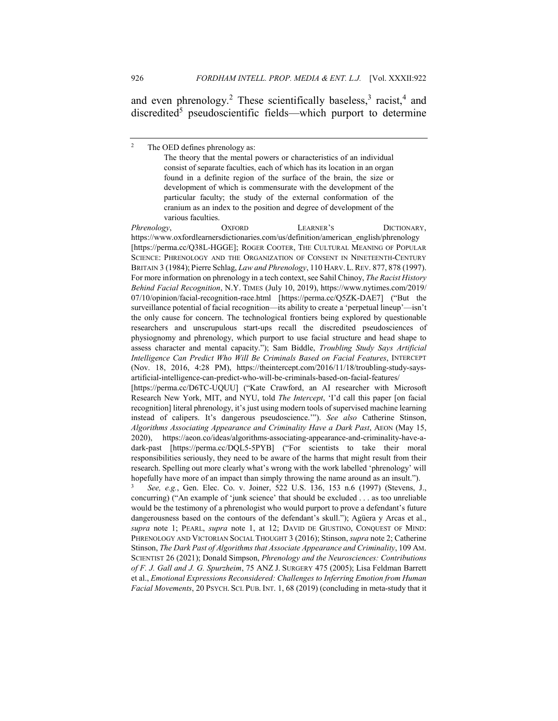and even phrenology.<sup>2</sup> These scientifically baseless,<sup>3</sup> racist,<sup>4</sup> and discredited<sup>5</sup> pseudoscientific fields—which purport to determine

*Phrenology*, OXFORD LEARNER'S DICTIONARY, https://www.oxfordlearnersdictionaries.com/us/definition/american\_english/phrenology [https://perma.cc/Q38L-HGGE]; ROGER COOTER, THE CULTURAL MEANING OF POPULAR SCIENCE: PHRENOLOGY AND THE ORGANIZATION OF CONSENT IN NINETEENTH-CENTURY BRITAIN 3 (1984); Pierre Schlag, *Law and Phrenology*, 110 HARV. L.REV. 877, 878 (1997). For more information on phrenology in a tech context, see Sahil Chinoy, *The Racist History Behind Facial Recognition*, N.Y. TIMES (July 10, 2019), https://www.nytimes.com/2019/ 07/10/opinion/facial-recognition-race.html [https://perma.cc/Q5ZK-DAE7] ("But the surveillance potential of facial recognition—its ability to create a 'perpetual lineup'—isn't the only cause for concern. The technological frontiers being explored by questionable researchers and unscrupulous start-ups recall the discredited pseudosciences of physiognomy and phrenology, which purport to use facial structure and head shape to assess character and mental capacity."); Sam Biddle, *Troubling Study Says Artificial Intelligence Can Predict Who Will Be Criminals Based on Facial Features*, INTERCEPT (Nov. 18, 2016, 4:28 PM), https://theintercept.com/2016/11/18/troubling-study-saysartificial-intelligence-can-predict-who-will-be-criminals-based-on-facial-features/ [https://perma.cc/D6TC-UQUU] ("Kate Crawford, an AI researcher with Microsoft

Research New York, MIT, and NYU, told *The Intercept*, 'I'd call this paper [on facial recognition] literal phrenology, it's just using modern tools of supervised machine learning instead of calipers. It's dangerous pseudoscience.'"). *See also* Catherine Stinson, *Algorithms Associating Appearance and Criminality Have a Dark Past*, AEON (May 15, 2020), https://aeon.co/ideas/algorithms-associating-appearance-and-criminality-have-adark-past [https://perma.cc/DQL5-5PYB] ("For scientists to take their moral responsibilities seriously, they need to be aware of the harms that might result from their research. Spelling out more clearly what's wrong with the work labelled 'phrenology' will hopefully have more of an impact than simply throwing the name around as an insult.").

<sup>3</sup> *See, e.g.*, Gen. Elec. Co. v. Joiner, 522 U.S. 136, 153 n.6 (1997) (Stevens, J., concurring) ("An example of 'junk science' that should be excluded . . . as too unreliable would be the testimony of a phrenologist who would purport to prove a defendant's future dangerousness based on the contours of the defendant's skull."); Agüera y Arcas et al., *supra* note 1; PEARL, *supra* note 1, at 12; DAVID DE GIUSTINO, CONQUEST OF MIND: PHRENOLOGY AND VICTORIAN SOCIAL THOUGHT 3 (2016); Stinson, *supra* note 2; Catherine Stinson, *The Dark Past of Algorithms that Associate Appearance and Criminality*, 109 AM. SCIENTIST 26 (2021); Donald Simpson, *Phrenology and the Neurosciences: Contributions of F. J. Gall and J. G. Spurzheim*, 75 ANZ J. SURGERY 475 (2005); Lisa Feldman Barrett et al., *Emotional Expressions Reconsidered: Challenges to Inferring Emotion from Human Facial Movements*, 20 PSYCH. SCI. PUB. INT. 1, 68 (2019) (concluding in meta-study that it

<sup>&</sup>lt;sup>2</sup> The OED defines phrenology as:

The theory that the mental powers or characteristics of an individual consist of separate faculties, each of which has its location in an organ found in a definite region of the surface of the brain, the size or development of which is commensurate with the development of the particular faculty; the study of the external conformation of the cranium as an index to the position and degree of development of the various faculties.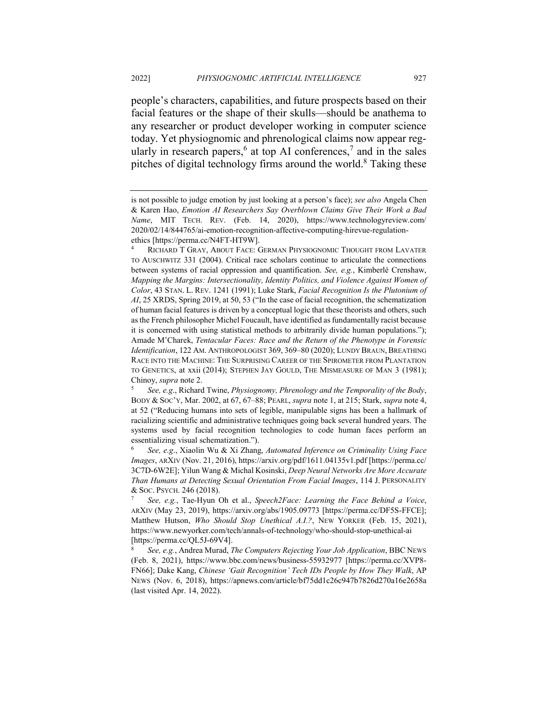people's characters, capabilities, and future prospects based on their facial features or the shape of their skulls—should be anathema to any researcher or product developer working in computer science today. Yet physiognomic and phrenological claims now appear regularly in research papers,<sup>6</sup> at top AI conferences,<sup>7</sup> and in the sales pitches of digital technology firms around the world.<sup>8</sup> Taking these

is not possible to judge emotion by just looking at a person's face); *see also* Angela Chen & Karen Hao, *Emotion AI Researchers Say Overblown Claims Give Their Work a Bad Name*, MIT TECH. REV. (Feb. 14, 2020), https://www.technologyreview.com/ 2020/02/14/844765/ai-emotion-recognition-affective-computing-hirevue-regulationethics [https://perma.cc/N4FT-HT9W].

RICHARD T GRAY, ABOUT FACE: GERMAN PHYSIOGNOMIC THOUGHT FROM LAVATER TO AUSCHWITZ 331 (2004). Critical race scholars continue to articulate the connections between systems of racial oppression and quantification. *See, e.g.*, Kimberlé Crenshaw, *Mapping the Margins: Intersectionality, Identity Politics, and Violence Against Women of Color*, 43 STAN. L. REV. 1241 (1991); Luke Stark, *Facial Recognition Is the Plutonium of AI*, 25 XRDS, Spring 2019, at 50, 53 ("In the case of facial recognition, the schematization of human facial features is driven by a conceptual logic that these theorists and others, such as the French philosopher Michel Foucault, have identified as fundamentally racist because it is concerned with using statistical methods to arbitrarily divide human populations."); Amade M'Charek, *Tentacular Faces: Race and the Return of the Phenotype in Forensic*  Identification, 122 AM. ANTHROPOLOGIST 369, 369-80 (2020); LUNDY BRAUN, BREATHING RACE INTO THE MACHINE: THE SURPRISING CAREER OF THE SPIROMETER FROM PLANTATION TO GENETICS, at xxii (2014); STEPHEN JAY GOULD, THE MISMEASURE OF MAN 3 (1981); Chinoy, *supra* note 2.

<sup>5</sup> *See, e.g*., Richard Twine, *Physiognomy, Phrenology and the Temporality of the Body*, BODY & SOC'Y, Mar. 2002, at 67, 67–88; PEARL, *supra* note 1, at 215; Stark, *supra* note 4, at 52 ("Reducing humans into sets of legible, manipulable signs has been a hallmark of racializing scientific and administrative techniques going back several hundred years. The systems used by facial recognition technologies to code human faces perform an essentializing visual schematization.").

<sup>6</sup> *See, e.g*., Xiaolin Wu & Xi Zhang, *Automated Inference on Criminality Using Face Images*, ARXIV (Nov. 21, 2016), https://arxiv.org/pdf/1611.04135v1.pdf [https://perma.cc/ 3C7D-6W2E]; Yilun Wang & Michal Kosinski, *Deep Neural Networks Are More Accurate Than Humans at Detecting Sexual Orientation From Facial Images*, 114 J. PERSONALITY & SOC. PSYCH. 246 (2018).

<sup>7</sup> *See, e.g.*, Tae-Hyun Oh et al., *Speech2Face: Learning the Face Behind a Voice*, ARXIV (May 23, 2019), https://arxiv.org/abs/1905.09773 [https://perma.cc/DF5S-FFCE]; Matthew Hutson, *Who Should Stop Unethical A.I.?*, NEW YORKER (Feb. 15, 2021), https://www.newyorker.com/tech/annals-of-technology/who-should-stop-unethical-ai [https://perma.cc/QL5J-69V4].

<sup>8</sup> *See, e.g.*, Andrea Murad, *The Computers Rejecting Your Job Application*, BBC NEWS (Feb. 8, 2021), https://www.bbc.com/news/business-55932977 [https://perma.cc/XVP8- FN66]; Dake Kang, *Chinese 'Gait Recognition' Tech IDs People by How They Walk*, AP NEWS (Nov. 6, 2018), https://apnews.com/article/bf75dd1c26c947b7826d270a16e2658a (last visited Apr. 14, 2022).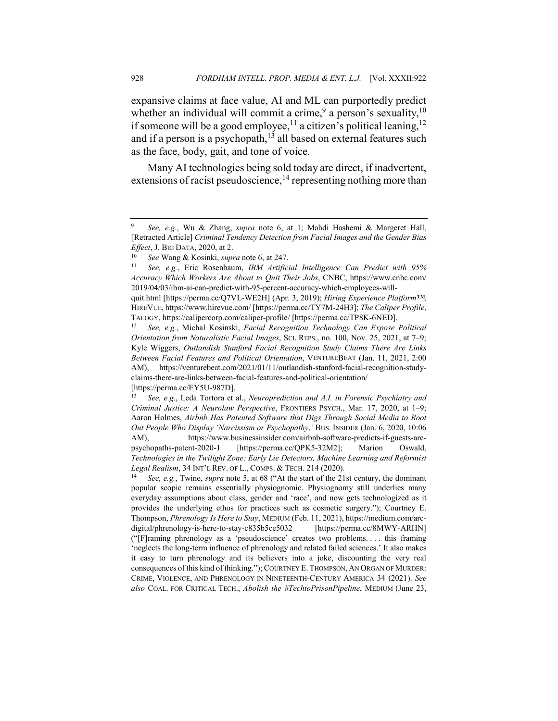expansive claims at face value, AI and ML can purportedly predict whether an individual will commit a crime,<sup>9</sup> a person's sexuality,<sup>10</sup> if someone will be a good employee, $^{11}$  a citizen's political leaning, $^{12}$ and if a person is a psychopath, $13$  all based on external features such as the face, body, gait, and tone of voice.

Many AI technologies being sold today are direct, if inadvertent, extensions of racist pseudoscience,  $^{14}$  representing nothing more than

<sup>9</sup> *See, e.g.*, Wu & Zhang, *supra* note 6, at 1; Mahdi Hashemi & Margeret Hall, [Retracted Article] *Criminal Tendency Detection from Facial Images and the Gender Bias Effect*, J. BIG DATA, 2020, at 2.

<sup>10</sup> *See* Wang & Kosinki, *supra* note 6, at 247.

<sup>11</sup> *See, e.g.*, Eric Rosenbaum, *IBM Artificial Intelligence Can Predict with 95% Accuracy Which Workers Are About to Quit Their Jobs*, CNBC, https://www.cnbc.com/ 2019/04/03/ibm-ai-can-predict-with-95-percent-accuracy-which-employees-will-

quit.html [https://perma.cc/Q7VL-WE2H] (Apr. 3, 2019); *Hiring Experience Platform™*, HIREVUE, https://www.hirevue.com/ [https://perma.cc/TY7M-24H3]; *The Caliper Profile*, TALOGY, https://calipercorp.com/caliper-profile/ [https://perma.cc/TP8K-6NED].

<sup>12</sup> *See, e.g.*, Michal Kosinski, *Facial Recognition Technology Can Expose Political Orientation from Naturalistic Facial Images*, SCI. REPS., no. 100, Nov. 25, 2021, at 7–9; Kyle Wiggers, *Outlandish Stanford Facial Recognition Study Claims There Are Links Between Facial Features and Political Orientation*, VENTUREBEAT (Jan. 11, 2021, 2:00 AM), https://venturebeat.com/2021/01/11/outlandish-stanford-facial-recognition-studyclaims-there-are-links-between-facial-features-and-political-orientation/ [https://perma.cc/EY5U-987D].

<sup>13</sup> *See, e.g.*, Leda Tortora et al., *Neuroprediction and A.I. in Forensic Psychiatry and Criminal Justice: A Neurolaw Perspective*, FRONTIERS PSYCH., Mar. 17, 2020, at 1–9; Aaron Holmes, *Airbnb Has Patented Software that Digs Through Social Media to Root Out People Who Display 'Narcissism or Psychopathy*,*'* BUS. INSIDER (Jan. 6, 2020, 10:06 AM), https://www.businessinsider.com/airbnb-software-predicts-if-guests-arepsychopaths-patent-2020-1 [https://perma.cc/QPK5-32M2]; Marion Oswald, *Technologies in the Twilight Zone: Early Lie Detectors, Machine Learning and Reformist Legal Realism*, 34 INT'L REV. OF L., COMPS. & TECH. 214 (2020).

<sup>14</sup> *See, e.g.*, Twine, *supra* note 5, at 68 ("At the start of the 21st century, the dominant popular scopic remains essentially physiognomic. Physiognomy still underlies many everyday assumptions about class, gender and 'race', and now gets technologized as it provides the underlying ethos for practices such as cosmetic surgery."); Courtney E. Thompson, *Phrenology Is Here to Stay*, MEDIUM (Feb. 11, 2021), https://medium.com/arcdigital/phrenology-is-here-to-stay-c835b5ce5032 [https://perma.cc/8MWY-ARHN] ("[F]raming phrenology as a 'pseudoscience' creates two problems. . . . this framing 'neglects the long-term influence of phrenology and related failed sciences.' It also makes it easy to turn phrenology and its believers into a joke, discounting the very real consequences of this kind of thinking."); COURTNEY E. THOMPSON, AN ORGAN OF MURDER: CRIME, VIOLENCE, AND PHRENOLOGY IN NINETEENTH-CENTURY AMERICA 34 (2021). *See also* COAL. FOR CRITICAL TECH., *Abolish the #TechtoPrisonPipeline*, MEDIUM (June 23,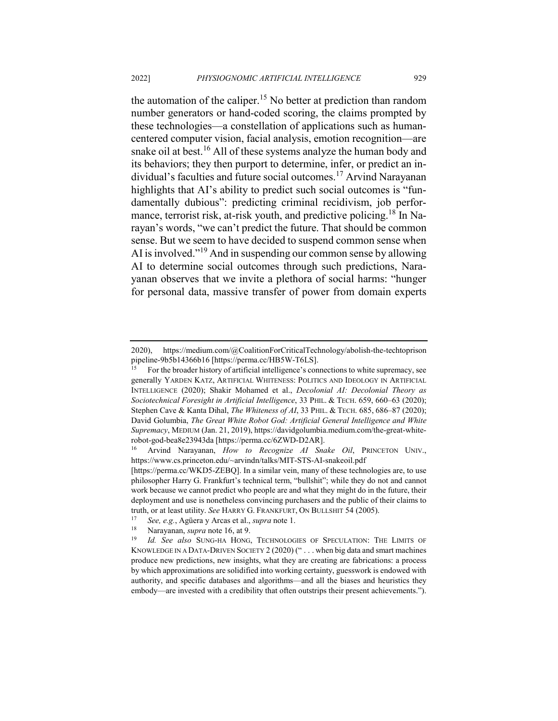the automation of the caliper.<sup>15</sup> No better at prediction than random number generators or hand-coded scoring, the claims prompted by these technologies—a constellation of applications such as humancentered computer vision, facial analysis, emotion recognition—are snake oil at best.<sup>16</sup> All of these systems analyze the human body and its behaviors; they then purport to determine, infer, or predict an individual's faculties and future social outcomes.<sup>17</sup> Arvind Narayanan highlights that AI's ability to predict such social outcomes is "fundamentally dubious": predicting criminal recidivism, job performance, terrorist risk, at-risk youth, and predictive policing.<sup>18</sup> In Narayan's words, "we can't predict the future. That should be common sense. But we seem to have decided to suspend common sense when AI is involved."<sup>19</sup> And in suspending our common sense by allowing AI to determine social outcomes through such predictions, Narayanan observes that we invite a plethora of social harms: "hunger for personal data, massive transfer of power from domain experts

<sup>2020),</sup> https://medium.com/@CoalitionForCriticalTechnology/abolish-the-techtoprison pipeline-9b5b14366b16 [https://perma.cc/HB5W-T6LS].

<sup>15</sup> For the broader history of artificial intelligence's connections to white supremacy, see generally YARDEN KATZ, ARTIFICIAL WHITENESS: POLITICS AND IDEOLOGY IN ARTIFICIAL INTELLIGENCE (2020); Shakir Mohamed et al., *Decolonial AI: Decolonial Theory as Sociotechnical Foresight in Artificial Intelligence*, 33 PHIL. & TECH. 659, 660–63 (2020); Stephen Cave & Kanta Dihal, *The Whiteness of AI*, 33 PHIL. & TECH. 685, 686–87 (2020); David Golumbia, *The Great White Robot God: Artificial General Intelligence and White Supremacy*, MEDIUM (Jan. 21, 2019), https://davidgolumbia.medium.com/the-great-whiterobot-god-bea8e23943da [https://perma.cc/6ZWD-D2AR].

<sup>16</sup> Arvind Narayanan, *How to Recognize AI Snake Oil*, PRINCETON UNIV., https://www.cs.princeton.edu/~arvindn/talks/MIT-STS-AI-snakeoil.pdf

<sup>[</sup>https://perma.cc/WKD5-ZEBQ]. In a similar vein, many of these technologies are, to use philosopher Harry G. Frankfurt's technical term, "bullshit"; while they do not and cannot work because we cannot predict who people are and what they might do in the future, their deployment and use is nonetheless convincing purchasers and the public of their claims to truth, or at least utility. *See* HARRY G. FRANKFURT, ON BULLSHIT 54 (2005).

<sup>17</sup> *See, e.g.*, Agüera y Arcas et al., *supra* note 1.

<sup>18</sup> Narayanan, *supra* note 16, at 9.

<sup>19</sup> *Id. See also* SUNG-HA HONG, TECHNOLOGIES OF SPECULATION: THE LIMITS OF KNOWLEDGE IN A DATA-DRIVEN SOCIETY  $2(2020)$  ("... when big data and smart machines produce new predictions, new insights, what they are creating are fabrications: a process by which approximations are solidified into working certainty, guesswork is endowed with authority, and specific databases and algorithms—and all the biases and heuristics they embody—are invested with a credibility that often outstrips their present achievements.").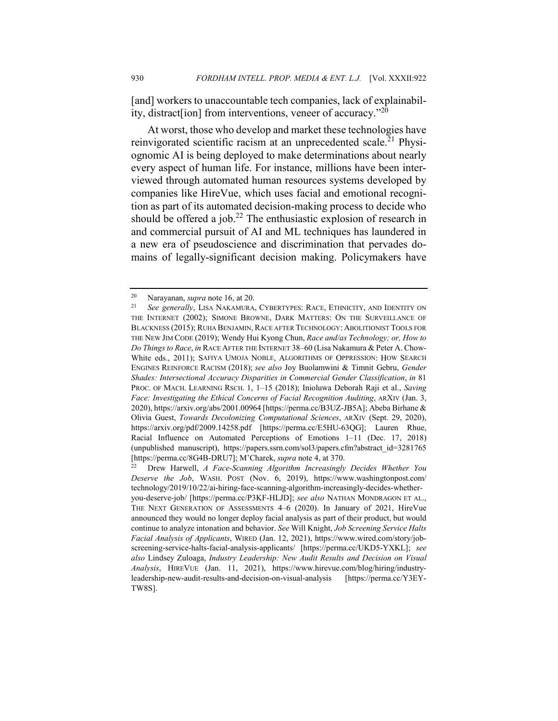[and] workers to unaccountable tech companies, lack of explainability, distract [ion] from interventions, veneer of accuracy. $120$ 

At worst, those who develop and market these technologies have reinvigorated scientific racism at an unprecedented scale.<sup>21</sup> Physiognomic AI is being deployed to make determinations about nearly every aspect of human life. For instance, millions have been interviewed through automated human resources systems developed by companies like HireVue, which uses facial and emotional recognition as part of its automated decision-making process to decide who should be offered a job.<sup>22</sup> The enthusiastic explosion of research in and commercial pursuit of AI and ML techniques has laundered in a new era of pseudoscience and discrimination that pervades domains of legally-significant decision making. Policymakers have

<sup>20</sup> Narayanan, *supra* note 16, at 20.

<sup>21</sup> *See generally*, LISA NAKAMURA, CYBERTYPES: RACE, ETHNICITY, AND IDENTITY ON THE INTERNET (2002); SIMONE BROWNE, DARK MATTERS: ON THE SURVEILLANCE OF BLACKNESS (2015); RUHA BENJAMIN, RACE AFTER TECHNOLOGY: ABOLITIONIST TOOLS FOR THE NEW JIM CODE (2019); Wendy Hui Kyong Chun, *Race and/as Technology; or, How to Do Things to Race*, *in* RACE AFTER THE INTERNET 38–60 (Lisa Nakamura & Peter A. Chow-White eds., 2011); SAFIYA UMOJA NOBLE, ALGORITHMS OF OPPRESSION: HOW SEARCH ENGINES REINFORCE RACISM (2018); *see also* Joy Buolamwini & Timnit Gebru, *Gender Shades: Intersectional Accuracy Disparities in Commercial Gender Classification*, *in* 81 PROC. OF MACH. LEARNING RSCH. 1, 1–15 (2018); Inioluwa Deborah Raji et al., *Saving Face: Investigating the Ethical Concerns of Facial Recognition Auditing*, ARXIV (Jan. 3, 2020), https://arxiv.org/abs/2001.00964 [https://perma.cc/B3UZ-JB5A]; Abeba Birhane & Olivia Guest, *Towards Decolonizing Computational Sciences*, ARXIV (Sept. 29, 2020), https://arxiv.org/pdf/2009.14258.pdf [https://perma.cc/E5HU-63QG]; Lauren Rhue, Racial Influence on Automated Perceptions of Emotions 1–11 (Dec. 17, 2018) (unpublished manuscript), https://papers.ssrn.com/sol3/papers.cfm?abstract\_id=3281765 [https://perma.cc/8G4B-DRU7]; M'Charek, *supra* note 4, at 370.

<sup>22</sup> Drew Harwell, *A Face-Scanning Algorithm Increasingly Decides Whether You Deserve the Job*, WASH. POST (Nov. 6, 2019), https://www.washingtonpost.com/ technology/2019/10/22/ai-hiring-face-scanning-algorithm-increasingly-decides-whetheryou-deserve-job/ [https://perma.cc/P3KF-HLJD]; *see also* NATHAN MONDRAGON ET AL., THE NEXT GENERATION OF ASSESSMENTS 4–6 (2020). In January of 2021, HireVue announced they would no longer deploy facial analysis as part of their product, but would continue to analyze intonation and behavior. *See* Will Knight, *Job Screening Service Halts Facial Analysis of Applicants*, WIRED (Jan. 12, 2021), https://www.wired.com/story/jobscreening-service-halts-facial-analysis-applicants/ [https://perma.cc/UKD5-YXKL]; *see also* Lindsey Zuloaga, *Industry Leadership: New Audit Results and Decision on Visual Analysis*, HIREVUE (Jan. 11, 2021), https://www.hirevue.com/blog/hiring/industryleadership-new-audit-results-and-decision-on-visual-analysis [https://perma.cc/Y3EY-TW8S].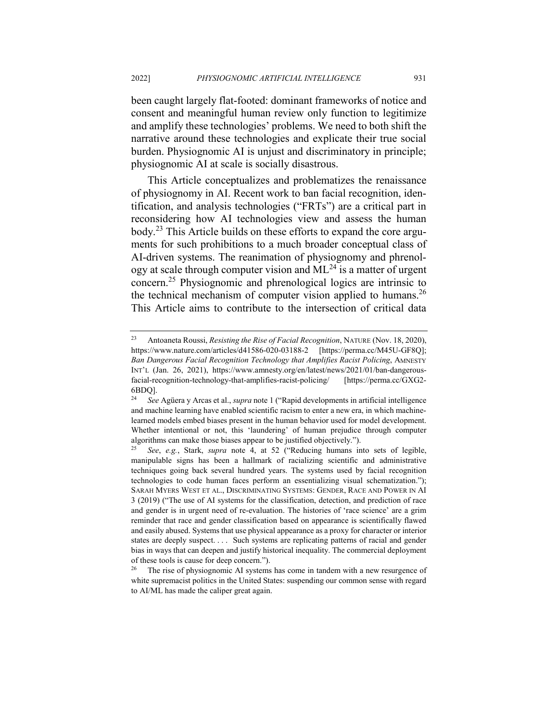been caught largely flat-footed: dominant frameworks of notice and consent and meaningful human review only function to legitimize and amplify these technologies' problems. We need to both shift the narrative around these technologies and explicate their true social burden. Physiognomic AI is unjust and discriminatory in principle; physiognomic AI at scale is socially disastrous.

This Article conceptualizes and problematizes the renaissance of physiognomy in AI. Recent work to ban facial recognition, identification, and analysis technologies ("FRTs") are a critical part in reconsidering how AI technologies view and assess the human body.<sup>23</sup> This Article builds on these efforts to expand the core arguments for such prohibitions to a much broader conceptual class of AI-driven systems. The reanimation of physiognomy and phrenology at scale through computer vision and  $ML^{24}$  is a matter of urgent concern.<sup>25</sup> Physiognomic and phrenological logics are intrinsic to the technical mechanism of computer vision applied to humans.<sup>26</sup> This Article aims to contribute to the intersection of critical data

<sup>23</sup> Antoaneta Roussi, *Resisting the Rise of Facial Recognition*, NATURE (Nov. 18, 2020), https://www.nature.com/articles/d41586-020-03188-2 [https://perma.cc/M45U-GF8Q]; *Ban Dangerous Facial Recognition Technology that Amplifies Racist Policing*, AMNESTY INT'L (Jan. 26, 2021), https://www.amnesty.org/en/latest/news/2021/01/ban-dangerousfacial-recognition-technology-that-amplifies-racist-policing/ [https://perma.cc/GXG2-  $6BDQ$ ].

<sup>24</sup> *See* Agüera y Arcas et al., *supra* note 1 ("Rapid developments in artificial intelligence and machine learning have enabled scientific racism to enter a new era, in which machinelearned models embed biases present in the human behavior used for model development. Whether intentional or not, this 'laundering' of human prejudice through computer algorithms can make those biases appear to be justified objectively.").

<sup>25</sup> *See*, *e.g.*, Stark, *supra* note 4, at 52 ("Reducing humans into sets of legible, manipulable signs has been a hallmark of racializing scientific and administrative techniques going back several hundred years. The systems used by facial recognition technologies to code human faces perform an essentializing visual schematization."); SARAH MYERS WEST ET AL., DISCRIMINATING SYSTEMS: GENDER, RACE AND POWER IN AI 3 (2019) ("The use of AI systems for the classification, detection, and prediction of race and gender is in urgent need of re-evaluation. The histories of 'race science' are a grim reminder that race and gender classification based on appearance is scientifically flawed and easily abused. Systems that use physical appearance as a proxy for character or interior states are deeply suspect. . . . Such systems are replicating patterns of racial and gender bias in ways that can deepen and justify historical inequality. The commercial deployment of these tools is cause for deep concern.").

The rise of physiognomic AI systems has come in tandem with a new resurgence of white supremacist politics in the United States: suspending our common sense with regard to AI/ML has made the caliper great again.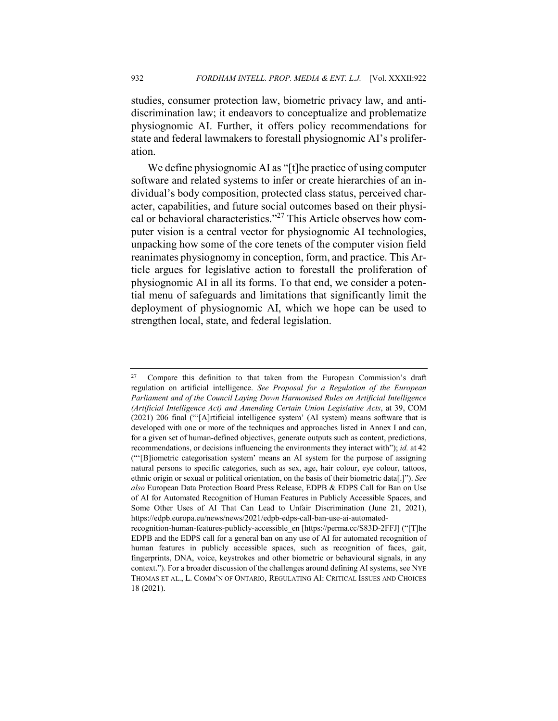studies, consumer protection law, biometric privacy law, and antidiscrimination law; it endeavors to conceptualize and problematize physiognomic AI. Further, it offers policy recommendations for state and federal lawmakers to forestall physiognomic AI's proliferation.

We define physiognomic AI as "[t]he practice of using computer software and related systems to infer or create hierarchies of an individual's body composition, protected class status, perceived character, capabilities, and future social outcomes based on their physical or behavioral characteristics."<sup>27</sup> This Article observes how computer vision is a central vector for physiognomic AI technologies, unpacking how some of the core tenets of the computer vision field reanimates physiognomy in conception, form, and practice. This Article argues for legislative action to forestall the proliferation of physiognomic AI in all its forms. To that end, we consider a potential menu of safeguards and limitations that significantly limit the deployment of physiognomic AI, which we hope can be used to strengthen local, state, and federal legislation.

<sup>&</sup>lt;sup>27</sup> Compare this definition to that taken from the European Commission's draft regulation on artificial intelligence. *See Proposal for a Regulation of the European Parliament and of the Council Laying Down Harmonised Rules on Artificial Intelligence (Artificial Intelligence Act) and Amending Certain Union Legislative Acts*, at 39, COM (2021) 206 final ("'[A]rtificial intelligence system' (AI system) means software that is developed with one or more of the techniques and approaches listed in Annex I and can, for a given set of human-defined objectives, generate outputs such as content, predictions, recommendations, or decisions influencing the environments they interact with"); *id.* at 42 ("'[B]iometric categorisation system' means an AI system for the purpose of assigning natural persons to specific categories, such as sex, age, hair colour, eye colour, tattoos, ethnic origin or sexual or political orientation, on the basis of their biometric data[.]"). *See also* European Data Protection Board Press Release, EDPB & EDPS Call for Ban on Use of AI for Automated Recognition of Human Features in Publicly Accessible Spaces, and Some Other Uses of AI That Can Lead to Unfair Discrimination (June 21, 2021), https://edpb.europa.eu/news/news/2021/edpb-edps-call-ban-use-ai-automated-

recognition-human-features-publicly-accessible\_en [https://perma.cc/S83D-2FFJ] ("[T]he EDPB and the EDPS call for a general ban on any use of AI for automated recognition of human features in publicly accessible spaces, such as recognition of faces, gait, fingerprints, DNA, voice, keystrokes and other biometric or behavioural signals, in any context."). For a broader discussion of the challenges around defining AI systems, see NYE THOMAS ET AL., L. COMM'N OF ONTARIO, REGULATING AI: CRITICAL ISSUES AND CHOICES 18 (2021).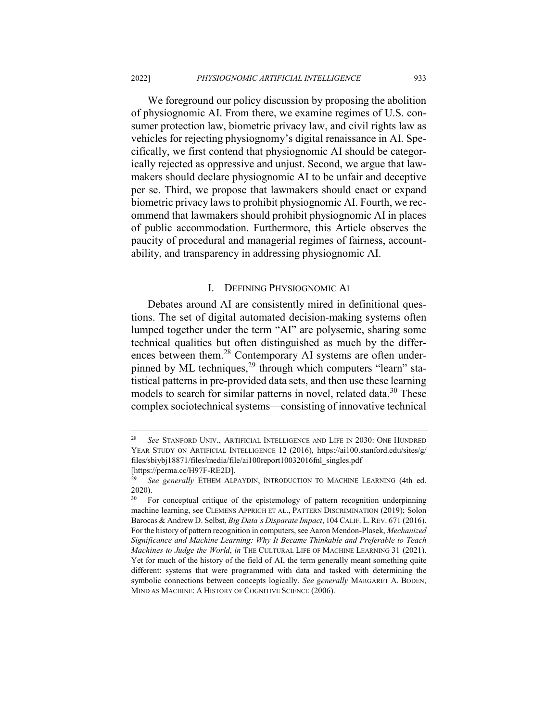We foreground our policy discussion by proposing the abolition of physiognomic AI. From there, we examine regimes of U.S. consumer protection law, biometric privacy law, and civil rights law as vehicles for rejecting physiognomy's digital renaissance in AI. Specifically, we first contend that physiognomic AI should be categorically rejected as oppressive and unjust. Second, we argue that lawmakers should declare physiognomic AI to be unfair and deceptive per se. Third, we propose that lawmakers should enact or expand biometric privacy laws to prohibit physiognomic AI. Fourth, we recommend that lawmakers should prohibit physiognomic AI in places of public accommodation. Furthermore, this Article observes the paucity of procedural and managerial regimes of fairness, accountability, and transparency in addressing physiognomic AI.

#### I. DEFINING PHYSIOGNOMIC AI

Debates around AI are consistently mired in definitional questions. The set of digital automated decision-making systems often lumped together under the term "AI" are polysemic, sharing some technical qualities but often distinguished as much by the differences between them.<sup>28</sup> Contemporary AI systems are often underpinned by ML techniques,<sup>29</sup> through which computers "learn" statistical patterns in pre-provided data sets, and then use these learning models to search for similar patterns in novel, related data.<sup>30</sup> These complex sociotechnical systems—consisting of innovative technical

<sup>28</sup> *See* STANFORD UNIV., ARTIFICIAL INTELLIGENCE AND LIFE IN 2030: ONE HUNDRED YEAR STUDY ON ARTIFICIAL INTELLIGENCE 12 (2016), https://ai100.stanford.edu/sites/g/ files/sbiybj18871/files/media/file/ai100report10032016fnl\_singles.pdf [https://perma.cc/H97F-RE2D].

<sup>29</sup> *See generally* ETHEM ALPAYDIN, INTRODUCTION TO MACHINE LEARNING (4th ed. 2020).

<sup>&</sup>lt;sup>30</sup> For conceptual critique of the epistemology of pattern recognition underpinning machine learning, see CLEMENS APPRICH ET AL., PATTERN DISCRIMINATION (2019); Solon Barocas & Andrew D. Selbst, *Big Data's Disparate Impact*, 104 CALIF. L.REV. 671 (2016). For the history of pattern recognition in computers, see Aaron Mendon-Plasek, *Mechanized Significance and Machine Learning: Why It Became Thinkable and Preferable to Teach Machines to Judge the World*, *in* THE CULTURAL LIFE OF MACHINE LEARNING 31 (2021). Yet for much of the history of the field of AI, the term generally meant something quite different: systems that were programmed with data and tasked with determining the symbolic connections between concepts logically. *See generally* MARGARET A. BODEN, MIND AS MACHINE: A HISTORY OF COGNITIVE SCIENCE (2006).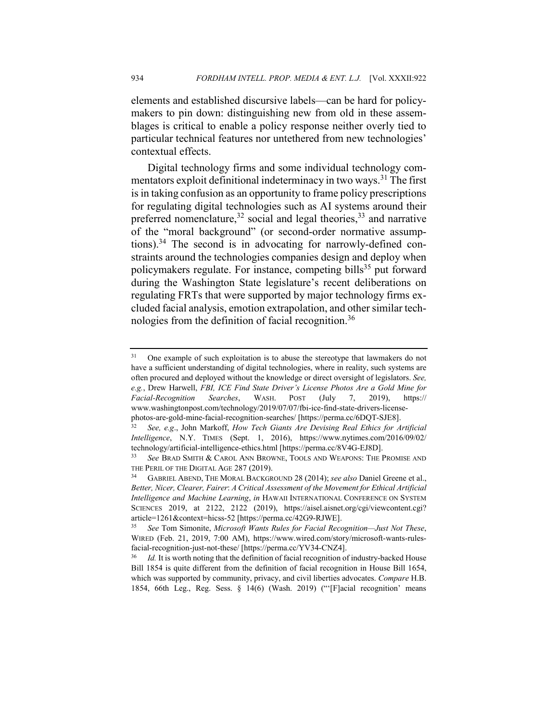elements and established discursive labels—can be hard for policymakers to pin down: distinguishing new from old in these assemblages is critical to enable a policy response neither overly tied to particular technical features nor untethered from new technologies' contextual effects.

Digital technology firms and some individual technology commentators exploit definitional indeterminacy in two ways.<sup>31</sup> The first is in taking confusion as an opportunity to frame policy prescriptions for regulating digital technologies such as AI systems around their preferred nomenclature,  $32$  social and legal theories,  $33$  and narrative of the "moral background" (or second-order normative assumptions). $34$  The second is in advocating for narrowly-defined constraints around the technologies companies design and deploy when policymakers regulate. For instance, competing bills<sup>35</sup> put forward during the Washington State legislature's recent deliberations on regulating FRTs that were supported by major technology firms excluded facial analysis, emotion extrapolation, and other similar technologies from the definition of facial recognition.<sup>36</sup>

<sup>&</sup>lt;sup>31</sup> One example of such exploitation is to abuse the stereotype that lawmakers do not have a sufficient understanding of digital technologies, where in reality, such systems are often procured and deployed without the knowledge or direct oversight of legislators. *See, e.g.*, Drew Harwell, *FBI, ICE Find State Driver's License Photos Are a Gold Mine for Facial-Recognition Searches*, WASH. POST (July 7, 2019), https:// www.washingtonpost.com/technology/2019/07/07/fbi-ice-find-state-drivers-licensephotos-are-gold-mine-facial-recognition-searches/ [https://perma.cc/6DQT-SJE8].

<sup>32</sup> *See, e.g*., John Markoff, *How Tech Giants Are Devising Real Ethics for Artificial Intelligence*, N.Y. TIMES (Sept. 1, 2016), https://www.nytimes.com/2016/09/02/ technology/artificial-intelligence-ethics.html [https://perma.cc/8V4G-EJ8D].

<sup>33</sup> *See* BRAD SMITH & CAROL ANN BROWNE, TOOLS AND WEAPONS: THE PROMISE AND THE PERIL OF THE DIGITAL AGE 287 (2019).

<sup>34</sup> GABRIEL ABEND, THE MORAL BACKGROUND 28 (2014); *see also* Daniel Greene et al., *Better, Nicer, Clearer, Fairer*: *A Critical Assessment of the Movement for Ethical Artificial Intelligence and Machine Learning*, *in* HAWAII INTERNATIONAL CONFERENCE ON SYSTEM SCIENCES 2019, at 2122, 2122 (2019), https://aisel.aisnet.org/cgi/viewcontent.cgi? article=1261&context=hicss-52 [https://perma.cc/42G9-RJWE].

<sup>35</sup> *See* Tom Simonite, *Microsoft Wants Rules for Facial Recognition—Just Not These*, WIRED (Feb. 21, 2019, 7:00 AM), https://www.wired.com/story/microsoft-wants-rulesfacial-recognition-just-not-these/ [https://perma.cc/YV34-CNZ4].

Id. It is worth noting that the definition of facial recognition of industry-backed House Bill 1854 is quite different from the definition of facial recognition in House Bill 1654, which was supported by community, privacy, and civil liberties advocates. *Compare* H.B. 1854, 66th Leg., Reg. Sess. § 14(6) (Wash. 2019) ("'[F]acial recognition' means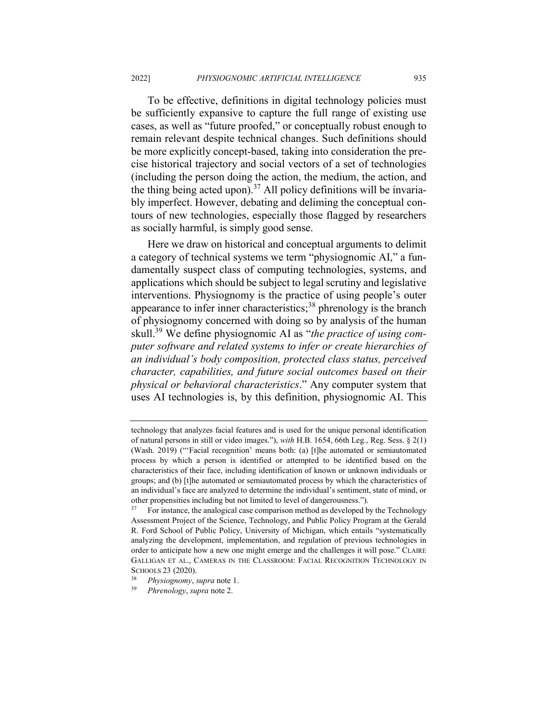To be effective, definitions in digital technology policies must be sufficiently expansive to capture the full range of existing use cases, as well as "future proofed," or conceptually robust enough to remain relevant despite technical changes. Such definitions should be more explicitly concept-based, taking into consideration the precise historical trajectory and social vectors of a set of technologies (including the person doing the action, the medium, the action, and the thing being acted upon).<sup>37</sup> All policy definitions will be invariably imperfect. However, debating and deliming the conceptual contours of new technologies, especially those flagged by researchers as socially harmful, is simply good sense.

Here we draw on historical and conceptual arguments to delimit a category of technical systems we term "physiognomic AI," a fundamentally suspect class of computing technologies, systems, and applications which should be subject to legal scrutiny and legislative interventions. Physiognomy is the practice of using people's outer appearance to infer inner characteristics; $38$  phrenology is the branch of physiognomy concerned with doing so by analysis of the human skull.39 We define physiognomic AI as "*the practice of using computer software and related systems to infer or create hierarchies of an individual's body composition, protected class status, perceived character, capabilities, and future social outcomes based on their physical or behavioral characteristics*." Any computer system that uses AI technologies is, by this definition, physiognomic AI. This

technology that analyzes facial features and is used for the unique personal identification of natural persons in still or video images."), *with* H.B. 1654, 66th Leg., Reg. Sess. § 2(1) (Wash. 2019) ("'Facial recognition' means both: (a) [t]he automated or semiautomated process by which a person is identified or attempted to be identified based on the characteristics of their face, including identification of known or unknown individuals or groups; and (b) [t]he automated or semiautomated process by which the characteristics of an individual's face are analyzed to determine the individual's sentiment, state of mind, or other propensities including but not limited to level of dangerousness.").

<sup>37</sup> For instance, the analogical case comparison method as developed by the Technology Assessment Project of the Science, Technology, and Public Policy Program at the Gerald R. Ford School of Public Policy, University of Michigan, which entails "systematically analyzing the development, implementation, and regulation of previous technologies in order to anticipate how a new one might emerge and the challenges it will pose." CLAIRE GALLIGAN ET AL., CAMERAS IN THE CLASSROOM: FACIAL RECOGNITION TECHNOLOGY IN SCHOOLS  $23$  (2020).

<sup>38</sup> *Physiognomy*, *supra* note 1.

<sup>39</sup> *Phrenology*, *supra* note 2.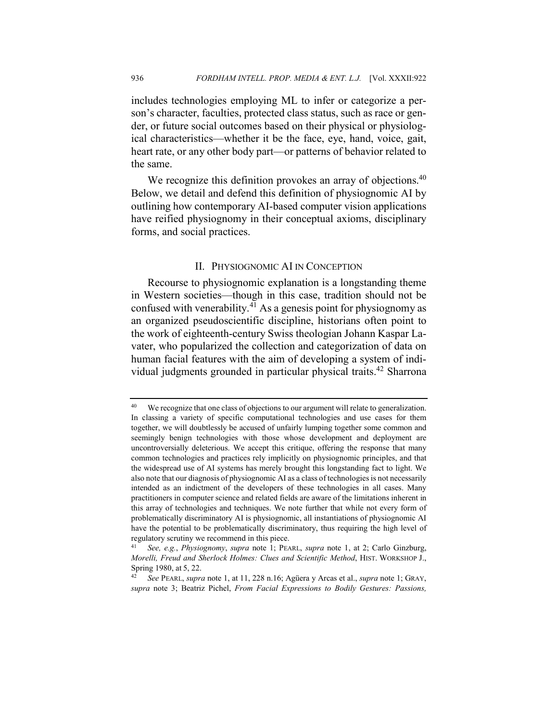includes technologies employing ML to infer or categorize a person's character, faculties, protected class status, such as race or gender, or future social outcomes based on their physical or physiological characteristics—whether it be the face, eye, hand, voice, gait, heart rate, or any other body part—or patterns of behavior related to the same.

We recognize this definition provokes an array of objections.<sup>40</sup> Below, we detail and defend this definition of physiognomic AI by outlining how contemporary AI-based computer vision applications have reified physiognomy in their conceptual axioms, disciplinary forms, and social practices.

## II. PHYSIOGNOMIC AI IN CONCEPTION

Recourse to physiognomic explanation is a longstanding theme in Western societies—though in this case, tradition should not be confused with venerability. $4\overline{1}$  As a genesis point for physiognomy as an organized pseudoscientific discipline, historians often point to the work of eighteenth-century Swiss theologian Johann Kaspar Lavater, who popularized the collection and categorization of data on human facial features with the aim of developing a system of individual judgments grounded in particular physical traits.<sup>42</sup> Sharrona

<sup>&</sup>lt;sup>40</sup> We recognize that one class of objections to our argument will relate to generalization. In classing a variety of specific computational technologies and use cases for them together, we will doubtlessly be accused of unfairly lumping together some common and seemingly benign technologies with those whose development and deployment are uncontroversially deleterious. We accept this critique, offering the response that many common technologies and practices rely implicitly on physiognomic principles, and that the widespread use of AI systems has merely brought this longstanding fact to light. We also note that our diagnosis of physiognomic AI as a class of technologies is not necessarily intended as an indictment of the developers of these technologies in all cases. Many practitioners in computer science and related fields are aware of the limitations inherent in this array of technologies and techniques. We note further that while not every form of problematically discriminatory AI is physiognomic, all instantiations of physiognomic AI have the potential to be problematically discriminatory, thus requiring the high level of regulatory scrutiny we recommend in this piece.

<sup>41</sup> *See, e.g.*, *Physiognomy*, *supra* note 1; PEARL, *supra* note 1, at 2; Carlo Ginzburg, *Morelli, Freud and Sherlock Holmes: Clues and Scientific Method*, HIST. WORKSHOP J., Spring 1980, at 5, 22.

<sup>42</sup> *See* PEARL, *supra* note 1, at 11, 228 n.16; Agüera y Arcas et al., *supra* note 1; GRAY, *supra* note 3; Beatriz Pichel, *From Facial Expressions to Bodily Gestures: Passions,*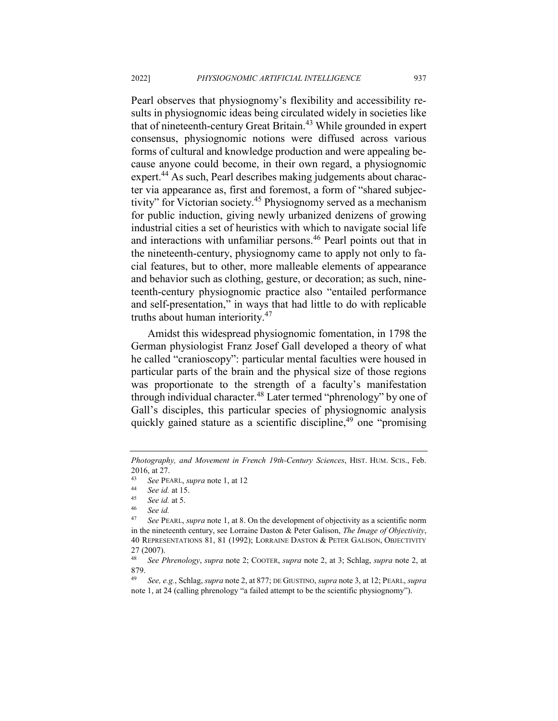Pearl observes that physiognomy's flexibility and accessibility results in physiognomic ideas being circulated widely in societies like that of nineteenth-century Great Britain.<sup>43</sup> While grounded in expert consensus, physiognomic notions were diffused across various forms of cultural and knowledge production and were appealing because anyone could become, in their own regard, a physiognomic expert.<sup>44</sup> As such, Pearl describes making judgements about character via appearance as, first and foremost, a form of "shared subjectivity" for Victorian society.<sup>45</sup> Physiognomy served as a mechanism for public induction, giving newly urbanized denizens of growing industrial cities a set of heuristics with which to navigate social life and interactions with unfamiliar persons.<sup>46</sup> Pearl points out that in the nineteenth-century, physiognomy came to apply not only to facial features, but to other, more malleable elements of appearance and behavior such as clothing, gesture, or decoration; as such, nineteenth-century physiognomic practice also "entailed performance and self-presentation," in ways that had little to do with replicable truths about human interiority.<sup>47</sup>

Amidst this widespread physiognomic fomentation, in 1798 the German physiologist Franz Josef Gall developed a theory of what he called "cranioscopy": particular mental faculties were housed in particular parts of the brain and the physical size of those regions was proportionate to the strength of a faculty's manifestation through individual character.<sup>48</sup> Later termed "phrenology" by one of Gall's disciples, this particular species of physiognomic analysis quickly gained stature as a scientific discipline,<sup>49</sup> one "promising"

*Photography, and Movement in French 19th-Century Sciences*, HIST. HUM. SCIS., Feb. 2016, at 27.

<sup>43</sup> *See* PEARL, *supra* note 1, at 12

<sup>44</sup> *See id.* at 15.

<sup>45</sup> *See id.* at 5.

<sup>&</sup>lt;sup>46</sup> *See id.*<br><sup>47</sup> *See PF* 

<sup>47</sup> *See* PEARL, *supra* note 1, at 8. On the development of objectivity as a scientific norm in the nineteenth century, see Lorraine Daston & Peter Galison, *The Image of Objectivity*, 40 REPRESENTATIONS 81, 81 (1992); LORRAINE DASTON & PETER GALISON, OBJECTIVITY 27 (2007).

<sup>48</sup> *See Phrenology*, *supra* note 2; COOTER, *supra* note 2, at 3; Schlag, *supra* note 2, at 879.

<sup>49</sup> *See, e.g.*, Schlag, *supra* note 2, at 877; DE GIUSTINO, *supra* note 3, at 12; PEARL, *supra*  note 1, at 24 (calling phrenology "a failed attempt to be the scientific physiognomy").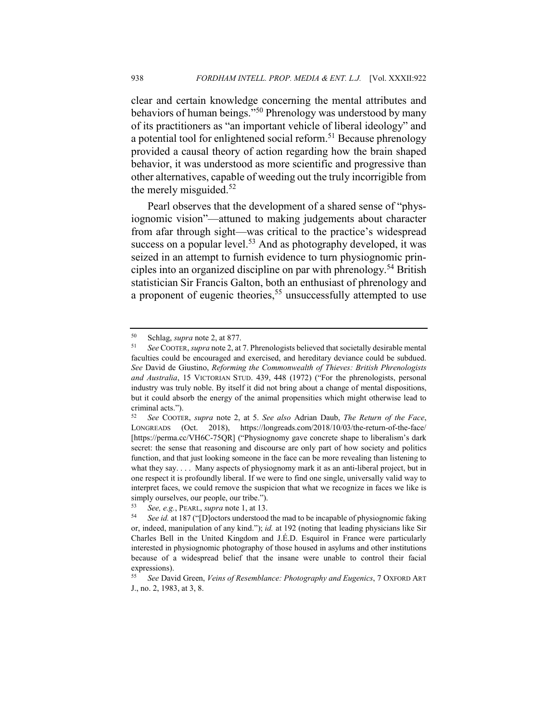clear and certain knowledge concerning the mental attributes and behaviors of human beings."<sup>50</sup> Phrenology was understood by many of its practitioners as "an important vehicle of liberal ideology" and a potential tool for enlightened social reform.<sup>51</sup> Because phrenology provided a causal theory of action regarding how the brain shaped behavior, it was understood as more scientific and progressive than other alternatives, capable of weeding out the truly incorrigible from the merely misguided. $52$ 

Pearl observes that the development of a shared sense of "physiognomic vision"—attuned to making judgements about character from afar through sight—was critical to the practice's widespread success on a popular level.<sup>53</sup> And as photography developed, it was seized in an attempt to furnish evidence to turn physiognomic principles into an organized discipline on par with phrenology.<sup>54</sup> British statistician Sir Francis Galton, both an enthusiast of phrenology and a proponent of eugenic theories,<sup>55</sup> unsuccessfully attempted to use

<sup>50</sup> Schlag, *supra* note 2, at 877.

<sup>51</sup> *See* COOTER, *supra* note 2, at 7. Phrenologists believed that societally desirable mental faculties could be encouraged and exercised, and hereditary deviance could be subdued. *See* David de Giustino, *Reforming the Commonwealth of Thieves: British Phrenologists and Australia*, 15 VICTORIAN STUD. 439, 448 (1972) ("For the phrenologists, personal industry was truly noble. By itself it did not bring about a change of mental dispositions, but it could absorb the energy of the animal propensities which might otherwise lead to criminal acts.").<br> $52 \quad \text{See CoOTE}$ 

<sup>52</sup> *See* COOTER, *supra* note 2, at 5. *See also* Adrian Daub, *The Return of the Face*, LONGREADS (Oct. 2018), https://longreads.com/2018/10/03/the-return-of-the-face/ [https://perma.cc/VH6C-75QR] ("Physiognomy gave concrete shape to liberalism's dark secret: the sense that reasoning and discourse are only part of how society and politics function, and that just looking someone in the face can be more revealing than listening to what they say. . . . Many aspects of physiognomy mark it as an anti-liberal project, but in one respect it is profoundly liberal. If we were to find one single, universally valid way to interpret faces, we could remove the suspicion that what we recognize in faces we like is simply ourselves, our people, our tribe.").

<sup>53</sup> *See, e.g.*, PEARL, *supra* note 1, at 13.

<sup>54</sup> *See id.* at 187 ("[D]octors understood the mad to be incapable of physiognomic faking or, indeed, manipulation of any kind."); *id.* at 192 (noting that leading physicians like Sir Charles Bell in the United Kingdom and J.É.D. Esquirol in France were particularly interested in physiognomic photography of those housed in asylums and other institutions because of a widespread belief that the insane were unable to control their facial expressions).

<sup>55</sup> *See* David Green, *Veins of Resemblance: Photography and Eugenics*, 7 OXFORD ART J., no. 2, 1983, at 3, 8.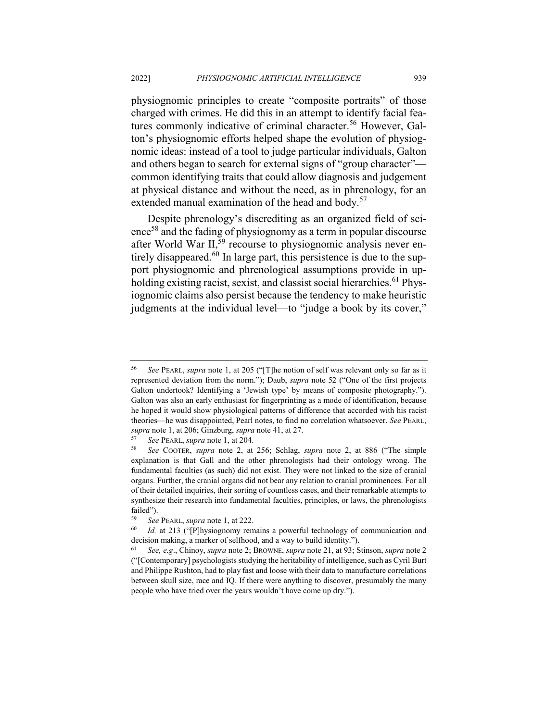physiognomic principles to create "composite portraits" of those charged with crimes. He did this in an attempt to identify facial features commonly indicative of criminal character.<sup>56</sup> However, Galton's physiognomic efforts helped shape the evolution of physiognomic ideas: instead of a tool to judge particular individuals, Galton and others began to search for external signs of "group character" common identifying traits that could allow diagnosis and judgement at physical distance and without the need, as in phrenology, for an extended manual examination of the head and body. $57$ 

Despite phrenology's discrediting as an organized field of sci $e^{58}$  and the fading of physiognomy as a term in popular discourse after World War  $II$ ,  $\frac{59}{9}$  recourse to physiognomic analysis never entirely disappeared.<sup>60</sup> In large part, this persistence is due to the support physiognomic and phrenological assumptions provide in upholding existing racist, sexist, and classist social hierarchies.<sup>61</sup> Physiognomic claims also persist because the tendency to make heuristic judgments at the individual level—to "judge a book by its cover,"

<sup>56</sup> *See* PEARL, *supra* note 1, at 205 ("[T]he notion of self was relevant only so far as it represented deviation from the norm."); Daub, *supra* note 52 ("One of the first projects Galton undertook? Identifying a 'Jewish type' by means of composite photography."). Galton was also an early enthusiast for fingerprinting as a mode of identification, because he hoped it would show physiological patterns of difference that accorded with his racist theories—he was disappointed, Pearl notes, to find no correlation whatsoever. *See* PEARL, *supra* note 1, at 206; Ginzburg, *supra* note 41, at 27.

<sup>57</sup> *See* PEARL, *supra* note 1, at 204.

<sup>58</sup> *See* COOTER, *supra* note 2, at 256; Schlag, *supra* note 2, at 886 ("The simple explanation is that Gall and the other phrenologists had their ontology wrong. The fundamental faculties (as such) did not exist. They were not linked to the size of cranial organs. Further, the cranial organs did not bear any relation to cranial prominences. For all of their detailed inquiries, their sorting of countless cases, and their remarkable attempts to synthesize their research into fundamental faculties, principles, or laws, the phrenologists failed").<br> $59 \, \text{C}_{22}$ 

<sup>59</sup> *See* PEARL, *supra* note 1, at 222.

<sup>&</sup>lt;sup>60</sup> *Id.* at 213 ("[P]hysiognomy remains a powerful technology of communication and decision making, a marker of selfhood, and a way to build identity.").

<sup>61</sup> *See, e.g*., Chinoy, *supra* note 2; BROWNE, *supra* note 21, at 93; Stinson, *supra* note 2 ("[Contemporary] psychologists studying the heritability of intelligence, such as Cyril Burt and Philippe Rushton, had to play fast and loose with their data to manufacture correlations between skull size, race and IQ. If there were anything to discover, presumably the many people who have tried over the years wouldn't have come up dry.").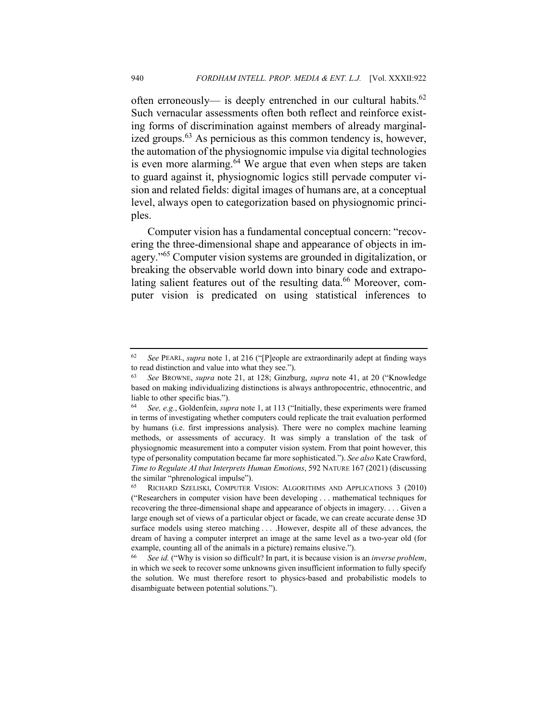often erroneously— is deeply entrenched in our cultural habits. $62$ Such vernacular assessments often both reflect and reinforce existing forms of discrimination against members of already marginalized groups.<sup>63</sup> As pernicious as this common tendency is, however, the automation of the physiognomic impulse via digital technologies is even more alarming. $64$  We argue that even when steps are taken to guard against it, physiognomic logics still pervade computer vision and related fields: digital images of humans are, at a conceptual level, always open to categorization based on physiognomic principles.

Computer vision has a fundamental conceptual concern: "recovering the three-dimensional shape and appearance of objects in imagery."<sup>65</sup> Computer vision systems are grounded in digitalization, or breaking the observable world down into binary code and extrapolating salient features out of the resulting data.<sup>66</sup> Moreover, computer vision is predicated on using statistical inferences to

<sup>62</sup> *See* PEARL, *supra* note 1, at 216 ("[P]eople are extraordinarily adept at finding ways to read distinction and value into what they see.").

<sup>63</sup> *See* BROWNE, *supra* note 21, at 128; Ginzburg, *supra* note 41, at 20 ("Knowledge based on making individualizing distinctions is always anthropocentric, ethnocentric, and liable to other specific bias.").

<sup>64</sup> *See, e.g.*, Goldenfein, *supra* note 1, at 113 ("Initially, these experiments were framed in terms of investigating whether computers could replicate the trait evaluation performed by humans (i.e. first impressions analysis). There were no complex machine learning methods, or assessments of accuracy. It was simply a translation of the task of physiognomic measurement into a computer vision system. From that point however, this type of personality computation became far more sophisticated."). *See also* Kate Crawford, *Time to Regulate AI that Interprets Human Emotions*, 592 NATURE 167 (2021) (discussing the similar "phrenological impulse").

<sup>65</sup> RICHARD SZELISKI, COMPUTER VISION: ALGORITHMS AND APPLICATIONS 3 (2010) ("Researchers in computer vision have been developing . . . mathematical techniques for recovering the three-dimensional shape and appearance of objects in imagery. . . . Given a large enough set of views of a particular object or facade, we can create accurate dense 3D surface models using stereo matching . . . .However, despite all of these advances, the dream of having a computer interpret an image at the same level as a two-year old (for example, counting all of the animals in a picture) remains elusive.").

<sup>66</sup> *See id.* ("Why is vision so difficult? In part, it is because vision is an *inverse problem*, in which we seek to recover some unknowns given insufficient information to fully specify the solution. We must therefore resort to physics-based and probabilistic models to disambiguate between potential solutions.").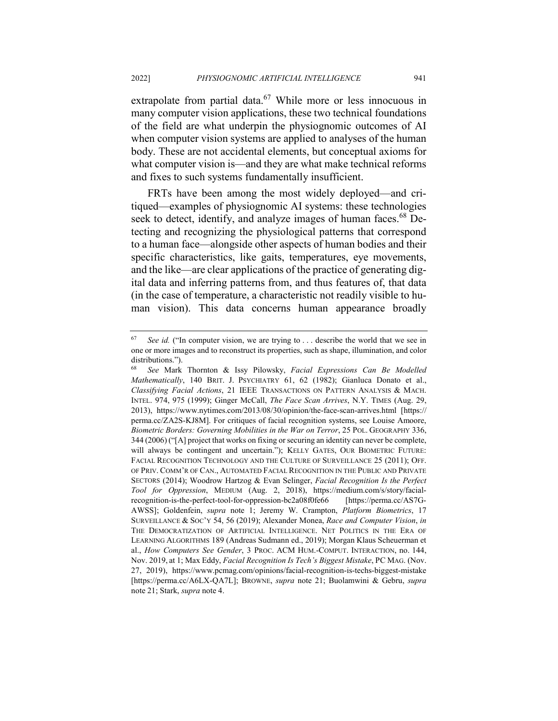extrapolate from partial data. $67$  While more or less innocuous in many computer vision applications, these two technical foundations of the field are what underpin the physiognomic outcomes of AI when computer vision systems are applied to analyses of the human body. These are not accidental elements, but conceptual axioms for what computer vision is—and they are what make technical reforms and fixes to such systems fundamentally insufficient.

FRTs have been among the most widely deployed—and critiqued—examples of physiognomic AI systems: these technologies seek to detect, identify, and analyze images of human faces.<sup>68</sup> Detecting and recognizing the physiological patterns that correspond to a human face—alongside other aspects of human bodies and their specific characteristics, like gaits, temperatures, eye movements, and the like—are clear applications of the practice of generating digital data and inferring patterns from, and thus features of, that data (in the case of temperature, a characteristic not readily visible to human vision). This data concerns human appearance broadly

<sup>&</sup>lt;sup>67</sup> *See id.* ("In computer vision, we are trying to ... describe the world that we see in one or more images and to reconstruct its properties, such as shape, illumination, and color distributions.").

<sup>68</sup> *See* Mark Thornton & Issy Pilowsky, *Facial Expressions Can Be Modelled Mathematically*, 140 BRIT. J. PSYCHIATRY 61, 62 (1982); Gianluca Donato et al., *Classifying Facial Actions*, 21 IEEE TRANSACTIONS ON PATTERN ANALYSIS & MACH. INTEL. 974, 975 (1999); Ginger McCall, *The Face Scan Arrives*, N.Y. TIMES (Aug. 29, 2013), https://www.nytimes.com/2013/08/30/opinion/the-face-scan-arrives.html [https:// perma.cc/ZA2S-KJ8M]. For critiques of facial recognition systems, see Louise Amoore, *Biometric Borders: Governing Mobilities in the War on Terror*, 25 POL. GEOGRAPHY 336, 344 (2006) ("[A] project that works on fixing or securing an identity can never be complete, will always be contingent and uncertain."); KELLY GATES, OUR BIOMETRIC FUTURE: FACIAL RECOGNITION TECHNOLOGY AND THE CULTURE OF SURVEILLANCE 25 (2011); OFF. OF PRIV. COMM'R OF CAN., AUTOMATED FACIAL RECOGNITION IN THE PUBLIC AND PRIVATE SECTORS (2014); Woodrow Hartzog & Evan Selinger, *Facial Recognition Is the Perfect Tool for Oppression*, MEDIUM (Aug. 2, 2018), https://medium.com/s/story/facialrecognition-is-the-perfect-tool-for-oppression-bc2a08f0fe66 [https://perma.cc/AS7G-AWSS]; Goldenfein, *supra* note 1; Jeremy W. Crampton, *Platform Biometrics*, 17 SURVEILLANCE & SOC'Y 54, 56 (2019); Alexander Monea, *Race and Computer Vision*, *in* THE DEMOCRATIZATION OF ARTIFICIAL INTELLIGENCE. NET POLITICS IN THE ERA OF LEARNING ALGORITHMS 189 (Andreas Sudmann ed., 2019); Morgan Klaus Scheuerman et al., *How Computers See Gender*, 3 PROC. ACM HUM.-COMPUT. INTERACTION, no. 144, Nov. 2019, at 1; Max Eddy, *Facial Recognition Is Tech's Biggest Mistake*, PC MAG. (Nov. 27, 2019), https://www.pcmag.com/opinions/facial-recognition-is-techs-biggest-mistake [https://perma.cc/A6LX-QA7L]; BROWNE, *supra* note 21; Buolamwini & Gebru, *supra*  note 21; Stark, *supra* note 4.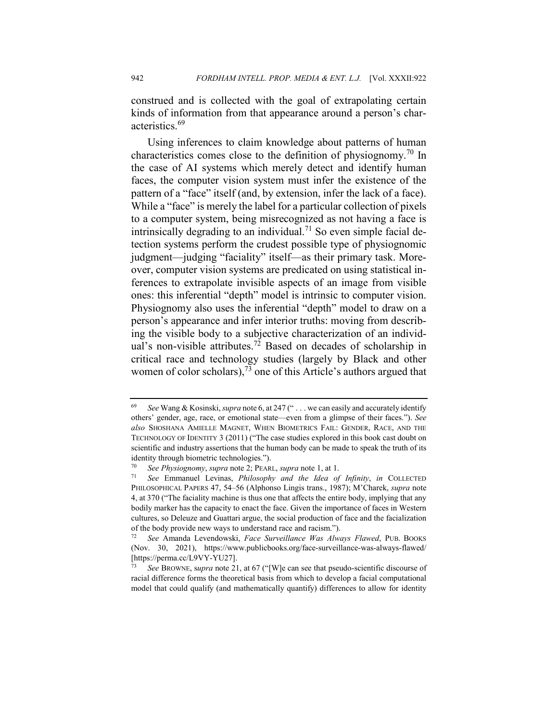construed and is collected with the goal of extrapolating certain kinds of information from that appearance around a person's characteristics.<sup>69</sup>

Using inferences to claim knowledge about patterns of human characteristics comes close to the definition of physiognomy.<sup>70</sup> In the case of AI systems which merely detect and identify human faces, the computer vision system must infer the existence of the pattern of a "face" itself (and, by extension, infer the lack of a face). While a "face" is merely the label for a particular collection of pixels to a computer system, being misrecognized as not having a face is intrinsically degrading to an individual.<sup>71</sup> So even simple facial detection systems perform the crudest possible type of physiognomic judgment—judging "faciality" itself—as their primary task. Moreover, computer vision systems are predicated on using statistical inferences to extrapolate invisible aspects of an image from visible ones: this inferential "depth" model is intrinsic to computer vision. Physiognomy also uses the inferential "depth" model to draw on a person's appearance and infer interior truths: moving from describing the visible body to a subjective characterization of an individual's non-visible attributes.<sup>72</sup> Based on decades of scholarship in critical race and technology studies (largely by Black and other women of color scholars), $^{73}$  one of this Article's authors argued that

<sup>69</sup> *See* Wang & Kosinski, *supra* note 6, at 247 (" . . . we can easily and accurately identify others' gender, age, race, or emotional state—even from a glimpse of their faces."). *See also* SHOSHANA AMIELLE MAGNET, WHEN BIOMETRICS FAIL: GENDER, RACE, AND THE TECHNOLOGY OF IDENTITY 3 (2011) ("The case studies explored in this book cast doubt on scientific and industry assertions that the human body can be made to speak the truth of its identity through biometric technologies.").

<sup>70</sup> *See Physiognomy*, *supra* note 2; PEARL, *supra* note 1, at 1.

<sup>71</sup> *See* Emmanuel Levinas, *Philosophy and the Idea of Infinity*, *in* COLLECTED PHILOSOPHICAL PAPERS 47, 54–56 (Alphonso Lingis trans., 1987); M'Charek, *supra* note 4, at 370 ("The faciality machine is thus one that affects the entire body, implying that any bodily marker has the capacity to enact the face. Given the importance of faces in Western cultures, so Deleuze and Guattari argue, the social production of face and the facialization of the body provide new ways to understand race and racism.").

<sup>72</sup> *See* Amanda Levendowski, *Face Surveillance Was Always Flawed*, PUB. BOOKS (Nov. 30, 2021), https://www.publicbooks.org/face-surveillance-was-always-flawed/ [https://perma.cc/L9VY-YU27].

See BROWNE, supra note 21, at 67 ("[W]e can see that pseudo-scientific discourse of racial difference forms the theoretical basis from which to develop a facial computational model that could qualify (and mathematically quantify) differences to allow for identity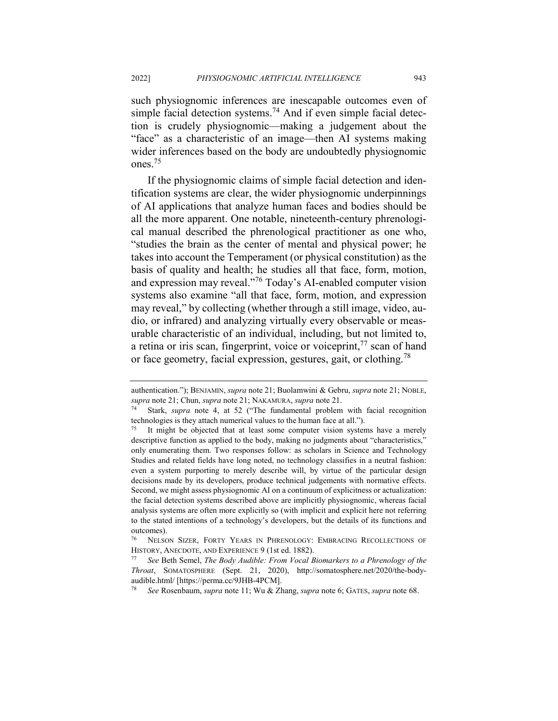such physiognomic inferences are inescapable outcomes even of simple facial detection systems.<sup>74</sup> And if even simple facial detection is crudely physiognomic—making a judgement about the "face" as a characteristic of an image—then AI systems making wider inferences based on the body are undoubtedly physiognomic ones.75

If the physiognomic claims of simple facial detection and identification systems are clear, the wider physiognomic underpinnings of AI applications that analyze human faces and bodies should be all the more apparent. One notable, nineteenth-century phrenological manual described the phrenological practitioner as one who, "studies the brain as the center of mental and physical power; he takes into account the Temperament (or physical constitution) as the basis of quality and health; he studies all that face, form, motion, and expression may reveal."<sup>76</sup> Today's AI-enabled computer vision systems also examine "all that face, form, motion, and expression may reveal," by collecting (whether through a still image, video, audio, or infrared) and analyzing virtually every observable or measurable characteristic of an individual, including, but not limited to, a retina or iris scan, fingerprint, voice or voiceprint, $^{77}$  scan of hand or face geometry, facial expression, gestures, gait, or clothing.<sup>78</sup>

authentication."); BENJAMIN, *supra* note 21; Buolamwini & Gebru, *supra* note 21; NOBLE, *supra* note 21; Chun, *supra* note 21; NAKAMURA, *supra* note 21.

<sup>74</sup> Stark, *supra* note 4, at 52 ("The fundamental problem with facial recognition technologies is they attach numerical values to the human face at all.").

<sup>&</sup>lt;sup>75</sup> It might be objected that at least some computer vision systems have a merely descriptive function as applied to the body, making no judgments about "characteristics," only enumerating them. Two responses follow: as scholars in Science and Technology Studies and related fields have long noted, no technology classifies in a neutral fashion: even a system purporting to merely describe will, by virtue of the particular design decisions made by its developers, produce technical judgements with normative effects. Second, we might assess physiognomic AI on a continuum of explicitness or actualization: the facial detection systems described above are implicitly physiognomic, whereas facial analysis systems are often more explicitly so (with implicit and explicit here not referring to the stated intentions of a technology's developers, but the details of its functions and outcomes).

<sup>76</sup> NELSON SIZER, FORTY YEARS IN PHRENOLOGY: EMBRACING RECOLLECTIONS OF HISTORY, ANECDOTE, AND EXPERIENCE 9 (1st ed. 1882).

<sup>77</sup> *See* Beth Semel, *The Body Audible: From Vocal Biomarkers to a Phrenology of the Throat*, SOMATOSPHERE (Sept. 21, 2020), http://somatosphere.net/2020/the-bodyaudible.html/ [https://perma.cc/9JHB-4PCM].

<sup>78</sup> *See* Rosenbaum, *supra* note 11; Wu & Zhang, *supra* note 6; GATES, *supra* note 68.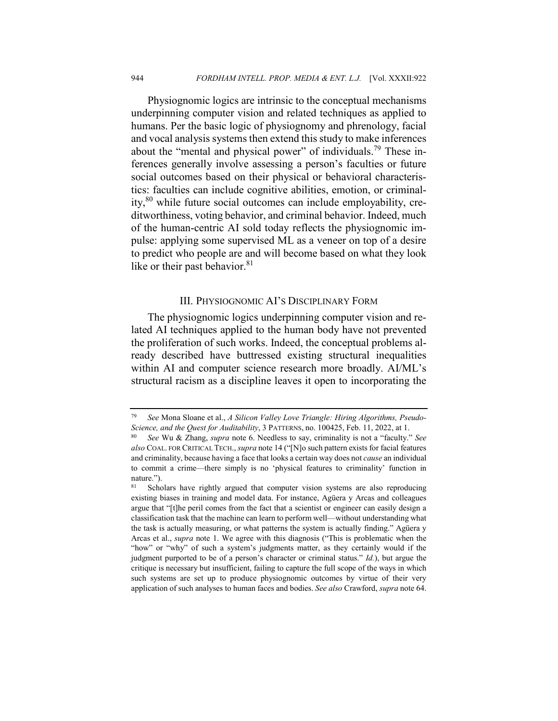Physiognomic logics are intrinsic to the conceptual mechanisms underpinning computer vision and related techniques as applied to humans. Per the basic logic of physiognomy and phrenology, facial and vocal analysis systems then extend this study to make inferences about the "mental and physical power" of individuals.<sup>79</sup> These inferences generally involve assessing a person's faculties or future social outcomes based on their physical or behavioral characteristics: faculties can include cognitive abilities, emotion, or criminality,<sup>80</sup> while future social outcomes can include employability, creditworthiness, voting behavior, and criminal behavior. Indeed, much of the human-centric AI sold today reflects the physiognomic impulse: applying some supervised ML as a veneer on top of a desire to predict who people are and will become based on what they look like or their past behavior. $81$ 

### III. PHYSIOGNOMIC AI'S DISCIPLINARY FORM

The physiognomic logics underpinning computer vision and related AI techniques applied to the human body have not prevented the proliferation of such works. Indeed, the conceptual problems already described have buttressed existing structural inequalities within AI and computer science research more broadly. AI/ML's structural racism as a discipline leaves it open to incorporating the

<sup>79</sup> *See* Mona Sloane et al., *A Silicon Valley Love Triangle: Hiring Algorithms, Pseudo-Science, and the Quest for Auditability*, 3 PATTERNS, no. 100425, Feb. 11, 2022, at 1.

<sup>80</sup> *See* Wu & Zhang, *supra* note 6. Needless to say, criminality is not a "faculty." *See also* COAL. FOR CRITICAL TECH., *supra* note 14 ("[N]o such pattern exists for facial features and criminality, because having a face that looks a certain way does not *cause* an individual to commit a crime—there simply is no 'physical features to criminality' function in nature.").

<sup>81</sup> Scholars have rightly argued that computer vision systems are also reproducing existing biases in training and model data. For instance, Agüera y Arcas and colleagues argue that "[t]he peril comes from the fact that a scientist or engineer can easily design a classification task that the machine can learn to perform well—without understanding what the task is actually measuring, or what patterns the system is actually finding." Agüera y Arcas et al., *supra* note 1. We agree with this diagnosis ("This is problematic when the "how" or "why" of such a system's judgments matter, as they certainly would if the judgment purported to be of a person's character or criminal status." *Id.*), but argue the critique is necessary but insufficient, failing to capture the full scope of the ways in which such systems are set up to produce physiognomic outcomes by virtue of their very application of such analyses to human faces and bodies. *See also* Crawford, *supra* note 64.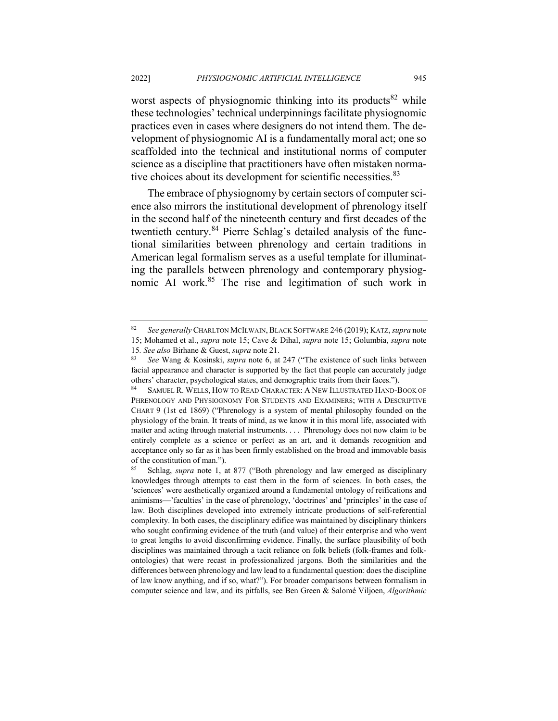worst aspects of physiognomic thinking into its products<sup>82</sup> while these technologies' technical underpinnings facilitate physiognomic practices even in cases where designers do not intend them. The development of physiognomic AI is a fundamentally moral act; one so scaffolded into the technical and institutional norms of computer science as a discipline that practitioners have often mistaken normative choices about its development for scientific necessities.<sup>83</sup>

The embrace of physiognomy by certain sectors of computer science also mirrors the institutional development of phrenology itself in the second half of the nineteenth century and first decades of the twentieth century.<sup>84</sup> Pierre Schlag's detailed analysis of the functional similarities between phrenology and certain traditions in American legal formalism serves as a useful template for illuminating the parallels between phrenology and contemporary physiognomic AI work.<sup>85</sup> The rise and legitimation of such work in

<sup>82</sup> *See generally* CHARLTON MCILWAIN,BLACK SOFTWARE 246 (2019); KATZ, *supra* note 15; Mohamed et al., *supra* note 15; Cave & Dihal, *supra* note 15; Golumbia, *supra* note

<sup>15</sup>*. See also* Birhane & Guest, *supra* note 21.

<sup>83</sup> *See* Wang & Kosinski, *supra* note 6, at 247 ("The existence of such links between facial appearance and character is supported by the fact that people can accurately judge others' character, psychological states, and demographic traits from their faces.").

<sup>84</sup> SAMUEL R. WELLS, HOW TO READ CHARACTER: A NEW ILLUSTRATED HAND-BOOK OF PHRENOLOGY AND PHYSIOGNOMY FOR STUDENTS AND EXAMINERS; WITH A DESCRIPTIVE CHART 9 (1st ed 1869) ("Phrenology is a system of mental philosophy founded on the physiology of the brain. It treats of mind, as we know it in this moral life, associated with matter and acting through material instruments. . . . Phrenology does not now claim to be entirely complete as a science or perfect as an art, and it demands recognition and acceptance only so far as it has been firmly established on the broad and immovable basis of the constitution of man.").

Schlag, *supra* note 1, at 877 ("Both phrenology and law emerged as disciplinary knowledges through attempts to cast them in the form of sciences. In both cases, the 'sciences' were aesthetically organized around a fundamental ontology of reifications and animisms—'faculties' in the case of phrenology, 'doctrines' and 'principles' in the case of law. Both disciplines developed into extremely intricate productions of self-referential complexity. In both cases, the disciplinary edifice was maintained by disciplinary thinkers who sought confirming evidence of the truth (and value) of their enterprise and who went to great lengths to avoid disconfirming evidence. Finally, the surface plausibility of both disciplines was maintained through a tacit reliance on folk beliefs (folk-frames and folkontologies) that were recast in professionalized jargons. Both the similarities and the differences between phrenology and law lead to a fundamental question: does the discipline of law know anything, and if so, what?"). For broader comparisons between formalism in computer science and law, and its pitfalls, see Ben Green & Salomé Viljoen, *Algorithmic*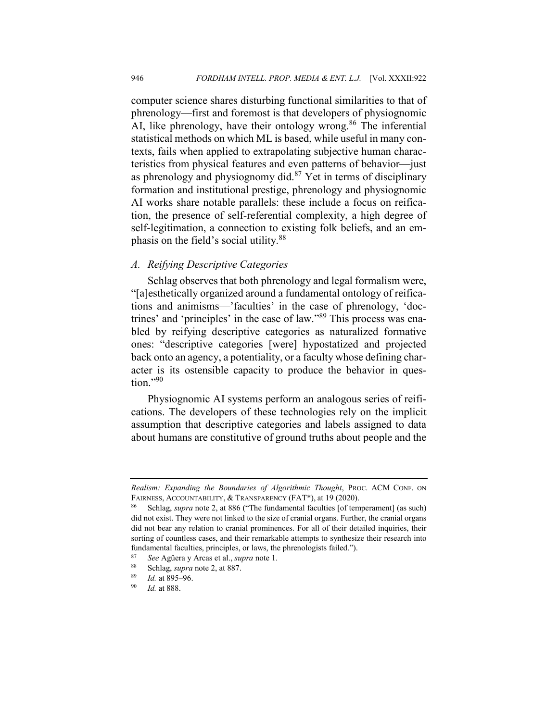computer science shares disturbing functional similarities to that of phrenology—first and foremost is that developers of physiognomic AI, like phrenology, have their ontology wrong.<sup>86</sup> The inferential statistical methods on which ML is based, while useful in many contexts, fails when applied to extrapolating subjective human characteristics from physical features and even patterns of behavior—just as phrenology and physiognomy did. $87$  Yet in terms of disciplinary formation and institutional prestige, phrenology and physiognomic AI works share notable parallels: these include a focus on reification, the presence of self-referential complexity, a high degree of self-legitimation, a connection to existing folk beliefs, and an emphasis on the field's social utility.<sup>88</sup>

#### *A. Reifying Descriptive Categories*

Schlag observes that both phrenology and legal formalism were, "[a]esthetically organized around a fundamental ontology of reifications and animisms—'faculties' in the case of phrenology, 'doctrines' and 'principles' in the case of law."<sup>89</sup> This process was enabled by reifying descriptive categories as naturalized formative ones: "descriptive categories [were] hypostatized and projected back onto an agency, a potentiality, or a faculty whose defining character is its ostensible capacity to produce the behavior in question." $90$ 

Physiognomic AI systems perform an analogous series of reifications. The developers of these technologies rely on the implicit assumption that descriptive categories and labels assigned to data about humans are constitutive of ground truths about people and the

*Realism: Expanding the Boundaries of Algorithmic Thought*, PROC. ACM CONF. ON FAIRNESS, ACCOUNTABILITY, & TRANSPARENCY (FAT\*), at 19 (2020).

<sup>86</sup> Schlag, *supra* note 2, at 886 ("The fundamental faculties [of temperament] (as such) did not exist. They were not linked to the size of cranial organs. Further, the cranial organs did not bear any relation to cranial prominences. For all of their detailed inquiries, their sorting of countless cases, and their remarkable attempts to synthesize their research into fundamental faculties, principles, or laws, the phrenologists failed.").

<sup>87</sup> *See* Agüera y Arcas et al., *supra* note 1.

Schlag, *supra* note 2, at 887.

 $\frac{89}{90}$  *Id.* at 895–96.

*Id.* at 888.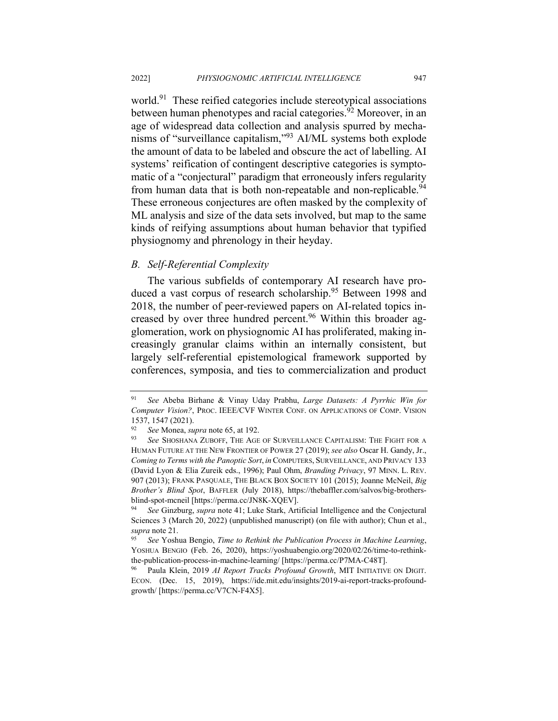world.<sup>91</sup> These reified categories include stereotypical associations between human phenotypes and racial categories.<sup>92</sup> Moreover, in an age of widespread data collection and analysis spurred by mechanisms of "surveillance capitalism,"93 AI/ML systems both explode the amount of data to be labeled and obscure the act of labelling. AI systems' reification of contingent descriptive categories is symptomatic of a "conjectural" paradigm that erroneously infers regularity from human data that is both non-repeatable and non-replicable.<sup>94</sup> These erroneous conjectures are often masked by the complexity of ML analysis and size of the data sets involved, but map to the same kinds of reifying assumptions about human behavior that typified physiognomy and phrenology in their heyday.

#### *B. Self-Referential Complexity*

The various subfields of contemporary AI research have produced a vast corpus of research scholarship.<sup>95</sup> Between 1998 and 2018, the number of peer-reviewed papers on AI-related topics increased by over three hundred percent.<sup>96</sup> Within this broader agglomeration, work on physiognomic AI has proliferated, making increasingly granular claims within an internally consistent, but largely self-referential epistemological framework supported by conferences, symposia, and ties to commercialization and product

<sup>91</sup> *See* Abeba Birhane & Vinay Uday Prabhu, *Large Datasets: A Pyrrhic Win for Computer Vision?*, PROC. IEEE/CVF WINTER CONF. ON APPLICATIONS OF COMP. VISION 1537, 1547 (2021).<br><sup>92</sup> See Mongo Su

<sup>92</sup> *See* Monea, *supra* note 65, at 192.

<sup>93</sup> *See* SHOSHANA ZUBOFF, THE AGE OF SURVEILLANCE CAPITALISM: THE FIGHT FOR A HUMAN FUTURE AT THE NEW FRONTIER OF POWER 27 (2019); *see also* Oscar H. Gandy, Jr., *Coming to Terms with the Panoptic Sort*, *in*COMPUTERS, SURVEILLANCE, AND PRIVACY 133 (David Lyon & Elia Zureik eds., 1996); Paul Ohm, *Branding Privacy*, 97 MINN. L. REV. 907 (2013); FRANK PASQUALE, THE BLACK BOX SOCIETY 101 (2015); Joanne McNeil, *Big Brother's Blind Spot*, BAFFLER (July 2018), https://thebaffler.com/salvos/big-brothersblind-spot-mcneil [https://perma.cc/JN8K-XQEV].

<sup>94</sup> *See* Ginzburg, *supra* note 41; Luke Stark, Artificial Intelligence and the Conjectural Sciences 3 (March 20, 2022) (unpublished manuscript) (on file with author); Chun et al., *supra* note 21.

<sup>95</sup> *See* Yoshua Bengio, *Time to Rethink the Publication Process in Machine Learning*, YOSHUA BENGIO (Feb. 26, 2020), https://yoshuabengio.org/2020/02/26/time-to-rethinkthe-publication-process-in-machine-learning/ [https://perma.cc/P7MA-C48T].

<sup>96</sup> Paula Klein, 2019 *AI Report Tracks Profound Growth*, MIT INITIATIVE ON DIGIT. ECON. (Dec. 15, 2019), https://ide.mit.edu/insights/2019-ai-report-tracks-profoundgrowth/ [https://perma.cc/V7CN-F4X5].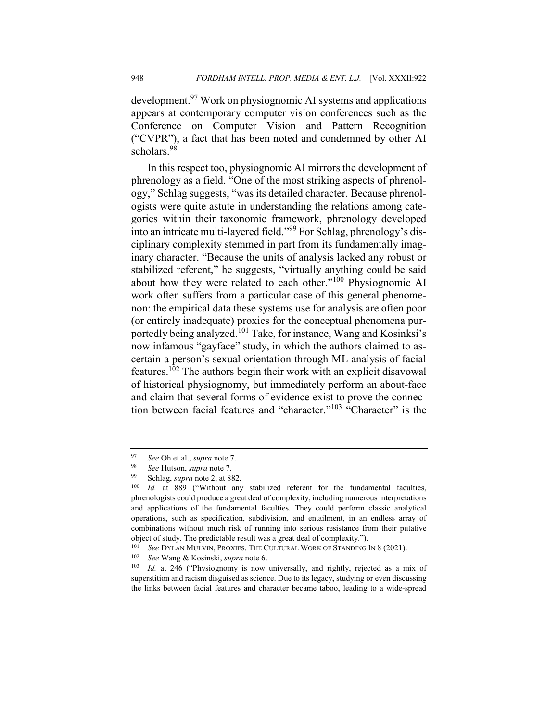development.<sup>97</sup> Work on physiognomic AI systems and applications appears at contemporary computer vision conferences such as the Conference on Computer Vision and Pattern Recognition ("CVPR"), a fact that has been noted and condemned by other AI scholars.<sup>98</sup>

In this respect too, physiognomic AI mirrors the development of phrenology as a field. "One of the most striking aspects of phrenology," Schlag suggests, "was its detailed character. Because phrenologists were quite astute in understanding the relations among categories within their taxonomic framework, phrenology developed into an intricate multi-layered field."<sup>99</sup> For Schlag, phrenology's disciplinary complexity stemmed in part from its fundamentally imaginary character. "Because the units of analysis lacked any robust or stabilized referent," he suggests, "virtually anything could be said about how they were related to each other."<sup>100</sup> Physiognomic AI work often suffers from a particular case of this general phenomenon: the empirical data these systems use for analysis are often poor (or entirely inadequate) proxies for the conceptual phenomena purportedly being analyzed.<sup>101</sup> Take, for instance, Wang and Kosinksi's now infamous "gayface" study, in which the authors claimed to ascertain a person's sexual orientation through ML analysis of facial features.102 The authors begin their work with an explicit disavowal of historical physiognomy, but immediately perform an about-face and claim that several forms of evidence exist to prove the connection between facial features and "character."<sup>103</sup> "Character" is the

<sup>97</sup> *See* Oh et al., *supra* note 7.

<sup>98</sup> *See* Hutson, *supra* note 7.

<sup>&</sup>lt;sup>99</sup> Schlag, *supra* note 2, at 882.<br><sup>100</sup> *Id* at 889 ("Without any

*Id.* at 889 ("Without any stabilized referent for the fundamental faculties, phrenologists could produce a great deal of complexity, including numerous interpretations and applications of the fundamental faculties. They could perform classic analytical operations, such as specification, subdivision, and entailment, in an endless array of combinations without much risk of running into serious resistance from their putative object of study. The predictable result was a great deal of complexity.").

<sup>&</sup>lt;sup>101</sup> *See* DYLAN MULVIN, PROXIES: THE CULTURAL WORK OF STANDING IN 8 (2021).<br><sup>102</sup> *See* Wang & Kosinski *sunra* note 6

<sup>102</sup> *See* Wang & Kosinski, *supra* note 6.

Id. at 246 ("Physiognomy is now universally, and rightly, rejected as a mix of superstition and racism disguised as science. Due to its legacy, studying or even discussing the links between facial features and character became taboo, leading to a wide-spread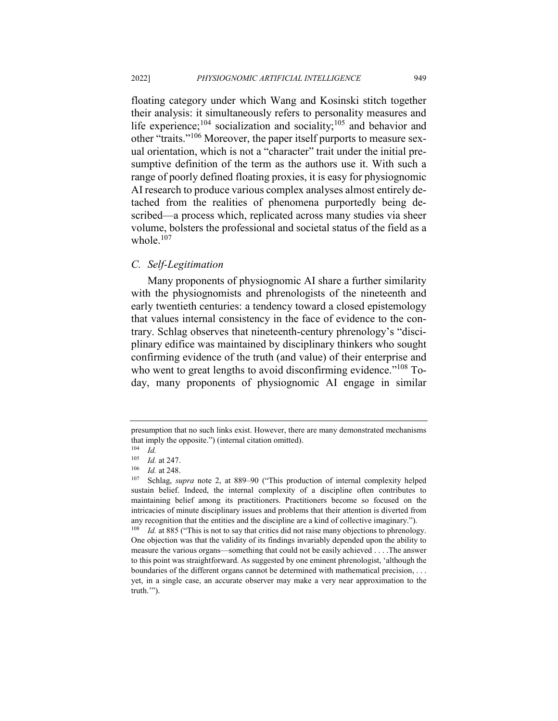floating category under which Wang and Kosinski stitch together their analysis: it simultaneously refers to personality measures and life experience;<sup>104</sup> socialization and sociality;<sup>105</sup> and behavior and other "traits."<sup>106</sup> Moreover, the paper itself purports to measure sexual orientation, which is not a "character" trait under the initial presumptive definition of the term as the authors use it. With such a range of poorly defined floating proxies, it is easy for physiognomic AI research to produce various complex analyses almost entirely detached from the realities of phenomena purportedly being described—a process which, replicated across many studies via sheer volume, bolsters the professional and societal status of the field as a whole.<sup>107</sup>

#### *C. Self-Legitimation*

Many proponents of physiognomic AI share a further similarity with the physiognomists and phrenologists of the nineteenth and early twentieth centuries: a tendency toward a closed epistemology that values internal consistency in the face of evidence to the contrary. Schlag observes that nineteenth-century phrenology's "disciplinary edifice was maintained by disciplinary thinkers who sought confirming evidence of the truth (and value) of their enterprise and who went to great lengths to avoid disconfirming evidence."<sup>108</sup> Today, many proponents of physiognomic AI engage in similar

presumption that no such links exist. However, there are many demonstrated mechanisms that imply the opposite.") (internal citation omitted).

 $\frac{104}{105}$  *Id.* 

*Id.* at 247.

<sup>106</sup> *Id.* at 248.<br><sup>107</sup> Schlag. st

Schlag, *supra* note 2, at 889–90 ("This production of internal complexity helped sustain belief. Indeed, the internal complexity of a discipline often contributes to maintaining belief among its practitioners. Practitioners become so focused on the intricacies of minute disciplinary issues and problems that their attention is diverted from any recognition that the entities and the discipline are a kind of collective imaginary.").

<sup>&</sup>lt;sup>108</sup> *Id.* at 885 ("This is not to say that critics did not raise many objections to phrenology. One objection was that the validity of its findings invariably depended upon the ability to measure the various organs—something that could not be easily achieved . . . .The answer to this point was straightforward. As suggested by one eminent phrenologist, 'although the boundaries of the different organs cannot be determined with mathematical precision, . . . yet, in a single case, an accurate observer may make a very near approximation to the truth.'").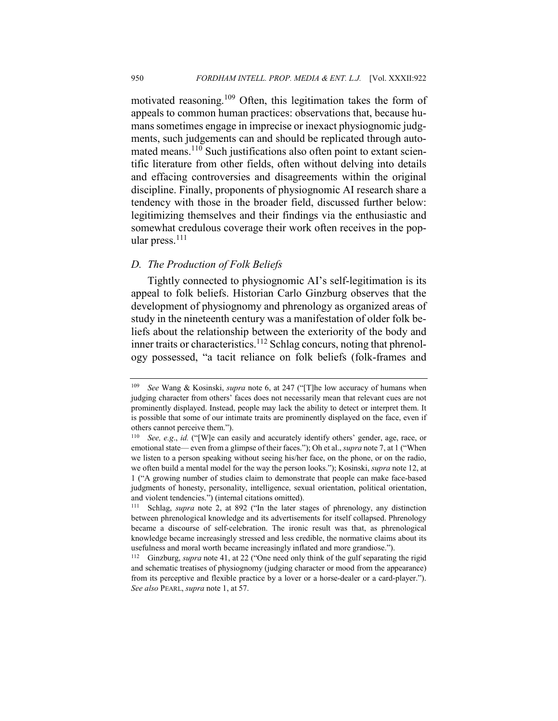motivated reasoning.<sup>109</sup> Often, this legitimation takes the form of appeals to common human practices: observations that, because humans sometimes engage in imprecise or inexact physiognomic judgments, such judgements can and should be replicated through automated means.<sup>110</sup> Such justifications also often point to extant scientific literature from other fields, often without delving into details and effacing controversies and disagreements within the original discipline. Finally, proponents of physiognomic AI research share a tendency with those in the broader field, discussed further below: legitimizing themselves and their findings via the enthusiastic and somewhat credulous coverage their work often receives in the popular press.<sup>111</sup>

#### *D. The Production of Folk Beliefs*

Tightly connected to physiognomic AI's self-legitimation is its appeal to folk beliefs. Historian Carlo Ginzburg observes that the development of physiognomy and phrenology as organized areas of study in the nineteenth century was a manifestation of older folk beliefs about the relationship between the exteriority of the body and inner traits or characteristics.<sup>112</sup> Schlag concurs, noting that phrenology possessed, "a tacit reliance on folk beliefs (folk-frames and

<sup>109</sup> *See* Wang & Kosinski, *supra* note 6, at 247 ("[T]he low accuracy of humans when judging character from others' faces does not necessarily mean that relevant cues are not prominently displayed. Instead, people may lack the ability to detect or interpret them. It is possible that some of our intimate traits are prominently displayed on the face, even if others cannot perceive them.").

<sup>110</sup> *See, e.g*., *id.* ("[W]e can easily and accurately identify others' gender, age, race, or emotional state— even from a glimpse of their faces."); Oh et al., *supra* note 7, at 1 ("When we listen to a person speaking without seeing his/her face, on the phone, or on the radio, we often build a mental model for the way the person looks."); Kosinski, *supra* note 12, at 1 ("A growing number of studies claim to demonstrate that people can make face-based judgments of honesty, personality, intelligence, sexual orientation, political orientation, and violent tendencies.") (internal citations omitted).

<sup>111</sup> Schlag, *supra* note 2, at 892 ("In the later stages of phrenology, any distinction between phrenological knowledge and its advertisements for itself collapsed. Phrenology became a discourse of self-celebration. The ironic result was that, as phrenological knowledge became increasingly stressed and less credible, the normative claims about its usefulness and moral worth became increasingly inflated and more grandiose.").

<sup>112</sup> Ginzburg, *supra* note 41, at 22 ("One need only think of the gulf separating the rigid and schematic treatises of physiognomy (judging character or mood from the appearance) from its perceptive and flexible practice by a lover or a horse-dealer or a card-player."). *See also* PEARL, *supra* note 1, at 57.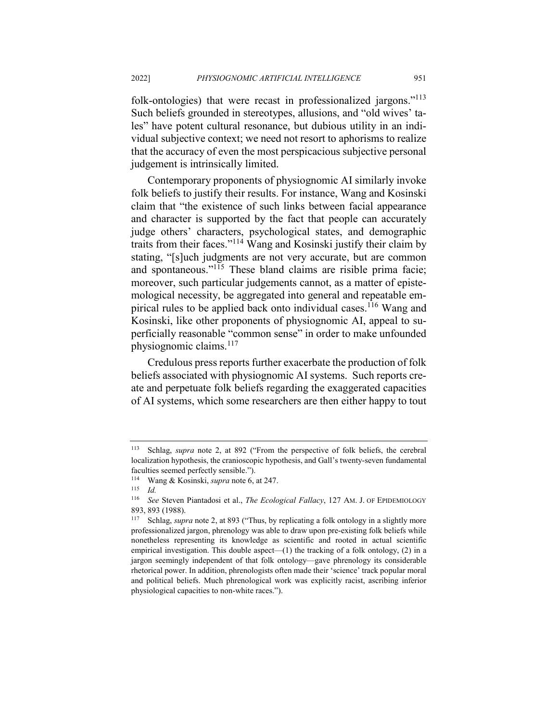folk-ontologies) that were recast in professionalized jargons."<sup>113</sup> Such beliefs grounded in stereotypes, allusions, and "old wives' tales" have potent cultural resonance, but dubious utility in an individual subjective context; we need not resort to aphorisms to realize that the accuracy of even the most perspicacious subjective personal judgement is intrinsically limited.

Contemporary proponents of physiognomic AI similarly invoke folk beliefs to justify their results. For instance, Wang and Kosinski claim that "the existence of such links between facial appearance and character is supported by the fact that people can accurately judge others' characters, psychological states, and demographic traits from their faces."<sup>114</sup> Wang and Kosinski justify their claim by stating, "[s]uch judgments are not very accurate, but are common and spontaneous."<sup>115</sup> These bland claims are risible prima facie; moreover, such particular judgements cannot, as a matter of epistemological necessity, be aggregated into general and repeatable empirical rules to be applied back onto individual cases.<sup>116</sup> Wang and Kosinski, like other proponents of physiognomic AI, appeal to superficially reasonable "common sense" in order to make unfounded physiognomic claims.<sup>117</sup>

Credulous press reports further exacerbate the production of folk beliefs associated with physiognomic AI systems. Such reports create and perpetuate folk beliefs regarding the exaggerated capacities of AI systems, which some researchers are then either happy to tout

<sup>113</sup> Schlag, *supra* note 2, at 892 ("From the perspective of folk beliefs, the cerebral localization hypothesis, the cranioscopic hypothesis, and Gall's twenty-seven fundamental faculties seemed perfectly sensible.").

<sup>114</sup> Wang & Kosinski, *supra* note 6, at 247.

<sup>115</sup> *Id.*

<sup>116</sup> *See* Steven Piantadosi et al., *The Ecological Fallacy*, 127 AM. J. OF EPIDEMIOLOGY 893, 893 (1988).<br><sup>117</sup> Schlag, *supi* 

Schlag, *supra* note 2, at 893 ("Thus, by replicating a folk ontology in a slightly more professionalized jargon, phrenology was able to draw upon pre-existing folk beliefs while nonetheless representing its knowledge as scientific and rooted in actual scientific empirical investigation. This double aspect— $(1)$  the tracking of a folk ontology,  $(2)$  in a jargon seemingly independent of that folk ontology—gave phrenology its considerable rhetorical power. In addition, phrenologists often made their 'science' track popular moral and political beliefs. Much phrenological work was explicitly racist, ascribing inferior physiological capacities to non-white races.").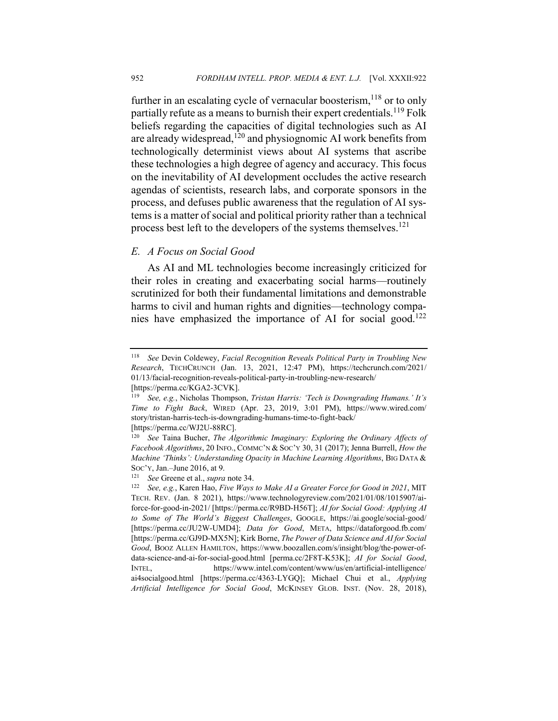further in an escalating cycle of vernacular boosterism,  $^{118}$  or to only partially refute as a means to burnish their expert credentials.<sup>119</sup> Folk beliefs regarding the capacities of digital technologies such as AI are already widespread,<sup>120</sup> and physiognomic AI work benefits from technologically determinist views about AI systems that ascribe these technologies a high degree of agency and accuracy. This focus on the inevitability of AI development occludes the active research agendas of scientists, research labs, and corporate sponsors in the process, and defuses public awareness that the regulation of AI systems is a matter of social and political priority rather than a technical process best left to the developers of the systems themselves.<sup>121</sup>

## *E. A Focus on Social Good*

As AI and ML technologies become increasingly criticized for their roles in creating and exacerbating social harms—routinely scrutinized for both their fundamental limitations and demonstrable harms to civil and human rights and dignities—technology companies have emphasized the importance of AI for social good.<sup>122</sup>

<sup>118</sup> *See* Devin Coldewey, *Facial Recognition Reveals Political Party in Troubling New Research*, TECHCRUNCH (Jan. 13, 2021, 12:47 PM), https://techcrunch.com/2021/ 01/13/facial-recognition-reveals-political-party-in-troubling-new-research/ [https://perma.cc/KGA2-3CVK].

<sup>119</sup> *See, e.g.*, Nicholas Thompson, *Tristan Harris: 'Tech is Downgrading Humans.' It's Time to Fight Back*, WIRED (Apr. 23, 2019, 3:01 PM), https://www.wired.com/ story/tristan-harris-tech-is-downgrading-humans-time-to-fight-back/ [https://perma.cc/WJ2U-88RC].

<sup>120</sup> *See* Taina Bucher, *The Algorithmic Imaginary: Exploring the Ordinary Affects of Facebook Algorithms*, 20 INFO., COMMC'N & SOC'Y 30, 31 (2017); Jenna Burrell, *How the Machine 'Thinks': Understanding Opacity in Machine Learning Algorithms*, BIG DATA & SOC'Y, Jan.–June 2016, at 9.

<sup>121</sup> *See* Greene et al., *supra* note 34.

<sup>122</sup> *See, e.g.*, Karen Hao, *Five Ways to Make AI a Greater Force for Good in 2021*, MIT TECH. REV. (Jan. 8 2021), https://www.technologyreview.com/2021/01/08/1015907/aiforce-for-good-in-2021/ [https://perma.cc/R9BD-H56T]; *AI for Social Good: Applying AI to Some of The World's Biggest Challenges*, GOOGLE, https://ai.google/social-good/ [https://perma.cc/JU2W-UMD4]; *Data for Good*, META, https://dataforgood.fb.com/ [https://perma.cc/GJ9D-MX5N]; Kirk Borne, *The Power of Data Science and AI for Social Good*, BOOZ ALLEN HAMILTON, https://www.boozallen.com/s/insight/blog/the-power-ofdata-science-and-ai-for-social-good.html [perma.cc/2F8T-K53K]; *AI for Social Good*, INTEL, https://www.intel.com/content/www/us/en/artificial-intelligence/ ai4socialgood.html [https://perma.cc/4363-LYGQ]; Michael Chui et al., *Applying Artificial Intelligence for Social Good*, MCKINSEY GLOB. INST. (Nov. 28, 2018),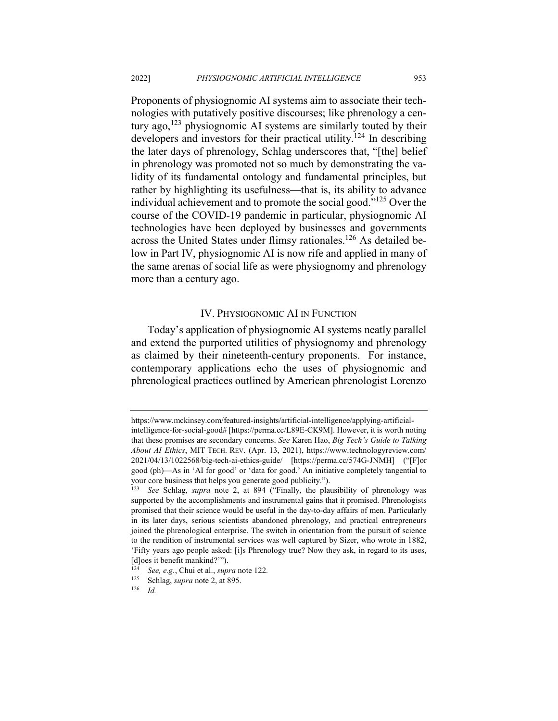Proponents of physiognomic AI systems aim to associate their technologies with putatively positive discourses; like phrenology a century ago, $123$  physiognomic AI systems are similarly touted by their developers and investors for their practical utility.<sup>124</sup> In describing the later days of phrenology, Schlag underscores that, "[the] belief in phrenology was promoted not so much by demonstrating the validity of its fundamental ontology and fundamental principles, but rather by highlighting its usefulness—that is, its ability to advance individual achievement and to promote the social good."125 Over the course of the COVID-19 pandemic in particular, physiognomic AI technologies have been deployed by businesses and governments across the United States under flimsy rationales.<sup>126</sup> As detailed below in Part IV, physiognomic AI is now rife and applied in many of the same arenas of social life as were physiognomy and phrenology more than a century ago.

### IV. PHYSIOGNOMIC AI IN FUNCTION

Today's application of physiognomic AI systems neatly parallel and extend the purported utilities of physiognomy and phrenology as claimed by their nineteenth-century proponents. For instance, contemporary applications echo the uses of physiognomic and phrenological practices outlined by American phrenologist Lorenzo

https://www.mckinsey.com/featured-insights/artificial-intelligence/applying-artificialintelligence-for-social-good# [https://perma.cc/L89E-CK9M]. However, it is worth noting that these promises are secondary concerns. *See* Karen Hao, *Big Tech's Guide to Talking About AI Ethics*, MIT TECH. REV. (Apr. 13, 2021), https://www.technologyreview.com/ 2021/04/13/1022568/big-tech-ai-ethics-guide/ [https://perma.cc/574G-JNMH] ("[F]or good (ph)—As in 'AI for good' or 'data for good.' An initiative completely tangential to your core business that helps you generate good publicity.").

See Schlag, *supra* note 2, at 894 ("Finally, the plausibility of phrenology was supported by the accomplishments and instrumental gains that it promised. Phrenologists promised that their science would be useful in the day-to-day affairs of men. Particularly in its later days, serious scientists abandoned phrenology, and practical entrepreneurs joined the phrenological enterprise. The switch in orientation from the pursuit of science to the rendition of instrumental services was well captured by Sizer, who wrote in 1882, 'Fifty years ago people asked: [i]s Phrenology true? Now they ask, in regard to its uses, [d]oes it benefit mankind?"").

<sup>&</sup>lt;sup>124</sup> *See, e.g.*, Chui et al., *supra* note 122.<br><sup>125</sup> Schlag *supra* note 2 at 895

Schlag, *supra* note 2, at 895.

<sup>126</sup> *Id.*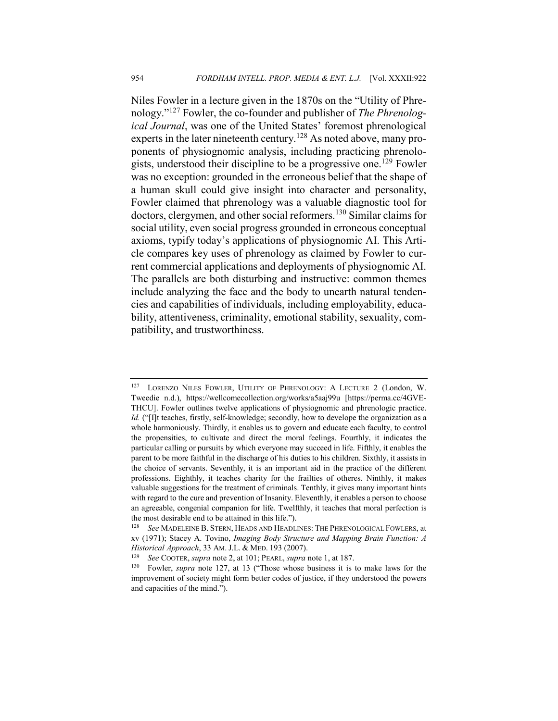Niles Fowler in a lecture given in the 1870s on the "Utility of Phrenology."<sup>127</sup> Fowler, the co-founder and publisher of *The Phrenological Journal*, was one of the United States' foremost phrenological experts in the later nineteenth century.<sup>128</sup> As noted above, many proponents of physiognomic analysis, including practicing phrenologists, understood their discipline to be a progressive one.<sup>129</sup> Fowler was no exception: grounded in the erroneous belief that the shape of a human skull could give insight into character and personality, Fowler claimed that phrenology was a valuable diagnostic tool for doctors, clergymen, and other social reformers.<sup>130</sup> Similar claims for social utility, even social progress grounded in erroneous conceptual axioms, typify today's applications of physiognomic AI. This Article compares key uses of phrenology as claimed by Fowler to current commercial applications and deployments of physiognomic AI. The parallels are both disturbing and instructive: common themes include analyzing the face and the body to unearth natural tendencies and capabilities of individuals, including employability, educability, attentiveness, criminality, emotional stability, sexuality, compatibility, and trustworthiness.

<sup>127</sup> LORENZO NILES FOWLER, UTILITY OF PHRENOLOGY: A LECTURE 2 (London, W. Tweedie n.d.), https://wellcomecollection.org/works/a5aaj99u [https://perma.cc/4GVE-THCU]. Fowler outlines twelve applications of physiognomic and phrenologic practice. *Id.* ("[I]t teaches, firstly, self-knowledge; secondly, how to develope the organization as a whole harmoniously. Thirdly, it enables us to govern and educate each faculty, to control the propensities, to cultivate and direct the moral feelings. Fourthly, it indicates the particular calling or pursuits by which everyone may succeed in life. Fifthly, it enables the parent to be more faithful in the discharge of his duties to his children. Sixthly, it assists in the choice of servants. Seventhly, it is an important aid in the practice of the different professions. Eighthly, it teaches charity for the frailties of otheres. Ninthly, it makes valuable suggestions for the treatment of criminals. Tenthly, it gives many important hints with regard to the cure and prevention of Insanity. Eleventhly, it enables a person to choose an agreeable, congenial companion for life. Twelfthly, it teaches that moral perfection is the most desirable end to be attained in this life.").

<sup>128</sup> *See* MADELEINE B. STERN, HEADS AND HEADLINES: THE PHRENOLOGICAL FOWLERS, at xv (1971); Stacey A. Tovino, *Imaging Body Structure and Mapping Brain Function: A Historical Approach*, 33 AM. J.L. & MED. 193 (2007).

<sup>129</sup> *See* COOTER, *supra* note 2, at 101; PEARL, *supra* note 1, at 187.

<sup>130</sup> Fowler, *supra* note 127, at 13 ("Those whose business it is to make laws for the improvement of society might form better codes of justice, if they understood the powers and capacities of the mind.").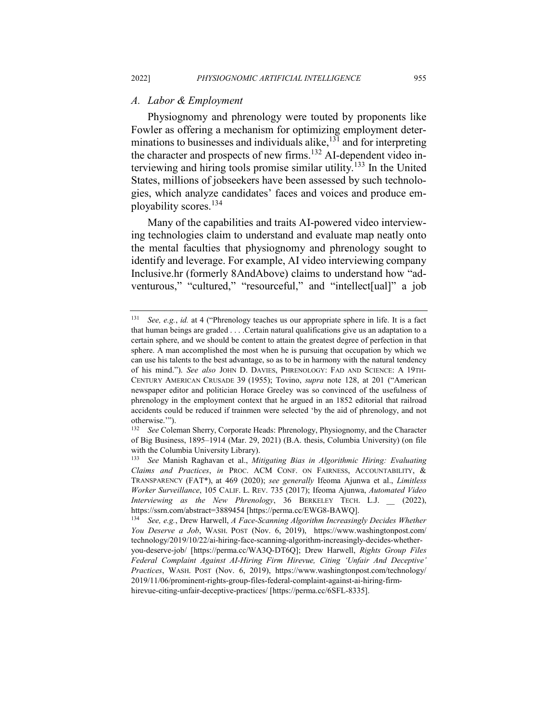#### *A. Labor & Employment*

Physiognomy and phrenology were touted by proponents like Fowler as offering a mechanism for optimizing employment determinations to businesses and individuals alike, $131$  and for interpreting the character and prospects of new firms.132 AI-dependent video interviewing and hiring tools promise similar utility.<sup>133</sup> In the United States, millions of jobseekers have been assessed by such technologies, which analyze candidates' faces and voices and produce employability scores.<sup>134</sup>

Many of the capabilities and traits AI-powered video interviewing technologies claim to understand and evaluate map neatly onto the mental faculties that physiognomy and phrenology sought to identify and leverage. For example, AI video interviewing company Inclusive.hr (formerly 8AndAbove) claims to understand how "adventurous," "cultured," "resourceful," and "intellect[ual]" a job

<sup>131</sup> *See, e.g.*, *id.* at 4 ("Phrenology teaches us our appropriate sphere in life. It is a fact that human beings are graded . . . .Certain natural qualifications give us an adaptation to a certain sphere, and we should be content to attain the greatest degree of perfection in that sphere. A man accomplished the most when he is pursuing that occupation by which we can use his talents to the best advantage, so as to be in harmony with the natural tendency of his mind."). *See also* JOHN D. DAVIES, PHRENOLOGY: FAD AND SCIENCE: A 19TH-CENTURY AMERICAN CRUSADE 39 (1955); Tovino, *supra* note 128, at 201 ("American newspaper editor and politician Horace Greeley was so convinced of the usefulness of phrenology in the employment context that he argued in an 1852 editorial that railroad accidents could be reduced if trainmen were selected 'by the aid of phrenology, and not otherwise.'").

<sup>132</sup> *See* Coleman Sherry, Corporate Heads: Phrenology, Physiognomy, and the Character of Big Business, 1895–1914 (Mar. 29, 2021) (B.A. thesis, Columbia University) (on file with the Columbia University Library).

<sup>133</sup> *See* Manish Raghavan et al., *Mitigating Bias in Algorithmic Hiring: Evaluating Claims and Practices*, *in* PROC. ACM CONF. ON FAIRNESS, ACCOUNTABILITY, & TRANSPARENCY (FAT\*), at 469 (2020); *see generally* Ifeoma Ajunwa et al., *Limitless Worker Surveillance*, 105 CALIF. L. REV. 735 (2017); Ifeoma Ajunwa, *Automated Video Interviewing as the New Phrenology*, 36 BERKELEY TECH. L.J. \_\_ (2022), https://ssrn.com/abstract=3889454 [https://perma.cc/EWG8-BAWQ].

<sup>134</sup> *See, e.g.*, Drew Harwell, *A Face-Scanning Algorithm Increasingly Decides Whether You Deserve a Job*, WASH. POST (Nov. 6, 2019), https://www.washingtonpost.com/ technology/2019/10/22/ai-hiring-face-scanning-algorithm-increasingly-decides-whetheryou-deserve-job/ [https://perma.cc/WA3Q-DT6Q]; Drew Harwell, *Rights Group Files Federal Complaint Against AI-Hiring Firm Hirevue, Citing 'Unfair And Deceptive' Practices*, WASH. POST (Nov. 6, 2019), https://www.washingtonpost.com/technology/ 2019/11/06/prominent-rights-group-files-federal-complaint-against-ai-hiring-firmhirevue-citing-unfair-deceptive-practices/ [https://perma.cc/6SFL-8335].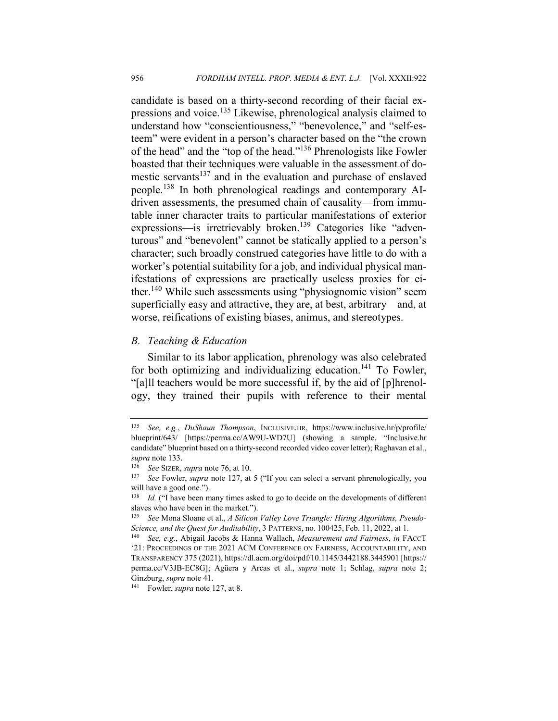candidate is based on a thirty-second recording of their facial expressions and voice.<sup>135</sup> Likewise, phrenological analysis claimed to understand how "conscientiousness," "benevolence," and "self-esteem" were evident in a person's character based on the "the crown of the head" and the "top of the head."136 Phrenologists like Fowler boasted that their techniques were valuable in the assessment of domestic servants<sup>137</sup> and in the evaluation and purchase of enslaved people.<sup>138</sup> In both phrenological readings and contemporary AIdriven assessments, the presumed chain of causality—from immutable inner character traits to particular manifestations of exterior expressions—is irretrievably broken.<sup>139</sup> Categories like "adventurous" and "benevolent" cannot be statically applied to a person's character; such broadly construed categories have little to do with a worker's potential suitability for a job, and individual physical manifestations of expressions are practically useless proxies for either.<sup>140</sup> While such assessments using "physiognomic vision" seem superficially easy and attractive, they are, at best, arbitrary—and, at worse, reifications of existing biases, animus, and stereotypes.

## *B. Teaching & Education*

Similar to its labor application, phrenology was also celebrated for both optimizing and individualizing education.<sup>141</sup> To Fowler, "[a]ll teachers would be more successful if, by the aid of [p]hrenology, they trained their pupils with reference to their mental

<sup>135</sup> *See, e.g.*, *DuShaun Thompson*, INCLUSIVE.HR, https://www.inclusive.hr/p/profile/ blueprint/643/ [https://perma.cc/AW9U-WD7U] (showing a sample, "Inclusive.hr candidate" blueprint based on a thirty-second recorded video cover letter); Raghavan et al., *supra* note 133.

<sup>136</sup> *See* SIZER, *supra* note 76, at 10.

<sup>&</sup>lt;sup>137</sup> *See* Fowler, *supra* note 127, at 5 ("If you can select a servant phrenologically, you will have a good one.").

<sup>138</sup> *Id.* ("I have been many times asked to go to decide on the developments of different slaves who have been in the market.").

<sup>139</sup> *See* Mona Sloane et al., *A Silicon Valley Love Triangle: Hiring Algorithms, Pseudo-Science, and the Quest for Auditability*, 3 PATTERNS, no. 100425, Feb. 11, 2022, at 1.

<sup>140</sup> *See, e.g.*, Abigail Jacobs & Hanna Wallach, *Measurement and Fairness*, *in* FACCT '21: PROCEEDINGS OF THE 2021 ACM CONFERENCE ON FAIRNESS, ACCOUNTABILITY, AND TRANSPARENCY 375 (2021), https://dl.acm.org/doi/pdf/10.1145/3442188.3445901 [https:// perma.cc/V3JB-EC8G]; Agüera y Arcas et al., *supra* note 1; Schlag, *supra* note 2; Ginzburg, *supra* note 41.

<sup>141</sup> Fowler, *supra* note 127, at 8.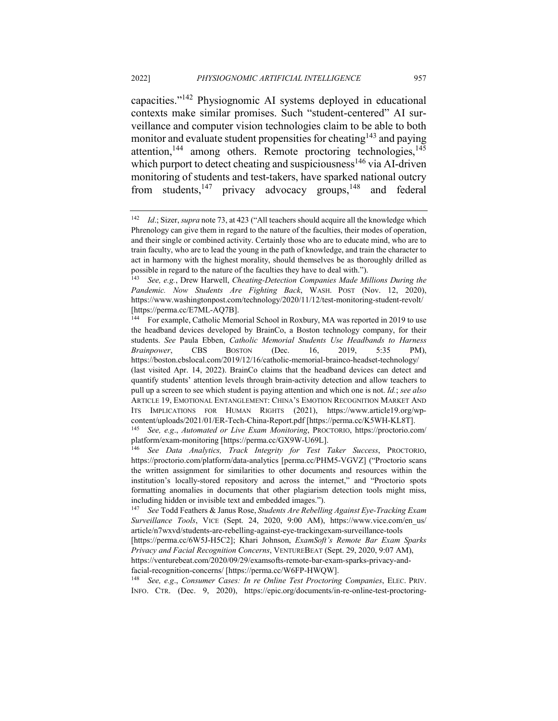capacities."<sup>142</sup> Physiognomic AI systems deployed in educational contexts make similar promises. Such "student-centered" AI surveillance and computer vision technologies claim to be able to both monitor and evaluate student propensities for cheating<sup>143</sup> and paying attention,<sup>144</sup> among others. Remote proctoring technologies, $145$ which purport to detect cheating and suspiciousness<sup>146</sup> via AI-driven monitoring of students and test-takers, have sparked national outcry from students, $147$  privacy advocacy groups,  $148$  and federal

<sup>142</sup> *Id*.; Sizer, *supra* note 73, at 423 ("All teachers should acquire all the knowledge which Phrenology can give them in regard to the nature of the faculties, their modes of operation, and their single or combined activity. Certainly those who are to educate mind, who are to train faculty, who are to lead the young in the path of knowledge, and train the character to act in harmony with the highest morality, should themselves be as thoroughly drilled as possible in regard to the nature of the faculties they have to deal with.").

<sup>143</sup> *See, e.g.*, Drew Harwell, *Cheating-Detection Companies Made Millions During the Pandemic. Now Students Are Fighting Back*, WASH. POST (Nov. 12, 2020), https://www.washingtonpost.com/technology/2020/11/12/test-monitoring-student-revolt/ [https://perma.cc/E7ML-AQ7B].

<sup>144</sup> For example, Catholic Memorial School in Roxbury, MA was reported in 2019 to use the headband devices developed by BrainCo, a Boston technology company, for their students. *See* Paula Ebben, *Catholic Memorial Students Use Headbands to Harness Brainpower*, CBS BOSTON (Dec. 16, 2019, 5:35 PM), https://boston.cbslocal.com/2019/12/16/catholic-memorial-brainco-headset-technology/ (last visited Apr. 14, 2022). BrainCo claims that the headband devices can detect and quantify students' attention levels through brain-activity detection and allow teachers to pull up a screen to see which student is paying attention and which one is not. *Id.*; *see also* ARTICLE 19, EMOTIONAL ENTANGLEMENT: CHINA'S EMOTION RECOGNITION MARKET AND ITS IMPLICATIONS FOR HUMAN RIGHTS (2021), https://www.article19.org/wpcontent/uploads/2021/01/ER-Tech-China-Report.pdf [https://perma.cc/K5WH-KL8T]. <sup>145</sup> *See, e.g*., *Automated or Live Exam Monitoring*, PROCTORIO, https://proctorio.com/

platform/exam-monitoring [https://perma.cc/GX9W-U69L].

<sup>146</sup> *See Data Analytics, Track Integrity for Test Taker Success*, PROCTORIO, https://proctorio.com/platform/data-analytics [perma.cc/PHM5-VGVZ] ("Proctorio scans the written assignment for similarities to other documents and resources within the institution's locally-stored repository and across the internet," and "Proctorio spots formatting anomalies in documents that other plagiarism detection tools might miss, including hidden or invisible text and embedded images.").

<sup>147</sup> *See* Todd Feathers & Janus Rose, *Students Are Rebelling Against Eye-Tracking Exam Surveillance Tools*, VICE (Sept. 24, 2020, 9:00 AM), https://www.vice.com/en\_us/ article/n7wxvd/students-are-rebelling-against-eye-trackingexam-surveillance-tools [https://perma.cc/6W5J-H5C2]; Khari Johnson, *ExamSoft's Remote Bar Exam Sparks Privacy and Facial Recognition Concerns*, VENTUREBEAT (Sept. 29, 2020, 9:07 AM), https://venturebeat.com/2020/09/29/examsofts-remote-bar-exam-sparks-privacy-andfacial-recognition-concerns/ [https://perma.cc/W6FP-HWQW].

<sup>148</sup> *See, e.g*., *Consumer Cases: In re Online Test Proctoring Companies*, ELEC. PRIV. INFO. CTR. (Dec. 9, 2020), https://epic.org/documents/in-re-online-test-proctoring-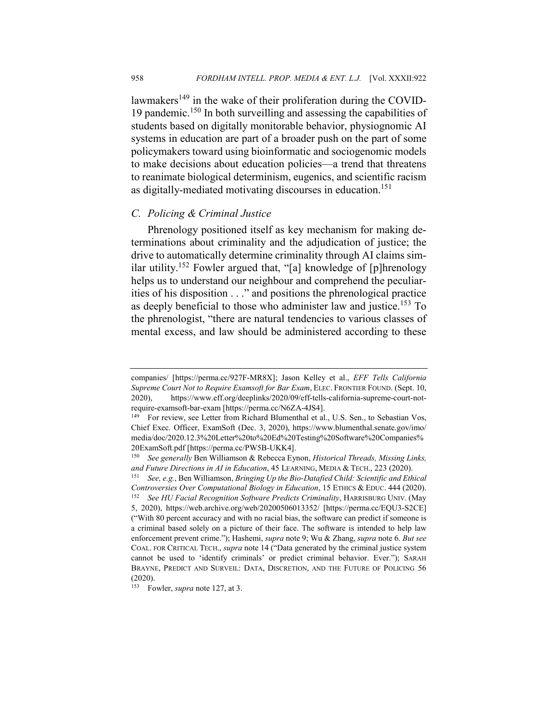lawmakers<sup>149</sup> in the wake of their proliferation during the COVID-19 pandemic.<sup>150</sup> In both surveilling and assessing the capabilities of students based on digitally monitorable behavior, physiognomic AI systems in education are part of a broader push on the part of some policymakers toward using bioinformatic and sociogenomic models to make decisions about education policies—a trend that threatens to reanimate biological determinism, eugenics, and scientific racism as digitally-mediated motivating discourses in education.<sup>151</sup>

#### *C. Policing & Criminal Justice*

Phrenology positioned itself as key mechanism for making determinations about criminality and the adjudication of justice; the drive to automatically determine criminality through AI claims similar utility.<sup>152</sup> Fowler argued that, "[a] knowledge of [p]hrenology helps us to understand our neighbour and comprehend the peculiarities of his disposition . . ." and positions the phrenological practice as deeply beneficial to those who administer law and justice.<sup>153</sup> To the phrenologist, "there are natural tendencies to various classes of mental excess, and law should be administered according to these

companies/ [https://perma.cc/927F-MR8X]; Jason Kelley et al., *EFF Tells California Supreme Court Not to Require Examsoft for Bar Exam*, ELEC. FRONTIER FOUND. (Sept. 10, 2020), https://www.eff.org/deeplinks/2020/09/eff-tells-california-supreme-court-notrequire-examsoft-bar-exam [https://perma.cc/N6ZA-4JS4].

<sup>&</sup>lt;sup>149</sup> For review, see Letter from Richard Blumenthal et al., U.S. Sen., to Sebastian Vos, Chief Exec. Officer, ExamSoft (Dec. 3, 2020), https://www.blumenthal.senate.gov/imo/ media/doc/2020.12.3%20Letter%20to%20Ed%20Testing%20Software%20Companies% 20ExamSoft.pdf [https://perma.cc/PW5B-UKK4].

<sup>150</sup> *See generally* Ben Williamson & Rebecca Eynon, *Historical Threads, Missing Links, and Future Directions in AI in Education*, 45 LEARNING, MEDIA & TECH., 223 (2020).

<sup>151</sup> *See, e.g.*, Ben Williamson, *Bringing Up the Bio-Datafied Child: Scientific and Ethical Controversies Over Computational Biology in Education*, 15 ETHICS & EDUC. 444 (2020). <sup>152</sup> *See HU Facial Recognition Software Predicts Criminality*, HARRISBURG UNIV. (May 5, 2020), https://web.archive.org/web/20200506013352/ [https://perma.cc/EQU3-S2CE] ("With 80 percent accuracy and with no racial bias, the software can predict if someone is a criminal based solely on a picture of their face. The software is intended to help law enforcement prevent crime."); Hashemi, *supra* note 9; Wu & Zhang, *supra* note 6. *But see* COAL. FOR CRITICAL TECH., *supra* note 14 ("Data generated by the criminal justice system cannot be used to 'identify criminals' or predict criminal behavior. Ever."); SARAH BRAYNE, PREDICT AND SURVEIL: DATA, DISCRETION, AND THE FUTURE OF POLICING 56 (2020).

<sup>153</sup> Fowler, *supra* note 127, at 3.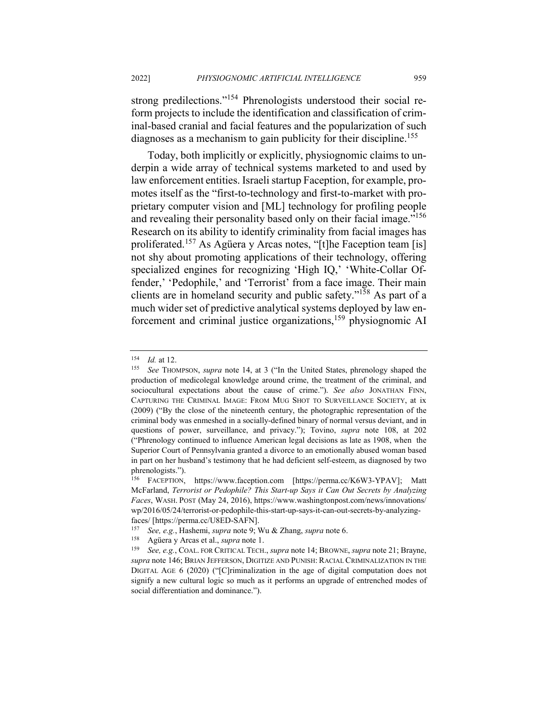strong predilections."<sup>154</sup> Phrenologists understood their social reform projects to include the identification and classification of criminal-based cranial and facial features and the popularization of such diagnoses as a mechanism to gain publicity for their discipline.<sup>155</sup>

Today, both implicitly or explicitly, physiognomic claims to underpin a wide array of technical systems marketed to and used by law enforcement entities. Israeli startup Faception, for example, promotes itself as the "first-to-technology and first-to-market with proprietary computer vision and [ML] technology for profiling people and revealing their personality based only on their facial image."<sup>156</sup> Research on its ability to identify criminality from facial images has proliferated.<sup>157</sup> As Agüera y Arcas notes, "[t]he Faception team [is] not shy about promoting applications of their technology, offering specialized engines for recognizing 'High IQ,' 'White-Collar Offender,' 'Pedophile,' and 'Terrorist' from a face image. Their main clients are in homeland security and public safety."158 As part of a much wider set of predictive analytical systems deployed by law enforcement and criminal justice organizations,159 physiognomic AI

<sup>&</sup>lt;sup>154</sup> *Id.* at 12.<br><sup>155</sup> *See* Tho

See THOMPSON, *supra* note 14, at 3 ("In the United States, phrenology shaped the production of medicolegal knowledge around crime, the treatment of the criminal, and sociocultural expectations about the cause of crime."). *See also* JONATHAN FINN, CAPTURING THE CRIMINAL IMAGE: FROM MUG SHOT TO SURVEILLANCE SOCIETY, at ix (2009) ("By the close of the nineteenth century, the photographic representation of the criminal body was enmeshed in a socially-defined binary of normal versus deviant, and in questions of power, surveillance, and privacy."); Tovino, *supra* note 108, at 202 ("Phrenology continued to influence American legal decisions as late as 1908, when the Superior Court of Pennsylvania granted a divorce to an emotionally abused woman based in part on her husband's testimony that he had deficient self-esteem, as diagnosed by two phrenologists.").

<sup>156</sup> FACEPTION, https://www.faception.com [https://perma.cc/K6W3-YPAV]; Matt McFarland, *Terrorist or Pedophile? This Start-up Says it Can Out Secrets by Analyzing Faces*, WASH. POST (May 24, 2016), https://www.washingtonpost.com/news/innovations/ wp/2016/05/24/terrorist-or-pedophile-this-start-up-says-it-can-out-secrets-by-analyzingfaces/ [https://perma.cc/U8ED-SAFN].

<sup>157</sup> *See, e.g.*, Hashemi, *supra* note 9; Wu & Zhang, *supra* note 6.

<sup>158</sup> Agüera y Arcas et al., *supra* note 1.

<sup>159</sup> *See, e.g.*, COAL. FOR CRITICAL TECH., *supra* note 14; BROWNE, *supra* note 21; Brayne, *supra* note 146; BRIAN JEFFERSON, DIGITIZE AND PUNISH: RACIAL CRIMINALIZATION IN THE DIGITAL AGE 6 (2020) ("[C]riminalization in the age of digital computation does not signify a new cultural logic so much as it performs an upgrade of entrenched modes of social differentiation and dominance.").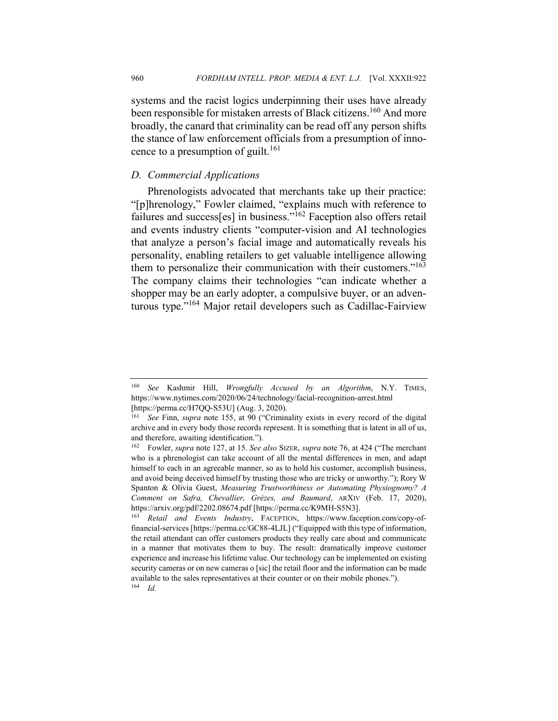systems and the racist logics underpinning their uses have already been responsible for mistaken arrests of Black citizens.<sup>160</sup> And more broadly, the canard that criminality can be read off any person shifts the stance of law enforcement officials from a presumption of innocence to a presumption of guilt.<sup>161</sup>

#### *D. Commercial Applications*

Phrenologists advocated that merchants take up their practice: "[p]hrenology," Fowler claimed, "explains much with reference to failures and success[es] in business."<sup>162</sup> Faception also offers retail and events industry clients "computer-vision and AI technologies that analyze a person's facial image and automatically reveals his personality, enabling retailers to get valuable intelligence allowing them to personalize their communication with their customers."<sup>163</sup> The company claims their technologies "can indicate whether a shopper may be an early adopter, a compulsive buyer, or an adventurous type."<sup>164</sup> Major retail developers such as Cadillac-Fairview

<sup>160</sup> *See* Kashmir Hill, *Wrongfully Accused by an Algorithm*, N.Y. TIMES, https://www.nytimes.com/2020/06/24/technology/facial-recognition-arrest.html [https://perma.cc/H7QQ-S53U] (Aug. 3, 2020).

<sup>161</sup> *See* Finn, *supra* note 155, at 90 ("Criminality exists in every record of the digital archive and in every body those records represent. It is something that is latent in all of us, and therefore, awaiting identification.").

<sup>162</sup> Fowler, *supra* note 127, at 15. *See also* SIZER, *supra* note 76, at 424 ("The merchant who is a phrenologist can take account of all the mental differences in men, and adapt himself to each in an agreeable manner, so as to hold his customer, accomplish business, and avoid being deceived himself by trusting those who are tricky or unworthy."); Rory W Spanton & Olivia Guest, *Measuring Trustworthiness or Automating Physiognomy? A Comment on Safra, Chevallier, Grèzes, and Baumard*, ARXIV (Feb. 17, 2020), https://arxiv.org/pdf/2202.08674.pdf [https://perma.cc/K9MH-S5N3].

<sup>163</sup> *Retail and Events Industry*, FACEPTION, https://www.faception.com/copy-offinancial-services [https://perma.cc/GC88-4LJL] ("Equipped with this type of information, the retail attendant can offer customers products they really care about and communicate in a manner that motivates them to buy. The result: dramatically improve customer experience and increase his lifetime value. Our technology can be implemented on existing security cameras or on new cameras o [sic] the retail floor and the information can be made available to the sales representatives at their counter or on their mobile phones."). <sup>164</sup> *Id.*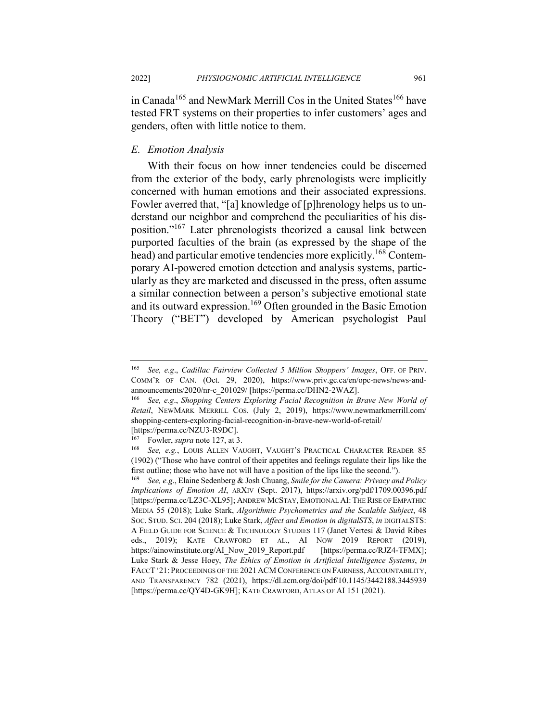in Canada<sup>165</sup> and NewMark Merrill Cos in the United States<sup>166</sup> have tested FRT systems on their properties to infer customers' ages and genders, often with little notice to them.

## *E. Emotion Analysis*

With their focus on how inner tendencies could be discerned from the exterior of the body, early phrenologists were implicitly concerned with human emotions and their associated expressions. Fowler averred that, "[a] knowledge of [p]hrenology helps us to understand our neighbor and comprehend the peculiarities of his disposition."167 Later phrenologists theorized a causal link between purported faculties of the brain (as expressed by the shape of the head) and particular emotive tendencies more explicitly.<sup>168</sup> Contemporary AI-powered emotion detection and analysis systems, particularly as they are marketed and discussed in the press, often assume a similar connection between a person's subjective emotional state and its outward expression.<sup>169</sup> Often grounded in the Basic Emotion Theory ("BET") developed by American psychologist Paul

<sup>165</sup> *See, e.g*., *Cadillac Fairview Collected 5 Million Shoppers' Images*, OFF. OF PRIV. COMM'R OF CAN. (Oct. 29, 2020), https://www.priv.gc.ca/en/opc-news/news-andannouncements/2020/nr-c\_201029/ [https://perma.cc/DHN2-2WAZ].

<sup>166</sup> *See, e.g*., *Shopping Centers Exploring Facial Recognition in Brave New World of Retail*, NEWMARK MERRILL COS. (July 2, 2019), https://www.newmarkmerrill.com/ shopping-centers-exploring-facial-recognition-in-brave-new-world-of-retail/ [https://perma.cc/NZU3-R9DC].

<sup>167</sup> Fowler, *supra* note 127, at 3.

<sup>168</sup> *See, e.g.*, LOUIS ALLEN VAUGHT, VAUGHT'S PRACTICAL CHARACTER READER 85 (1902) ("Those who have control of their appetites and feelings regulate their lips like the first outline; those who have not will have a position of the lips like the second.").

<sup>169</sup> *See, e.g*., Elaine Sedenberg & Josh Chuang, *Smile for the Camera: Privacy and Policy Implications of Emotion AI*, ARXIV (Sept. 2017), https://arxiv.org/pdf/1709.00396.pdf [https://perma.cc/LZ3C-XL95]; ANDREW MCSTAY, EMOTIONAL AI: THE RISE OF EMPATHIC MEDIA 55 (2018); Luke Stark, *Algorithmic Psychometrics and the Scalable Subject*, 48 SOC. STUD. SCI. 204 (2018); Luke Stark, *Affect and Emotion in digitalSTS*, *in* DIGITALSTS: A FIELD GUIDE FOR SCIENCE & TECHNOLOGY STUDIES 117 (Janet Vertesi & David Ribes eds., 2019); KATE CRAWFORD ET AL., AI NOW 2019 REPORT (2019), https://ainowinstitute.org/AI\_Now\_2019\_Report.pdf [https://perma.cc/RJZ4-TFMX]; Luke Stark & Jesse Hoey, *The Ethics of Emotion in Artificial Intelligence Systems*, *in* FACCT'21:PROCEEDINGS OF THE 2021 ACM CONFERENCE ON FAIRNESS, ACCOUNTABILITY, AND TRANSPARENCY 782 (2021), https://dl.acm.org/doi/pdf/10.1145/3442188.3445939 [https://perma.cc/QY4D-GK9H]; KATE CRAWFORD, ATLAS OF AI 151 (2021).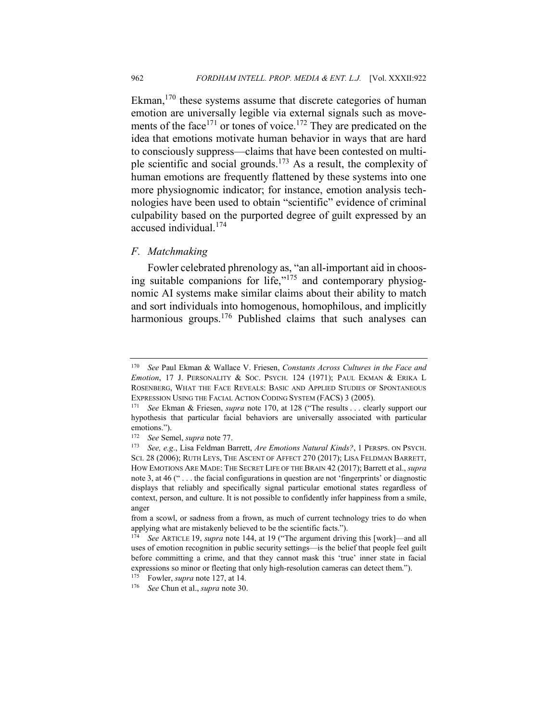Ekman,  $170$  these systems assume that discrete categories of human emotion are universally legible via external signals such as movements of the face<sup>171</sup> or tones of voice.<sup>172</sup> They are predicated on the idea that emotions motivate human behavior in ways that are hard to consciously suppress—claims that have been contested on multiple scientific and social grounds.<sup>173</sup> As a result, the complexity of human emotions are frequently flattened by these systems into one more physiognomic indicator; for instance, emotion analysis technologies have been used to obtain "scientific" evidence of criminal culpability based on the purported degree of guilt expressed by an accused individual.<sup>174</sup>

## *F. Matchmaking*

Fowler celebrated phrenology as, "an all-important aid in choosing suitable companions for life,"<sup>175</sup> and contemporary physiognomic AI systems make similar claims about their ability to match and sort individuals into homogenous, homophilous, and implicitly harmonious groups.<sup>176</sup> Published claims that such analyses can

<sup>170</sup> *See* Paul Ekman & Wallace V. Friesen, *Constants Across Cultures in the Face and Emotion*, 17 J. PERSONALITY & SOC. PSYCH. 124 (1971); PAUL EKMAN & ERIKA L ROSENBERG, WHAT THE FACE REVEALS: BASIC AND APPLIED STUDIES OF SPONTANEOUS EXPRESSION USING THE FACIAL ACTION CODING SYSTEM (FACS) 3 (2005).

<sup>171</sup> *See* Ekman & Friesen, *supra* note 170, at 128 ("The results . . . clearly support our hypothesis that particular facial behaviors are universally associated with particular emotions.").

<sup>172</sup> *See* Semel, *supra* note 77.

<sup>173</sup> *See, e.g*., Lisa Feldman Barrett, *Are Emotions Natural Kinds?*, 1 PERSPS. ON PSYCH. SCI. 28 (2006); RUTH LEYS, THE ASCENT OF AFFECT 270 (2017); LISA FELDMAN BARRETT, HOW EMOTIONS ARE MADE: THE SECRET LIFE OF THE BRAIN 42 (2017); Barrett et al., *supra*  note 3, at 46 (" . . . the facial configurations in question are not 'fingerprints' or diagnostic displays that reliably and specifically signal particular emotional states regardless of context, person, and culture. It is not possible to confidently infer happiness from a smile, anger

from a scowl, or sadness from a frown, as much of current technology tries to do when applying what are mistakenly believed to be the scientific facts.").

<sup>174</sup> *See* ARTICLE 19, *supra* note 144, at 19 ("The argument driving this [work]—and all uses of emotion recognition in public security settings—is the belief that people feel guilt before committing a crime, and that they cannot mask this 'true' inner state in facial expressions so minor or fleeting that only high-resolution cameras can detect them.").

<sup>175</sup> Fowler, *supra* note 127, at 14.

<sup>176</sup> *See* Chun et al., *supra* note 30.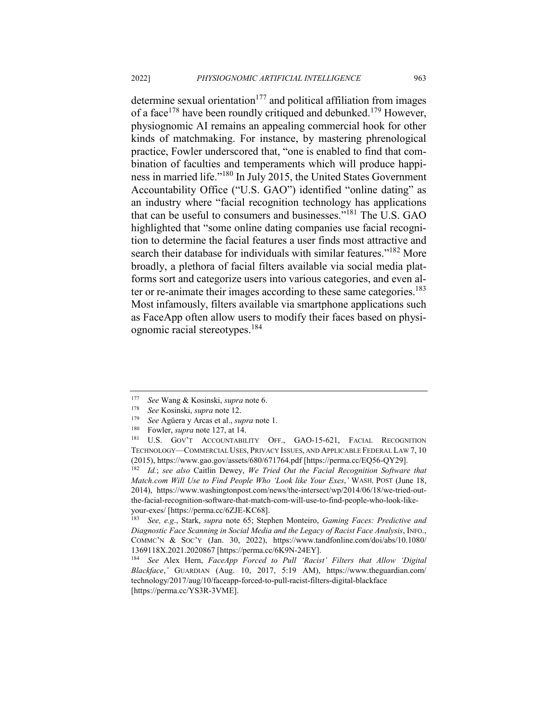determine sexual orientation<sup>177</sup> and political affiliation from images of a face<sup>178</sup> have been roundly critiqued and debunked.<sup>179</sup> However, physiognomic AI remains an appealing commercial hook for other kinds of matchmaking. For instance, by mastering phrenological practice, Fowler underscored that, "one is enabled to find that combination of faculties and temperaments which will produce happiness in married life."<sup>180</sup> In July 2015, the United States Government Accountability Office ("U.S. GAO") identified "online dating" as an industry where "facial recognition technology has applications that can be useful to consumers and businesses."<sup>181</sup> The U.S. GAO highlighted that "some online dating companies use facial recognition to determine the facial features a user finds most attractive and search their database for individuals with similar features."<sup>182</sup> More broadly, a plethora of facial filters available via social media platforms sort and categorize users into various categories, and even alter or re-animate their images according to these same categories.<sup>183</sup> Most infamously, filters available via smartphone applications such as FaceApp often allow users to modify their faces based on physiognomic racial stereotypes.184

<sup>177</sup> *See* Wang & Kosinski, *supra* note 6.

<sup>178</sup> *See* Kosinski, *supra* note 12.

<sup>179</sup> *See* Agüera y Arcas et al., *supra* note 1.

Fowler, *supra* note 127, at 14.

<sup>181</sup> U.S. GOV'T ACCOUNTABILITY OFF., GAO-15-621, FACIAL RECOGNITION TECHNOLOGY—COMMERCIAL USES, PRIVACY ISSUES, AND APPLICABLE FEDERAL LAW 7, 10 (2015), https://www.gao.gov/assets/680/671764.pdf [https://perma.cc/EQ56-QY29].

<sup>182</sup> *Id.*; *see also* Caitlin Dewey, *We Tried Out the Facial Recognition Software that Match.com Will Use to Find People Who 'Look like Your Exes*,*'* WASH. POST (June 18, 2014), https://www.washingtonpost.com/news/the-intersect/wp/2014/06/18/we-tried-outthe-facial-recognition-software-that-match-com-will-use-to-find-people-who-look-likeyour-exes/ [https://perma.cc/6ZJE-KC68].

<sup>183</sup> *See, e.g*., Stark, *supra* note 65; Stephen Monteiro, *Gaming Faces: Predictive and Diagnostic Face Scanning in Social Media and the Legacy of Racist Face Analysis*, INFO., COMMC'N & SOC'Y (Jan. 30, 2022), https://www.tandfonline.com/doi/abs/10.1080/ 1369118X.2021.2020867 [https://perma.cc/6K9N-24EY].

<sup>184</sup> *See* Alex Hern, *FaceApp Forced to Pull 'Racist' Filters that Allow 'Digital Blackface*,*'* GUARDIAN (Aug. 10, 2017, 5:19 AM), https://www.theguardian.com/ technology/2017/aug/10/faceapp-forced-to-pull-racist-filters-digital-blackface [https://perma.cc/YS3R-3VME].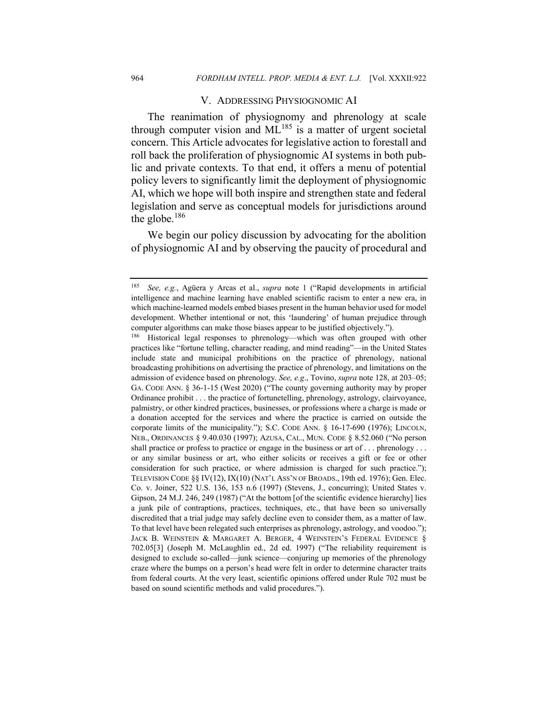#### V. ADDRESSING PHYSIOGNOMIC AI

The reanimation of physiognomy and phrenology at scale through computer vision and  $ML^{185}$  is a matter of urgent societal concern. This Article advocates for legislative action to forestall and roll back the proliferation of physiognomic AI systems in both public and private contexts. To that end, it offers a menu of potential policy levers to significantly limit the deployment of physiognomic AI, which we hope will both inspire and strengthen state and federal legislation and serve as conceptual models for jurisdictions around the globe. $186$ 

We begin our policy discussion by advocating for the abolition of physiognomic AI and by observing the paucity of procedural and

<sup>185</sup> *See, e.g.*, Agüera y Arcas et al., *supra* note 1 ("Rapid developments in artificial intelligence and machine learning have enabled scientific racism to enter a new era, in which machine-learned models embed biases present in the human behavior used for model development. Whether intentional or not, this 'laundering' of human prejudice through computer algorithms can make those biases appear to be justified objectively.").

<sup>186</sup> Historical legal responses to phrenology—which was often grouped with other practices like "fortune telling, character reading, and mind reading"—in the United States include state and municipal prohibitions on the practice of phrenology, national broadcasting prohibitions on advertising the practice of phrenology, and limitations on the admission of evidence based on phrenology. *See, e.g*., Tovino, *supra* note 128, at 203–05; GA. CODE ANN. § 36-1-15 (West 2020) ("The county governing authority may by proper Ordinance prohibit . . . the practice of fortunetelling, phrenology, astrology, clairvoyance, palmistry, or other kindred practices, businesses, or professions where a charge is made or a donation accepted for the services and where the practice is carried on outside the corporate limits of the municipality."); S.C. CODE ANN. § 16-17-690 (1976); LINCOLN, NEB., ORDINANCES § 9.40.030 (1997); AZUSA, CAL., MUN. CODE § 8.52.060 ("No person shall practice or profess to practice or engage in the business or art of . . . phrenology . . . or any similar business or art, who either solicits or receives a gift or fee or other consideration for such practice, or where admission is charged for such practice."); TELEVISION CODE  $\S$ [V(12), IX(10) (NAT'L ASS'N OF BROADS., 19th ed. 1976); Gen. Elec. Co. v. Joiner, 522 U.S. 136, 153 n.6 (1997) (Stevens, J., concurring); United States v. Gipson, 24 M.J. 246, 249 (1987) ("At the bottom [of the scientific evidence hierarchy] lies a junk pile of contraptions, practices, techniques, etc., that have been so universally discredited that a trial judge may safely decline even to consider them, as a matter of law. To that level have been relegated such enterprises as phrenology, astrology, and voodoo."); JACK B. WEINSTEIN & MARGARET A. BERGER, 4 WEINSTEIN'S FEDERAL EVIDENCE § 702.05[3] (Joseph M. McLaughlin ed., 2d ed. 1997) ("The reliability requirement is designed to exclude so-called—junk science—conjuring up memories of the phrenology craze where the bumps on a person's head were felt in order to determine character traits from federal courts. At the very least, scientific opinions offered under Rule 702 must be based on sound scientific methods and valid procedures.").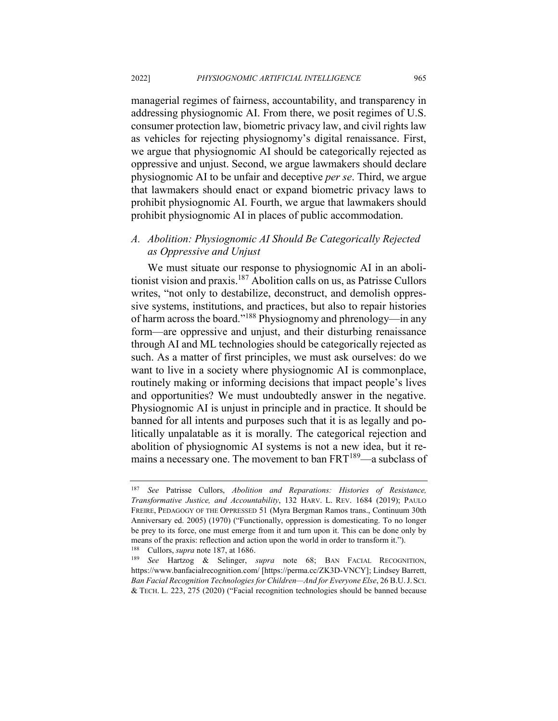managerial regimes of fairness, accountability, and transparency in addressing physiognomic AI. From there, we posit regimes of U.S. consumer protection law, biometric privacy law, and civil rights law as vehicles for rejecting physiognomy's digital renaissance. First, we argue that physiognomic AI should be categorically rejected as oppressive and unjust. Second, we argue lawmakers should declare physiognomic AI to be unfair and deceptive *per se*. Third, we argue that lawmakers should enact or expand biometric privacy laws to prohibit physiognomic AI. Fourth, we argue that lawmakers should prohibit physiognomic AI in places of public accommodation.

## *A. Abolition: Physiognomic AI Should Be Categorically Rejected as Oppressive and Unjust*

We must situate our response to physiognomic AI in an abolitionist vision and praxis.<sup>187</sup> Abolition calls on us, as Patrisse Cullors writes, "not only to destabilize, deconstruct, and demolish oppressive systems, institutions, and practices, but also to repair histories of harm across the board."188 Physiognomy and phrenology—in any form—are oppressive and unjust, and their disturbing renaissance through AI and ML technologies should be categorically rejected as such. As a matter of first principles, we must ask ourselves: do we want to live in a society where physiognomic AI is commonplace, routinely making or informing decisions that impact people's lives and opportunities? We must undoubtedly answer in the negative. Physiognomic AI is unjust in principle and in practice. It should be banned for all intents and purposes such that it is as legally and politically unpalatable as it is morally. The categorical rejection and abolition of physiognomic AI systems is not a new idea, but it remains a necessary one. The movement to ban FRT<sup>189</sup>—a subclass of

<sup>187</sup> *See* Patrisse Cullors, *Abolition and Reparations: Histories of Resistance, Transformative Justice, and Accountability*, 132 HARV. L. REV. 1684 (2019); PAULO FREIRE, PEDAGOGY OF THE OPPRESSED 51 (Myra Bergman Ramos trans., Continuum 30th Anniversary ed. 2005) (1970) ("Functionally, oppression is domesticating. To no longer be prey to its force, one must emerge from it and turn upon it. This can be done only by means of the praxis: reflection and action upon the world in order to transform it."). <sup>188</sup> Cullors, *supra* note 187, at 1686.

<sup>189</sup> *See* Hartzog & Selinger, *supra* note 68; BAN FACIAL RECOGNITION, https://www.banfacialrecognition.com/ [https://perma.cc/ZK3D-VNCY]; Lindsey Barrett, *Ban Facial Recognition Technologies for Children—And for Everyone Else*, 26 B.U.J. SCI. & TECH. L. 223, 275 (2020) ("Facial recognition technologies should be banned because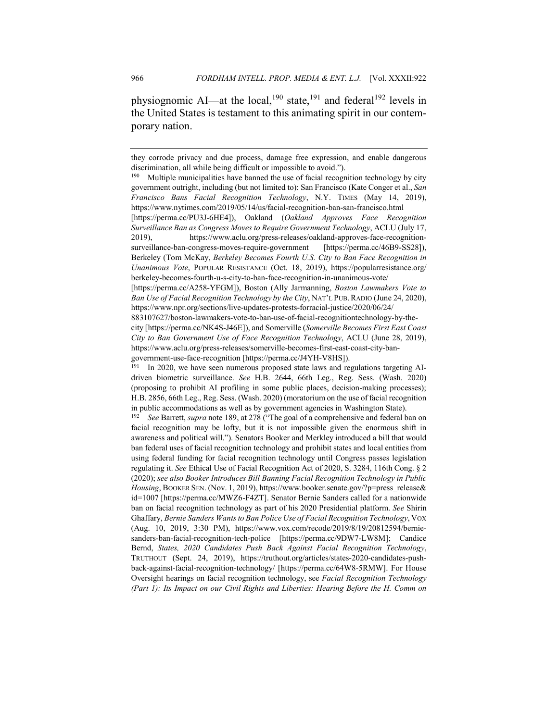physiognomic AI—at the local,<sup>190</sup> state,<sup>191</sup> and federal<sup>192</sup> levels in the United States is testament to this animating spirit in our contemporary nation.

they corrode privacy and due process, damage free expression, and enable dangerous discrimination, all while being difficult or impossible to avoid.").<br><sup>190</sup> Multiple municipalities have banned the use of facial recogr

Multiple municipalities have banned the use of facial recognition technology by city government outright, including (but not limited to): San Francisco (Kate Conger et al., *San Francisco Bans Facial Recognition Technology*, N.Y. TIMES (May 14, 2019), https://www.nytimes.com/2019/05/14/us/facial-recognition-ban-san-francisco.html

<sup>[</sup>https://perma.cc/PU3J-6HE4]), Oakland (*Oakland Approves Face Recognition Surveillance Ban as Congress Moves to Require Government Technology*, ACLU (July 17, 2019), https://www.aclu.org/press-releases/oakland-approves-face-recognitionsurveillance-ban-congress-moves-require-government [https://perma.cc/46B9-SS28]), Berkeley (Tom McKay, *Berkeley Becomes Fourth U.S. City to Ban Face Recognition in Unanimous Vote*, POPULAR RESISTANCE (Oct. 18, 2019), https://popularresistance.org/ berkeley-becomes-fourth-u-s-city-to-ban-face-recognition-in-unanimous-vote/

<sup>[</sup>https://perma.cc/A258-YFGM]), Boston (Ally Jarmanning, *Boston Lawmakers Vote to Ban Use of Facial Recognition Technology by the City*, NAT'L PUB.RADIO (June 24, 2020), https://www.npr.org/sections/live-updates-protests-forracial-justice/2020/06/24/

<sup>883107627/</sup>boston-lawmakers-vote-to-ban-use-of-facial-recognitiontechnology-by-thecity [https://perma.cc/NK4S-J46E]), and Somerville (*Somerville Becomes First East Coast City to Ban Government Use of Face Recognition Technology*, ACLU (June 28, 2019), https://www.aclu.org/press-releases/somerville-becomes-first-east-coast-city-bangovernment-use-face-recognition [https://perma.cc/J4YH-V8HS]).

<sup>191</sup> In 2020, we have seen numerous proposed state laws and regulations targeting AIdriven biometric surveillance. *See* H.B. 2644, 66th Leg., Reg. Sess. (Wash. 2020) (proposing to prohibit AI profiling in some public places, decision-making processes); H.B. 2856, 66th Leg., Reg. Sess. (Wash. 2020) (moratorium on the use of facial recognition in public accommodations as well as by government agencies in Washington State).

<sup>192</sup> *See* Barrett, *supra* note 189, at 278 ("The goal of a comprehensive and federal ban on facial recognition may be lofty, but it is not impossible given the enormous shift in awareness and political will."). Senators Booker and Merkley introduced a bill that would ban federal uses of facial recognition technology and prohibit states and local entities from using federal funding for facial recognition technology until Congress passes legislation regulating it. *See* Ethical Use of Facial Recognition Act of 2020, S. 3284, 116th Cong. § 2 (2020); *see also Booker Introduces Bill Banning Facial Recognition Technology in Public Housing*, BOOKER SEN. (Nov. 1, 2019), https://www.booker.senate.gov/?p=press\_release& id=1007 [https://perma.cc/MWZ6-F4ZT]. Senator Bernie Sanders called for a nationwide ban on facial recognition technology as part of his 2020 Presidential platform. *See* Shirin Ghaffary, *Bernie Sanders Wants to Ban Police Use of Facial Recognition Technology*, VOX (Aug. 10, 2019, 3:30 PM), https://www.vox.com/recode/2019/8/19/20812594/berniesanders-ban-facial-recognition-tech-police [https://perma.cc/9DW7-LW8M]; Candice Bernd, *States, 2020 Candidates Push Back Against Facial Recognition Technology*, TRUTHOUT (Sept. 24, 2019), https://truthout.org/articles/states-2020-candidates-pushback-against-facial-recognition-technology/ [https://perma.cc/64W8-5RMW]. For House Oversight hearings on facial recognition technology, see *Facial Recognition Technology (Part 1): Its Impact on our Civil Rights and Liberties: Hearing Before the H. Comm on*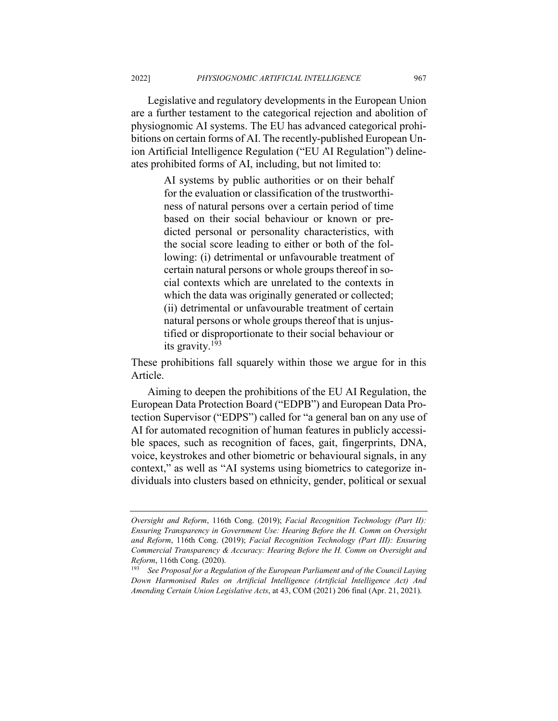Legislative and regulatory developments in the European Union are a further testament to the categorical rejection and abolition of physiognomic AI systems. The EU has advanced categorical prohibitions on certain forms of AI. The recently-published European Union Artificial Intelligence Regulation ("EU AI Regulation") delineates prohibited forms of AI, including, but not limited to:

> AI systems by public authorities or on their behalf for the evaluation or classification of the trustworthiness of natural persons over a certain period of time based on their social behaviour or known or predicted personal or personality characteristics, with the social score leading to either or both of the following: (i) detrimental or unfavourable treatment of certain natural persons or whole groups thereof in social contexts which are unrelated to the contexts in which the data was originally generated or collected; (ii) detrimental or unfavourable treatment of certain natural persons or whole groups thereof that is unjustified or disproportionate to their social behaviour or its gravity.<sup>193</sup>

These prohibitions fall squarely within those we argue for in this Article.

Aiming to deepen the prohibitions of the EU AI Regulation, the European Data Protection Board ("EDPB") and European Data Protection Supervisor ("EDPS") called for "a general ban on any use of AI for automated recognition of human features in publicly accessible spaces, such as recognition of faces, gait, fingerprints, DNA, voice, keystrokes and other biometric or behavioural signals, in any context," as well as "AI systems using biometrics to categorize individuals into clusters based on ethnicity, gender, political or sexual

*Oversight and Reform*, 116th Cong. (2019); *Facial Recognition Technology (Part II): Ensuring Transparency in Government Use: Hearing Before the H. Comm on Oversight and Reform*, 116th Cong. (2019); *Facial Recognition Technology (Part III): Ensuring Commercial Transparency & Accuracy: Hearing Before the H. Comm on Oversight and Reform*, 116th Cong. (2020).

<sup>193</sup> *See Proposal for a Regulation of the European Parliament and of the Council Laying Down Harmonised Rules on Artificial Intelligence (Artificial Intelligence Act) And Amending Certain Union Legislative Acts*, at 43, COM (2021) 206 final (Apr. 21, 2021).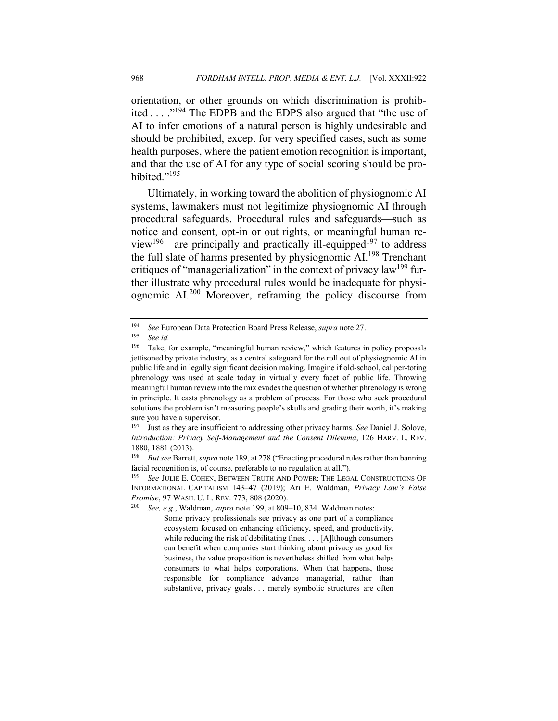orientation, or other grounds on which discrimination is prohibited . . . ."194 The EDPB and the EDPS also argued that "the use of AI to infer emotions of a natural person is highly undesirable and should be prohibited, except for very specified cases, such as some health purposes, where the patient emotion recognition is important, and that the use of AI for any type of social scoring should be prohibited."<sup>195</sup>

Ultimately, in working toward the abolition of physiognomic AI systems, lawmakers must not legitimize physiognomic AI through procedural safeguards. Procedural rules and safeguards—such as notice and consent, opt-in or out rights, or meaningful human review<sup>196</sup>—are principally and practically ill-equipped<sup>197</sup> to address the full slate of harms presented by physiognomic AI.<sup>198</sup> Trenchant critiques of "managerialization" in the context of privacy law<sup>199</sup> further illustrate why procedural rules would be inadequate for physiognomic AI.<sup>200</sup> Moreover, reframing the policy discourse from

See, e.g., Waldman, *supra* note 199, at 809–10, 834. Waldman notes:

<sup>194</sup> *See* European Data Protection Board Press Release, *supra* note 27.

<sup>195</sup> *See id.*

Take, for example, "meaningful human review," which features in policy proposals jettisoned by private industry, as a central safeguard for the roll out of physiognomic AI in public life and in legally significant decision making. Imagine if old-school, caliper-toting phrenology was used at scale today in virtually every facet of public life. Throwing meaningful human review into the mix evades the question of whether phrenology is wrong in principle. It casts phrenology as a problem of process. For those who seek procedural solutions the problem isn't measuring people's skulls and grading their worth, it's making sure you have a supervisor.

<sup>197</sup> Just as they are insufficient to addressing other privacy harms. *See* Daniel J. Solove, *Introduction: Privacy Self-Management and the Consent Dilemma*, 126 HARV. L. REV. 1880, 1881 (2013).

<sup>198</sup> *But see* Barrett, *supra* note 189, at 278 ("Enacting procedural rules rather than banning facial recognition is, of course, preferable to no regulation at all.").<br><sup>199</sup> See JULE COHEN BETWEEN TRUTH AND POWER: THE LEG.

**See JULIE E. COHEN, BETWEEN TRUTH AND POWER: THE LEGAL CONSTRUCTIONS OF** INFORMATIONAL CAPITALISM 143–47 (2019); Ari E. Waldman, *Privacy Law's False Promise*, 97 WASH. U. L. REV. 773, 808 (2020).

Some privacy professionals see privacy as one part of a compliance ecosystem focused on enhancing efficiency, speed, and productivity, while reducing the risk of debilitating fines. . . . [A]lthough consumers can benefit when companies start thinking about privacy as good for business, the value proposition is nevertheless shifted from what helps consumers to what helps corporations. When that happens, those responsible for compliance advance managerial, rather than substantive, privacy goals . . . merely symbolic structures are often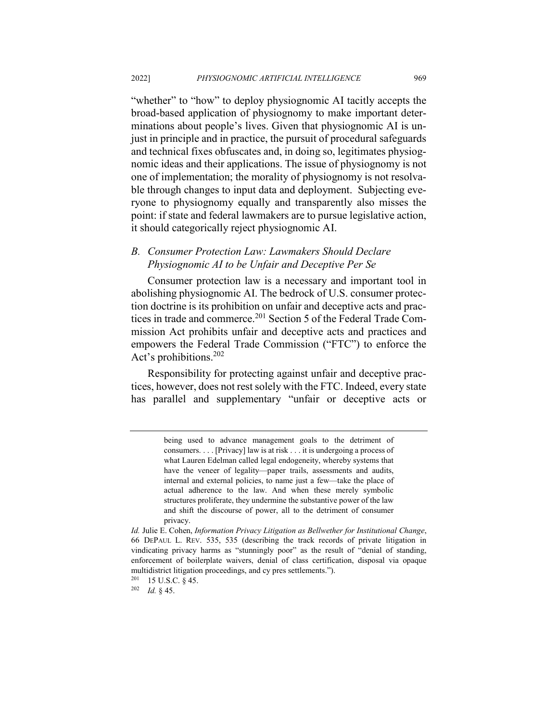"whether" to "how" to deploy physiognomic AI tacitly accepts the broad-based application of physiognomy to make important determinations about people's lives. Given that physiognomic AI is unjust in principle and in practice, the pursuit of procedural safeguards and technical fixes obfuscates and, in doing so, legitimates physiognomic ideas and their applications. The issue of physiognomy is not one of implementation; the morality of physiognomy is not resolvable through changes to input data and deployment. Subjecting everyone to physiognomy equally and transparently also misses the point: if state and federal lawmakers are to pursue legislative action, it should categorically reject physiognomic AI.

## *B. Consumer Protection Law: Lawmakers Should Declare Physiognomic AI to be Unfair and Deceptive Per Se*

Consumer protection law is a necessary and important tool in abolishing physiognomic AI. The bedrock of U.S. consumer protection doctrine is its prohibition on unfair and deceptive acts and practices in trade and commerce.<sup>201</sup> Section 5 of the Federal Trade Commission Act prohibits unfair and deceptive acts and practices and empowers the Federal Trade Commission ("FTC") to enforce the Act's prohibitions.202

Responsibility for protecting against unfair and deceptive practices, however, does not rest solely with the FTC. Indeed, every state has parallel and supplementary "unfair or deceptive acts or

being used to advance management goals to the detriment of consumers. . . . [Privacy] law is at risk . . . it is undergoing a process of what Lauren Edelman called legal endogeneity, whereby systems that have the veneer of legality—paper trails, assessments and audits, internal and external policies, to name just a few—take the place of actual adherence to the law. And when these merely symbolic structures proliferate, they undermine the substantive power of the law and shift the discourse of power, all to the detriment of consumer privacy.

*Id.* Julie E. Cohen, *Information Privacy Litigation as Bellwether for Institutional Change*, 66 DEPAUL L. REV. 535, 535 (describing the track records of private litigation in vindicating privacy harms as "stunningly poor" as the result of "denial of standing, enforcement of boilerplate waivers, denial of class certification, disposal via opaque multidistrict litigation proceedings, and cy pres settlements.").

<sup>201</sup> 15 U.S.C. § 45.

<sup>202</sup> *Id.* § 45.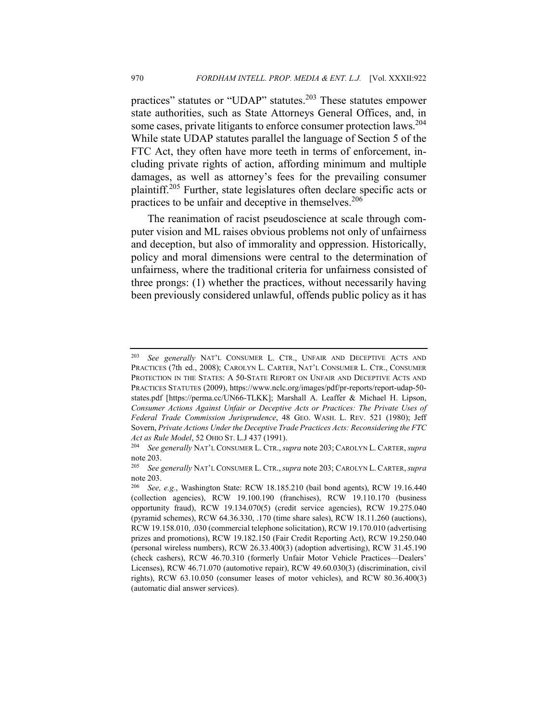practices" statutes or "UDAP" statutes.<sup>203</sup> These statutes empower state authorities, such as State Attorneys General Offices, and, in some cases, private litigants to enforce consumer protection laws.<sup>204</sup> While state UDAP statutes parallel the language of Section 5 of the FTC Act, they often have more teeth in terms of enforcement, including private rights of action, affording minimum and multiple damages, as well as attorney's fees for the prevailing consumer plaintiff.205 Further, state legislatures often declare specific acts or practices to be unfair and deceptive in themselves.<sup>206</sup>

The reanimation of racist pseudoscience at scale through computer vision and ML raises obvious problems not only of unfairness and deception, but also of immorality and oppression. Historically, policy and moral dimensions were central to the determination of unfairness, where the traditional criteria for unfairness consisted of three prongs: (1) whether the practices, without necessarily having been previously considered unlawful, offends public policy as it has

<sup>203</sup> *See generally* NAT'L CONSUMER L. CTR., UNFAIR AND DECEPTIVE ACTS AND PRACTICES (7th ed., 2008); CAROLYN L. CARTER, NAT'L CONSUMER L. CTR., CONSUMER PROTECTION IN THE STATES: A 50-STATE REPORT ON UNFAIR AND DECEPTIVE ACTS AND PRACTICES STATUTES (2009), https://www.nclc.org/images/pdf/pr-reports/report-udap-50 states.pdf [https://perma.cc/UN66-TLKK]; Marshall A. Leaffer & Michael H. Lipson, *Consumer Actions Against Unfair or Deceptive Acts or Practices: The Private Uses of Federal Trade Commission Jurisprudence*, 48 GEO. WASH. L. REV. 521 (1980); Jeff Sovern, *Private Actions Under the Deceptive Trade Practices Acts: Reconsidering the FTC Act as Rule Model*, 52 OHIO ST. L.J 437 (1991).

<sup>204</sup> *See generally* NAT'L CONSUMER L. CTR., *supra* note 203; CAROLYN L. CARTER, *supra*  note 203.<br> $\frac{205}{205}$ 

<sup>205</sup> *See generally* NAT'L CONSUMER L. CTR.,*supra* note 203; CAROLYN L. CARTER,*supra*  note 203.

<sup>206</sup> *See, e.g.*, Washington State: RCW 18.185.210 (bail bond agents), RCW 19.16.440 (collection agencies), RCW 19.100.190 (franchises), RCW 19.110.170 (business opportunity fraud), RCW 19.134.070(5) (credit service agencies), RCW 19.275.040 (pyramid schemes), RCW 64.36.330, .170 (time share sales), RCW 18.11.260 (auctions), RCW 19.158.010, .030 (commercial telephone solicitation), RCW 19.170.010 (advertising prizes and promotions), RCW 19.182.150 (Fair Credit Reporting Act), RCW 19.250.040 (personal wireless numbers), RCW 26.33.400(3) (adoption advertising), RCW 31.45.190 (check cashers), RCW 46.70.310 (formerly Unfair Motor Vehicle Practices—Dealers' Licenses), RCW 46.71.070 (automotive repair), RCW 49.60.030(3) (discrimination, civil rights), RCW 63.10.050 (consumer leases of motor vehicles), and RCW 80.36.400(3) (automatic dial answer services).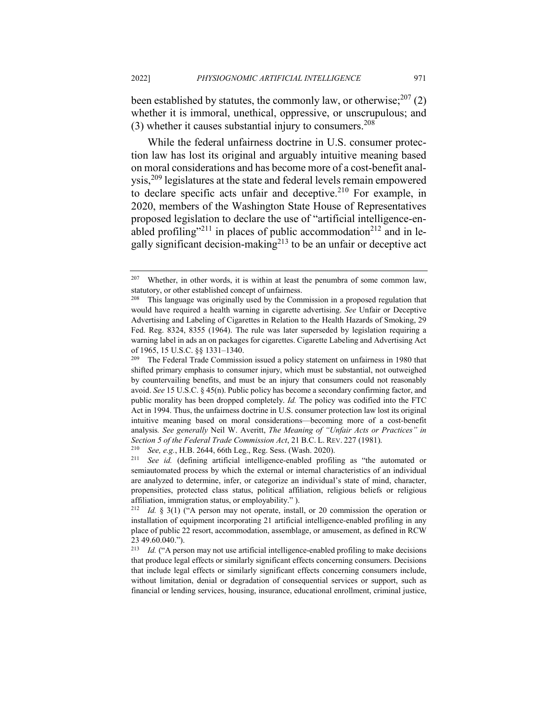been established by statutes, the commonly law, or otherwise;  $2^{07}$  (2) whether it is immoral, unethical, oppressive, or unscrupulous; and (3) whether it causes substantial injury to consumers.<sup>208</sup>

While the federal unfairness doctrine in U.S. consumer protection law has lost its original and arguably intuitive meaning based on moral considerations and has become more of a cost-benefit analysis,<sup>209</sup> legislatures at the state and federal levels remain empowered to declare specific acts unfair and deceptive.<sup>210</sup> For example, in 2020, members of the Washington State House of Representatives proposed legislation to declare the use of "artificial intelligence-enabled profiling"<sup>211</sup> in places of public accommodation<sup>212</sup> and in legally significant decision-making $2^{13}$  to be an unfair or deceptive act

 $207$  Whether, in other words, it is within at least the penumbra of some common law, statutory, or other established concept of unfairness.

<sup>208</sup> This language was originally used by the Commission in a proposed regulation that would have required a health warning in cigarette advertising. *See* Unfair or Deceptive Advertising and Labeling of Cigarettes in Relation to the Health Hazards of Smoking, 29 Fed. Reg. 8324, 8355 (1964). The rule was later superseded by legislation requiring a warning label in ads an on packages for cigarettes. Cigarette Labeling and Advertising Act of 1965, 15 U.S.C. §§ 1331–1340.

<sup>&</sup>lt;sup>209</sup> The Federal Trade Commission issued a policy statement on unfairness in 1980 that shifted primary emphasis to consumer injury, which must be substantial, not outweighed by countervailing benefits, and must be an injury that consumers could not reasonably avoid. *See* 15 U.S.C. § 45(n). Public policy has become a secondary confirming factor, and public morality has been dropped completely. *Id.* The policy was codified into the FTC Act in 1994. Thus, the unfairness doctrine in U.S. consumer protection law lost its original intuitive meaning based on moral considerations—becoming more of a cost-benefit analysis*. See generally* Neil W. Averitt, *The Meaning of "Unfair Acts or Practices" in Section 5 of the Federal Trade Commission Act*, 21 B.C. L. REV. 227 (1981).

<sup>210</sup> *See, e.g.*, H.B. 2644, 66th Leg., Reg. Sess. (Wash. 2020).

See id. (defining artificial intelligence-enabled profiling as "the automated or semiautomated process by which the external or internal characteristics of an individual are analyzed to determine, infer, or categorize an individual's state of mind, character, propensities, protected class status, political affiliation, religious beliefs or religious affiliation, immigration status, or employability." ).

*Id.* § 3(1) ("A person may not operate, install, or 20 commission the operation or installation of equipment incorporating 21 artificial intelligence-enabled profiling in any place of public 22 resort, accommodation, assemblage, or amusement, as defined in RCW 23 49.60.040.").

<sup>213</sup> *Id.* ("A person may not use artificial intelligence-enabled profiling to make decisions that produce legal effects or similarly significant effects concerning consumers. Decisions that include legal effects or similarly significant effects concerning consumers include, without limitation, denial or degradation of consequential services or support, such as financial or lending services, housing, insurance, educational enrollment, criminal justice,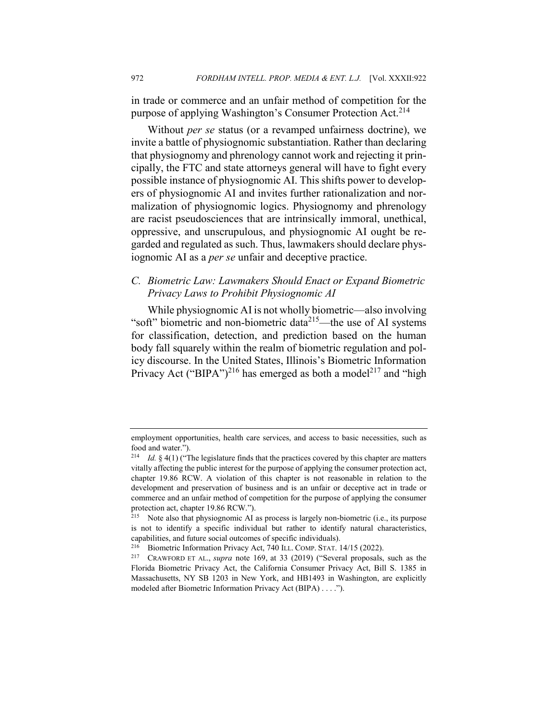in trade or commerce and an unfair method of competition for the purpose of applying Washington's Consumer Protection Act.<sup>214</sup>

Without *per se* status (or a revamped unfairness doctrine), we invite a battle of physiognomic substantiation. Rather than declaring that physiognomy and phrenology cannot work and rejecting it principally, the FTC and state attorneys general will have to fight every possible instance of physiognomic AI. This shifts power to developers of physiognomic AI and invites further rationalization and normalization of physiognomic logics. Physiognomy and phrenology are racist pseudosciences that are intrinsically immoral, unethical, oppressive, and unscrupulous, and physiognomic AI ought be regarded and regulated as such. Thus, lawmakers should declare physiognomic AI as a *per se* unfair and deceptive practice.

## *C. Biometric Law: Lawmakers Should Enact or Expand Biometric Privacy Laws to Prohibit Physiognomic AI*

While physiognomic AI is not wholly biometric—also involving "soft" biometric and non-biometric data $215$ —the use of AI systems for classification, detection, and prediction based on the human body fall squarely within the realm of biometric regulation and policy discourse. In the United States, Illinois's Biometric Information Privacy Act ("BIPA")<sup>216</sup> has emerged as both a model<sup>217</sup> and "high

employment opportunities, health care services, and access to basic necessities, such as food and water.").

<sup>214</sup> *Id.* § 4(1) ("The legislature finds that the practices covered by this chapter are matters vitally affecting the public interest for the purpose of applying the consumer protection act, chapter 19.86 RCW. A violation of this chapter is not reasonable in relation to the development and preservation of business and is an unfair or deceptive act in trade or commerce and an unfair method of competition for the purpose of applying the consumer protection act, chapter 19.86 RCW.").

<sup>215</sup> Note also that physiognomic AI as process is largely non-biometric (i.e., its purpose is not to identify a specific individual but rather to identify natural characteristics, capabilities, and future social outcomes of specific individuals).

<sup>&</sup>lt;sup>216</sup> Biometric Information Privacy Act, 740 ILL. COMP. STAT.  $14/15$  (2022).<br><sup>217</sup> CRAWFORD ET AL. *supra* note 169 at 33 (2019) ("Several proposals

<sup>217</sup> CRAWFORD ET AL., *supra* note 169, at 33 (2019) ("Several proposals, such as the Florida Biometric Privacy Act, the California Consumer Privacy Act, Bill S. 1385 in Massachusetts, NY SB 1203 in New York, and HB1493 in Washington, are explicitly modeled after Biometric Information Privacy Act (BIPA) . . . .").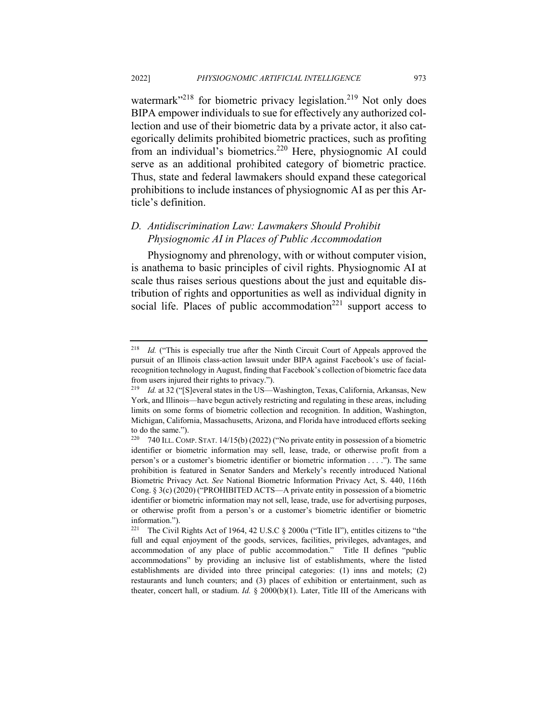watermark $^{218}$  for biometric privacy legislation.<sup>219</sup> Not only does BIPA empower individuals to sue for effectively any authorized collection and use of their biometric data by a private actor, it also categorically delimits prohibited biometric practices, such as profiting from an individual's biometrics.220 Here, physiognomic AI could serve as an additional prohibited category of biometric practice. Thus, state and federal lawmakers should expand these categorical prohibitions to include instances of physiognomic AI as per this Article's definition.

## *D. Antidiscrimination Law: Lawmakers Should Prohibit Physiognomic AI in Places of Public Accommodation*

Physiognomy and phrenology, with or without computer vision, is anathema to basic principles of civil rights. Physiognomic AI at scale thus raises serious questions about the just and equitable distribution of rights and opportunities as well as individual dignity in social life. Places of public accommodation $^{221}$  support access to

<sup>&</sup>lt;sup>218</sup> *Id.* ("This is especially true after the Ninth Circuit Court of Appeals approved the pursuit of an Illinois class-action lawsuit under BIPA against Facebook's use of facialrecognition technology in August, finding that Facebook's collection of biometric face data from users injured their rights to privacy.").

<sup>&</sup>lt;sup>219</sup> *Id.* at 32 ("[S]everal states in the US—Washington, Texas, California, Arkansas, New York, and Illinois—have begun actively restricting and regulating in these areas, including limits on some forms of biometric collection and recognition. In addition, Washington, Michigan, California, Massachusetts, Arizona, and Florida have introduced efforts seeking to do the same.").

<sup>220</sup> 740 ILL. COMP. STAT. 14/15(b) (2022) ("No private entity in possession of a biometric identifier or biometric information may sell, lease, trade, or otherwise profit from a person's or a customer's biometric identifier or biometric information . . . ."). The same prohibition is featured in Senator Sanders and Merkely's recently introduced National Biometric Privacy Act. *See* National Biometric Information Privacy Act, S. 440, 116th Cong. § 3(c) (2020) ("PROHIBITED ACTS—A private entity in possession of a biometric identifier or biometric information may not sell, lease, trade, use for advertising purposes, or otherwise profit from a person's or a customer's biometric identifier or biometric information.").

<sup>221</sup> The Civil Rights Act of 1964, 42 U.S.C § 2000a ("Title II"), entitles citizens to "the full and equal enjoyment of the goods, services, facilities, privileges, advantages, and accommodation of any place of public accommodation." Title II defines "public accommodations" by providing an inclusive list of establishments, where the listed establishments are divided into three principal categories: (1) inns and motels; (2) restaurants and lunch counters; and (3) places of exhibition or entertainment, such as theater, concert hall, or stadium. *Id.* § 2000(b)(1). Later, Title III of the Americans with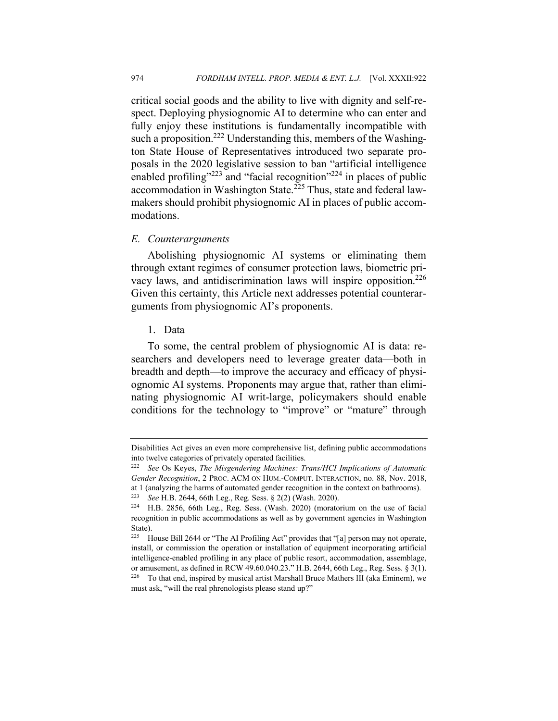critical social goods and the ability to live with dignity and self-respect. Deploying physiognomic AI to determine who can enter and fully enjoy these institutions is fundamentally incompatible with such a proposition.<sup>222</sup> Understanding this, members of the Washington State House of Representatives introduced two separate proposals in the 2020 legislative session to ban "artificial intelligence enabled profiling"<sup>223</sup> and "facial recognition"<sup>224</sup> in places of public accommodation in Washington State.<sup>225</sup> Thus, state and federal lawmakers should prohibit physiognomic AI in places of public accommodations.

#### *E. Counterarguments*

Abolishing physiognomic AI systems or eliminating them through extant regimes of consumer protection laws, biometric privacy laws, and antidiscrimination laws will inspire opposition.<sup>226</sup> Given this certainty, this Article next addresses potential counterarguments from physiognomic AI's proponents.

1. Data

To some, the central problem of physiognomic AI is data: researchers and developers need to leverage greater data—both in breadth and depth—to improve the accuracy and efficacy of physiognomic AI systems. Proponents may argue that, rather than eliminating physiognomic AI writ-large, policymakers should enable conditions for the technology to "improve" or "mature" through

Disabilities Act gives an even more comprehensive list, defining public accommodations into twelve categories of privately operated facilities.

<sup>222</sup> *See* Os Keyes, *The Misgendering Machines: Trans/HCI Implications of Automatic Gender Recognition*, 2 PROC. ACM ON HUM.-COMPUT. INTERACTION, no. 88, Nov. 2018, at 1 (analyzing the harms of automated gender recognition in the context on bathrooms).

<sup>223</sup> *See* H.B. 2644, 66th Leg., Reg. Sess. § 2(2) (Wash. 2020).

<sup>224</sup> H.B. 2856, 66th Leg., Reg. Sess. (Wash. 2020) (moratorium on the use of facial recognition in public accommodations as well as by government agencies in Washington State).<br> $225$  H

<sup>225</sup> House Bill 2644 or "The AI Profiling Act" provides that "[a] person may not operate, install, or commission the operation or installation of equipment incorporating artificial intelligence-enabled profiling in any place of public resort, accommodation, assemblage, or amusement, as defined in RCW 49.60.040.23." H.B. 2644, 66th Leg., Reg. Sess. § 3(1).  $226$  To that end, inspired by musical artist Marshall Bruce Mathers III (aka Eminem), we must ask, "will the real phrenologists please stand up?"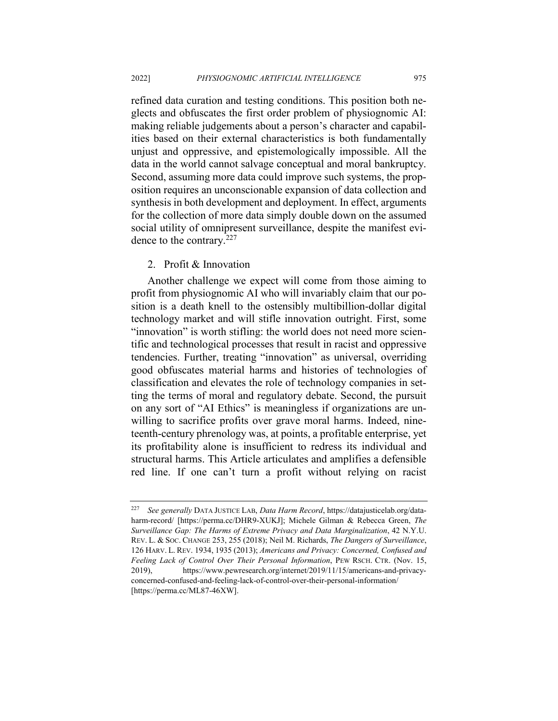refined data curation and testing conditions. This position both neglects and obfuscates the first order problem of physiognomic AI: making reliable judgements about a person's character and capabilities based on their external characteristics is both fundamentally unjust and oppressive, and epistemologically impossible. All the data in the world cannot salvage conceptual and moral bankruptcy. Second, assuming more data could improve such systems, the proposition requires an unconscionable expansion of data collection and synthesis in both development and deployment. In effect, arguments for the collection of more data simply double down on the assumed social utility of omnipresent surveillance, despite the manifest evidence to the contrary.<sup>227</sup>

#### 2. Profit & Innovation

Another challenge we expect will come from those aiming to profit from physiognomic AI who will invariably claim that our position is a death knell to the ostensibly multibillion-dollar digital technology market and will stifle innovation outright. First, some "innovation" is worth stifling: the world does not need more scientific and technological processes that result in racist and oppressive tendencies. Further, treating "innovation" as universal, overriding good obfuscates material harms and histories of technologies of classification and elevates the role of technology companies in setting the terms of moral and regulatory debate. Second, the pursuit on any sort of "AI Ethics" is meaningless if organizations are unwilling to sacrifice profits over grave moral harms. Indeed, nineteenth-century phrenology was, at points, a profitable enterprise, yet its profitability alone is insufficient to redress its individual and structural harms. This Article articulates and amplifies a defensible red line. If one can't turn a profit without relying on racist

<sup>227</sup> *See generally* DATA JUSTICE LAB, *Data Harm Record*, https://datajusticelab.org/dataharm-record/ [https://perma.cc/DHR9-XUKJ]; Michele Gilman & Rebecca Green, *The Surveillance Gap: The Harms of Extreme Privacy and Data Marginalization*, 42 N.Y.U. REV. L. & SOC. CHANGE 253, 255 (2018); Neil M. Richards, *The Dangers of Surveillance*, 126 HARV. L. REV. 1934, 1935 (2013); *Americans and Privacy: Concerned, Confused and Feeling Lack of Control Over Their Personal Information*, PEW RSCH. CTR. (Nov. 15, 2019), https://www.pewresearch.org/internet/2019/11/15/americans-and-privacyconcerned-confused-and-feeling-lack-of-control-over-their-personal-information/ [https://perma.cc/ML87-46XW].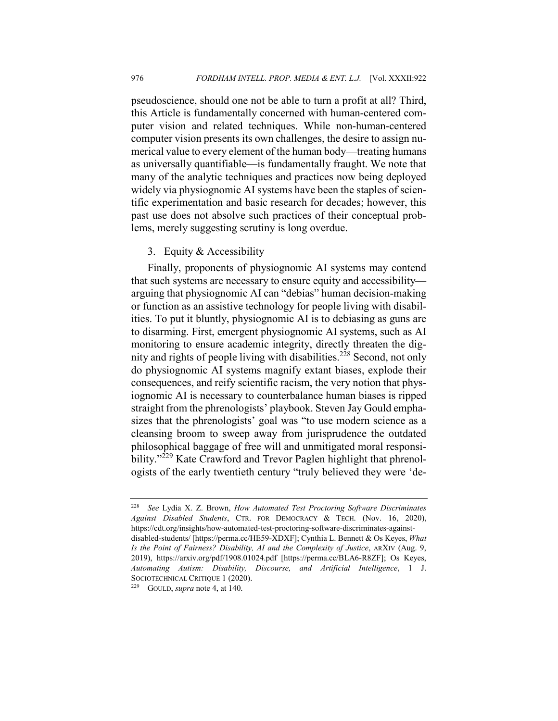pseudoscience, should one not be able to turn a profit at all? Third, this Article is fundamentally concerned with human-centered computer vision and related techniques. While non-human-centered computer vision presents its own challenges, the desire to assign numerical value to every element of the human body—treating humans as universally quantifiable—is fundamentally fraught. We note that many of the analytic techniques and practices now being deployed widely via physiognomic AI systems have been the staples of scientific experimentation and basic research for decades; however, this past use does not absolve such practices of their conceptual problems, merely suggesting scrutiny is long overdue.

## 3. Equity & Accessibility

Finally, proponents of physiognomic AI systems may contend that such systems are necessary to ensure equity and accessibility arguing that physiognomic AI can "debias" human decision-making or function as an assistive technology for people living with disabilities. To put it bluntly, physiognomic AI is to debiasing as guns are to disarming. First, emergent physiognomic AI systems, such as AI monitoring to ensure academic integrity, directly threaten the dignity and rights of people living with disabilities.<sup>228</sup> Second, not only do physiognomic AI systems magnify extant biases, explode their consequences, and reify scientific racism, the very notion that physiognomic AI is necessary to counterbalance human biases is ripped straight from the phrenologists' playbook. Steven Jay Gould emphasizes that the phrenologists' goal was "to use modern science as a cleansing broom to sweep away from jurisprudence the outdated philosophical baggage of free will and unmitigated moral responsibility."<sup>229</sup> Kate Crawford and Trevor Paglen highlight that phrenologists of the early twentieth century "truly believed they were 'de-

<sup>228</sup> *See* Lydia X. Z. Brown, *How Automated Test Proctoring Software Discriminates Against Disabled Students*, CTR. FOR DEMOCRACY & TECH. (Nov. 16, 2020), https://cdt.org/insights/how-automated-test-proctoring-software-discriminates-againstdisabled-students/ [https://perma.cc/HE59-XDXF]; Cynthia L. Bennett & Os Keyes, *What Is the Point of Fairness? Disability, AI and the Complexity of Justice*, ARXIV (Aug. 9, 2019), https://arxiv.org/pdf/1908.01024.pdf [https://perma.cc/BLA6-R8ZF]; Os Keyes, *Automating Autism: Disability, Discourse, and Artificial Intelligence*, 1 J. SOCIOTECHNICAL CRITIQUE 1 (2020).

<sup>229</sup> GOULD, *supra* note 4, at 140.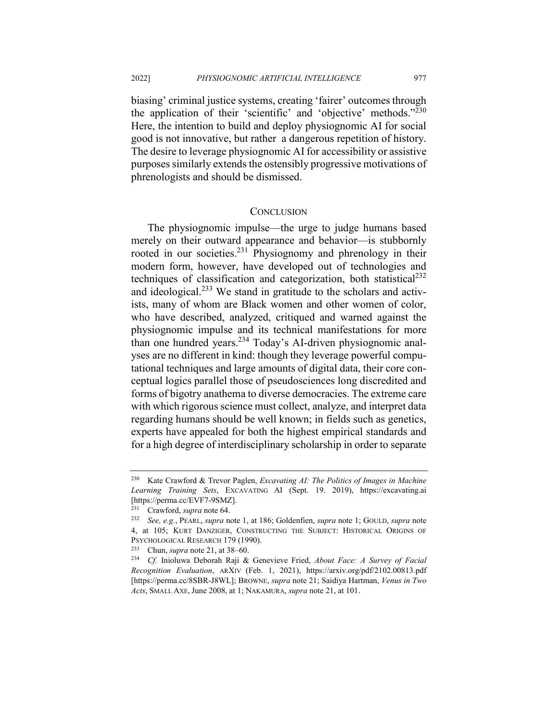biasing' criminal justice systems, creating 'fairer' outcomes through the application of their 'scientific' and 'objective' methods."230 Here, the intention to build and deploy physiognomic AI for social good is not innovative, but rather a dangerous repetition of history. The desire to leverage physiognomic AI for accessibility or assistive purposes similarly extends the ostensibly progressive motivations of phrenologists and should be dismissed.

#### **CONCLUSION**

The physiognomic impulse—the urge to judge humans based merely on their outward appearance and behavior—is stubbornly rooted in our societies.<sup>231</sup> Physiognomy and phrenology in their modern form, however, have developed out of technologies and techniques of classification and categorization, both statistical $^{232}$ and ideological.<sup>233</sup> We stand in gratitude to the scholars and activists, many of whom are Black women and other women of color, who have described, analyzed, critiqued and warned against the physiognomic impulse and its technical manifestations for more than one hundred years.<sup>234</sup> Today's AI-driven physiognomic analyses are no different in kind: though they leverage powerful computational techniques and large amounts of digital data, their core conceptual logics parallel those of pseudosciences long discredited and forms of bigotry anathema to diverse democracies. The extreme care with which rigorous science must collect, analyze, and interpret data regarding humans should be well known; in fields such as genetics, experts have appealed for both the highest empirical standards and for a high degree of interdisciplinary scholarship in order to separate

<sup>230</sup> Kate Crawford & Trevor Paglen, *Excavating AI: The Politics of Images in Machine Learning Training Sets*, EXCAVATING AI (Sept. 19. 2019), https://excavating.ai [https://perma.cc/EVF7-9SMZ].

<sup>&</sup>lt;sup>231</sup> Crawford, *supra* note 64.

<sup>232</sup> *See, e.g.*, PEARL, *supra* note 1, at 186; Goldenfien, *supra* note 1; GOULD, *supra* note 4, at 105; KURT DANZIGER, CONSTRUCTING THE SUBJECT: HISTORICAL ORIGINS OF PSYCHOLOGICAL RESEARCH 179 (1990).<br>
<sup>233</sup> Chun sunga pote 21 at 38 60

<sup>233</sup> Chun, *supra* note 21, at 38–60.

<sup>234</sup> *Cf.* Inioluwa Deborah Raji & Genevieve Fried, *About Face: A Survey of Facial Recognition Evaluation*, ARXIV (Feb. 1, 2021), https://arxiv.org/pdf/2102.00813.pdf [https://perma.cc/8SBR-J8WL]; BROWNE, *supra* note 21; Saidiya Hartman, *Venus in Two Acts*, SMALL AXE, June 2008, at 1; NAKAMURA, *supra* note 21, at 101.